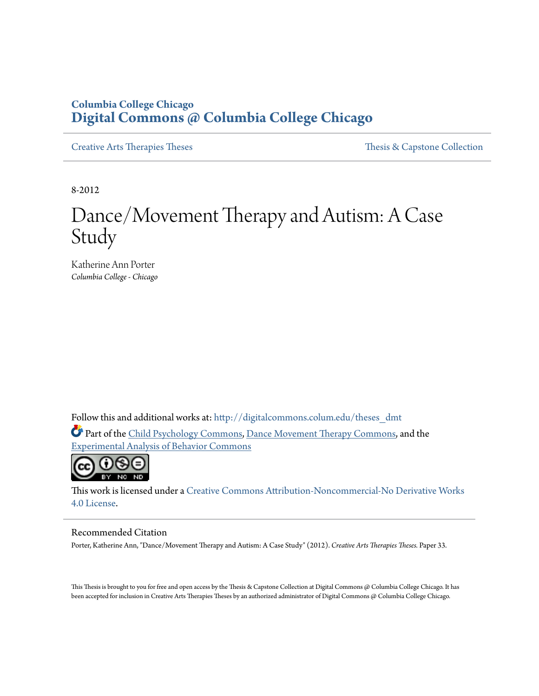# **Columbia College Chicago [Digital Commons @ Columbia College Chicago](http://digitalcommons.colum.edu?utm_source=digitalcommons.colum.edu%2Ftheses_dmt%2F33&utm_medium=PDF&utm_campaign=PDFCoverPages)**

[Creative Arts Therapies Theses](http://digitalcommons.colum.edu/theses_dmt?utm_source=digitalcommons.colum.edu%2Ftheses_dmt%2F33&utm_medium=PDF&utm_campaign=PDFCoverPages) Theses Theses [Thesis & Capstone Collection](http://digitalcommons.colum.edu/thesiscoll?utm_source=digitalcommons.colum.edu%2Ftheses_dmt%2F33&utm_medium=PDF&utm_campaign=PDFCoverPages)

8-2012

# Dance/Movement Therapy and Autism: A Case Study

Katherine Ann Porter *Columbia College - Chicago*

Follow this and additional works at: [http://digitalcommons.colum.edu/theses\\_dmt](http://digitalcommons.colum.edu/theses_dmt?utm_source=digitalcommons.colum.edu%2Ftheses_dmt%2F33&utm_medium=PDF&utm_campaign=PDFCoverPages)

Part of the [Child Psychology Commons](http://network.bepress.com/hgg/discipline/1023?utm_source=digitalcommons.colum.edu%2Ftheses_dmt%2F33&utm_medium=PDF&utm_campaign=PDFCoverPages), [Dance Movement Therapy Commons,](http://network.bepress.com/hgg/discipline/1150?utm_source=digitalcommons.colum.edu%2Ftheses_dmt%2F33&utm_medium=PDF&utm_campaign=PDFCoverPages) and the [Experimental Analysis of Behavior Commons](http://network.bepress.com/hgg/discipline/1236?utm_source=digitalcommons.colum.edu%2Ftheses_dmt%2F33&utm_medium=PDF&utm_campaign=PDFCoverPages)



This work is licensed under a [Creative Commons Attribution-Noncommercial-No Derivative Works](http://creativecommons.org/licenses/by-nc-nd/4.0/) [4.0 License.](http://creativecommons.org/licenses/by-nc-nd/4.0/)

#### Recommended Citation

Porter, Katherine Ann, "Dance/Movement Therapy and Autism: A Case Study" (2012). *Creative Arts Therapies Theses.* Paper 33.

This Thesis is brought to you for free and open access by the Thesis & Capstone Collection at Digital Commons @ Columbia College Chicago. It has been accepted for inclusion in Creative Arts Therapies Theses by an authorized administrator of Digital Commons @ Columbia College Chicago.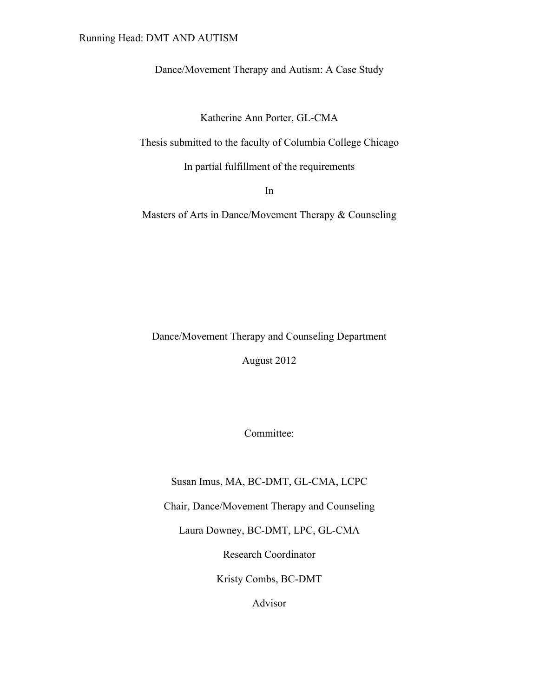# Running Head: DMT AND AUTISM

Dance/Movement Therapy and Autism: A Case Study

Katherine Ann Porter, GL-CMA

Thesis submitted to the faculty of Columbia College Chicago

In partial fulfillment of the requirements

In

Masters of Arts in Dance/Movement Therapy & Counseling

Dance/Movement Therapy and Counseling Department August 2012

Committee:

Susan Imus, MA, BC-DMT, GL-CMA, LCPC

Chair, Dance/Movement Therapy and Counseling

Laura Downey, BC-DMT, LPC, GL-CMA

Research Coordinator

Kristy Combs, BC-DMT

Advisor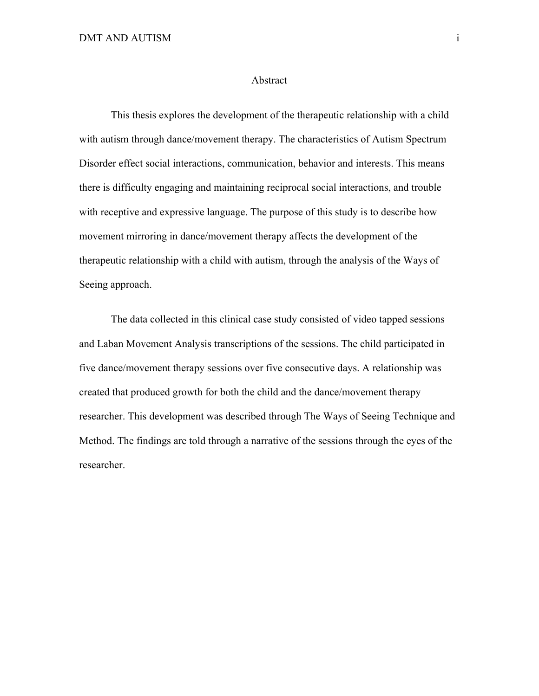#### Abstract

This thesis explores the development of the therapeutic relationship with a child with autism through dance/movement therapy. The characteristics of Autism Spectrum Disorder effect social interactions, communication, behavior and interests. This means there is difficulty engaging and maintaining reciprocal social interactions, and trouble with receptive and expressive language. The purpose of this study is to describe how movement mirroring in dance/movement therapy affects the development of the therapeutic relationship with a child with autism, through the analysis of the Ways of Seeing approach.

The data collected in this clinical case study consisted of video tapped sessions and Laban Movement Analysis transcriptions of the sessions. The child participated in five dance/movement therapy sessions over five consecutive days. A relationship was created that produced growth for both the child and the dance/movement therapy researcher. This development was described through The Ways of Seeing Technique and Method. The findings are told through a narrative of the sessions through the eyes of the researcher.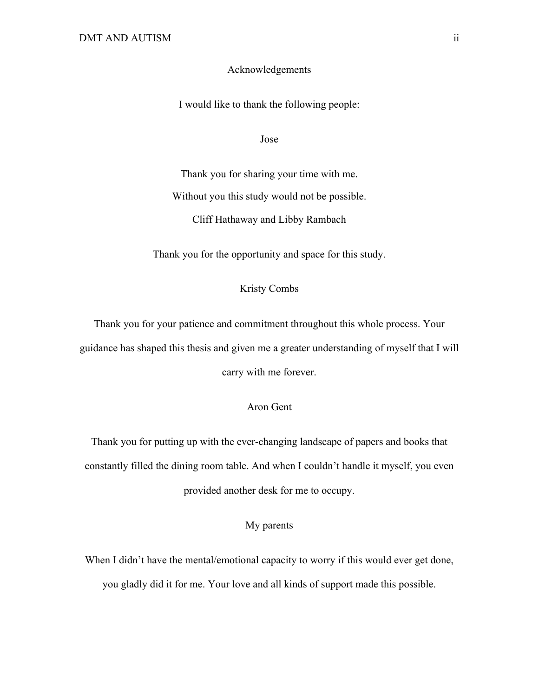# Acknowledgements

I would like to thank the following people:

Jose

Thank you for sharing your time with me. Without you this study would not be possible. Cliff Hathaway and Libby Rambach

Thank you for the opportunity and space for this study.

# Kristy Combs

Thank you for your patience and commitment throughout this whole process. Your guidance has shaped this thesis and given me a greater understanding of myself that I will carry with me forever.

# Aron Gent

Thank you for putting up with the ever-changing landscape of papers and books that constantly filled the dining room table. And when I couldn't handle it myself, you even provided another desk for me to occupy.

# My parents

When I didn't have the mental/emotional capacity to worry if this would ever get done, you gladly did it for me. Your love and all kinds of support made this possible.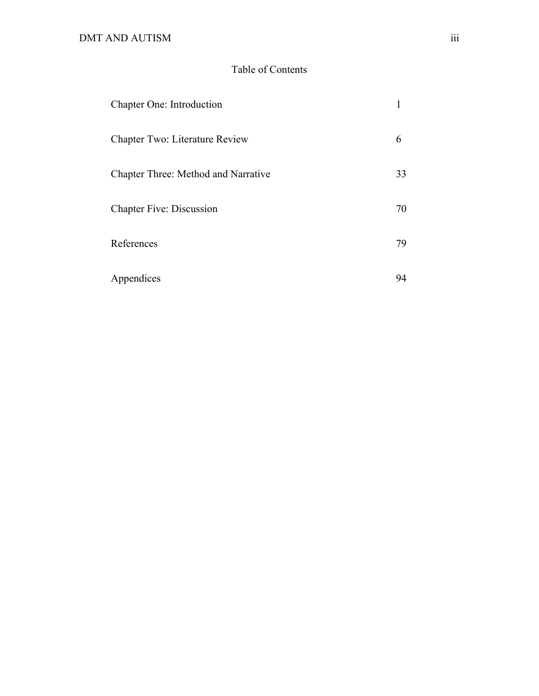# Table of Contents

| Chapter One: Introduction             |    |
|---------------------------------------|----|
| <b>Chapter Two: Literature Review</b> | 6  |
| Chapter Three: Method and Narrative   | 33 |
| <b>Chapter Five: Discussion</b>       | 70 |
| References                            | 79 |
| Appendices                            | 94 |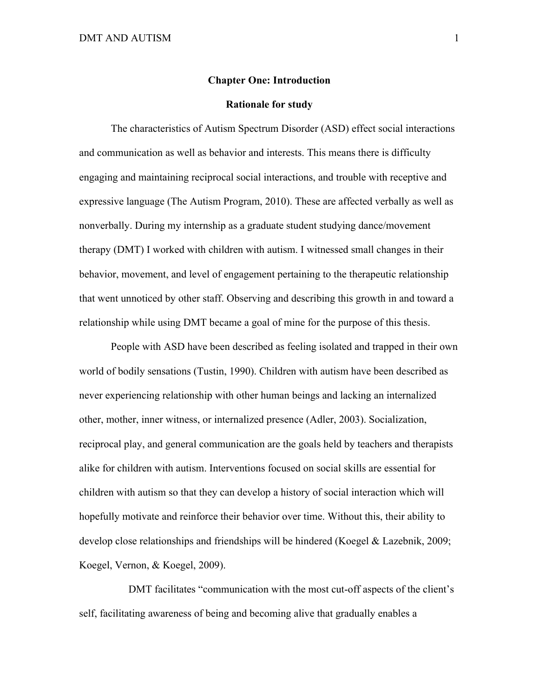#### **Chapter One: Introduction**

#### **Rationale for study**

The characteristics of Autism Spectrum Disorder (ASD) effect social interactions and communication as well as behavior and interests. This means there is difficulty engaging and maintaining reciprocal social interactions, and trouble with receptive and expressive language (The Autism Program, 2010). These are affected verbally as well as nonverbally. During my internship as a graduate student studying dance/movement therapy (DMT) I worked with children with autism. I witnessed small changes in their behavior, movement, and level of engagement pertaining to the therapeutic relationship that went unnoticed by other staff. Observing and describing this growth in and toward a relationship while using DMT became a goal of mine for the purpose of this thesis.

People with ASD have been described as feeling isolated and trapped in their own world of bodily sensations (Tustin, 1990). Children with autism have been described as never experiencing relationship with other human beings and lacking an internalized other, mother, inner witness, or internalized presence (Adler, 2003). Socialization, reciprocal play, and general communication are the goals held by teachers and therapists alike for children with autism. Interventions focused on social skills are essential for children with autism so that they can develop a history of social interaction which will hopefully motivate and reinforce their behavior over time. Without this, their ability to develop close relationships and friendships will be hindered (Koegel & Lazebnik, 2009; Koegel, Vernon, & Koegel, 2009).

DMT facilitates "communication with the most cut-off aspects of the client's self, facilitating awareness of being and becoming alive that gradually enables a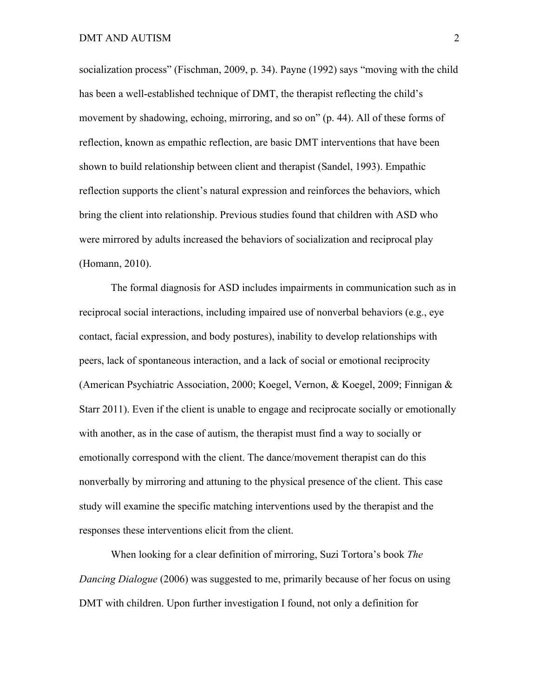socialization process" (Fischman, 2009, p. 34). Payne (1992) says "moving with the child has been a well-established technique of DMT, the therapist reflecting the child's movement by shadowing, echoing, mirroring, and so on" (p. 44). All of these forms of reflection, known as empathic reflection, are basic DMT interventions that have been shown to build relationship between client and therapist (Sandel, 1993). Empathic reflection supports the client's natural expression and reinforces the behaviors, which bring the client into relationship. Previous studies found that children with ASD who were mirrored by adults increased the behaviors of socialization and reciprocal play (Homann, 2010).

The formal diagnosis for ASD includes impairments in communication such as in reciprocal social interactions, including impaired use of nonverbal behaviors (e.g., eye contact, facial expression, and body postures), inability to develop relationships with peers, lack of spontaneous interaction, and a lack of social or emotional reciprocity (American Psychiatric Association, 2000; Koegel, Vernon, & Koegel, 2009; Finnigan & Starr 2011). Even if the client is unable to engage and reciprocate socially or emotionally with another, as in the case of autism, the therapist must find a way to socially or emotionally correspond with the client. The dance/movement therapist can do this nonverbally by mirroring and attuning to the physical presence of the client. This case study will examine the specific matching interventions used by the therapist and the responses these interventions elicit from the client.

When looking for a clear definition of mirroring, Suzi Tortora's book *The Dancing Dialogue* (2006) was suggested to me, primarily because of her focus on using DMT with children. Upon further investigation I found, not only a definition for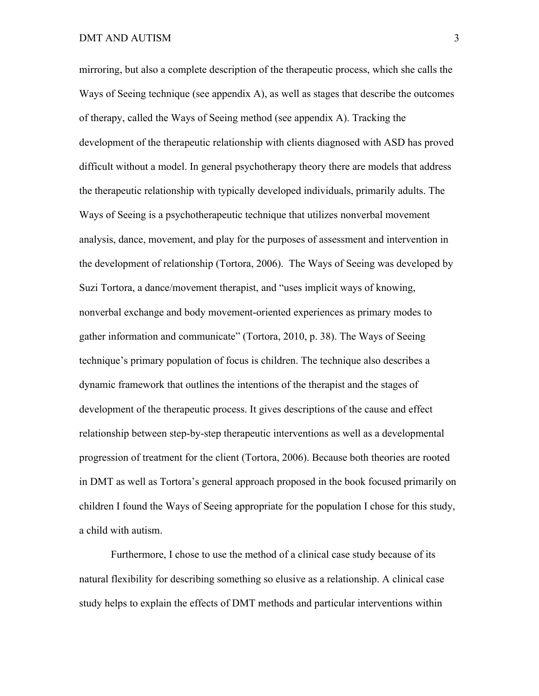mirroring, but also a complete description of the therapeutic process, which she calls the Ways of Seeing technique (see appendix A), as well as stages that describe the outcomes of therapy, called the Ways of Seeing method (see appendix A). Tracking the development of the therapeutic relationship with clients diagnosed with ASD has proved difficult without a model. In general psychotherapy theory there are models that address the therapeutic relationship with typically developed individuals, primarily adults. The Ways of Seeing is a psychotherapeutic technique that utilizes nonverbal movement analysis, dance, movement, and play for the purposes of assessment and intervention in the development of relationship (Tortora, 2006). The Ways of Seeing was developed by Suzi Tortora, a dance/movement therapist, and "uses implicit ways of knowing, nonverbal exchange and body movement-oriented experiences as primary modes to gather information and communicate" (Tortora, 2010, p. 38). The Ways of Seeing technique's primary population of focus is children. The technique also describes a dynamic framework that outlines the intentions of the therapist and the stages of development of the therapeutic process. It gives descriptions of the cause and effect relationship between step-by-step therapeutic interventions as well as a developmental progression of treatment for the client (Tortora, 2006). Because both theories are rooted in DMT as well as Tortora's general approach proposed in the book focused primarily on children I found the Ways of Seeing appropriate for the population I chose for this study, a child with autism.

Furthermore, I chose to use the method of a clinical case study because of its natural flexibility for describing something so elusive as a relationship. A clinical case study helps to explain the effects of DMT methods and particular interventions within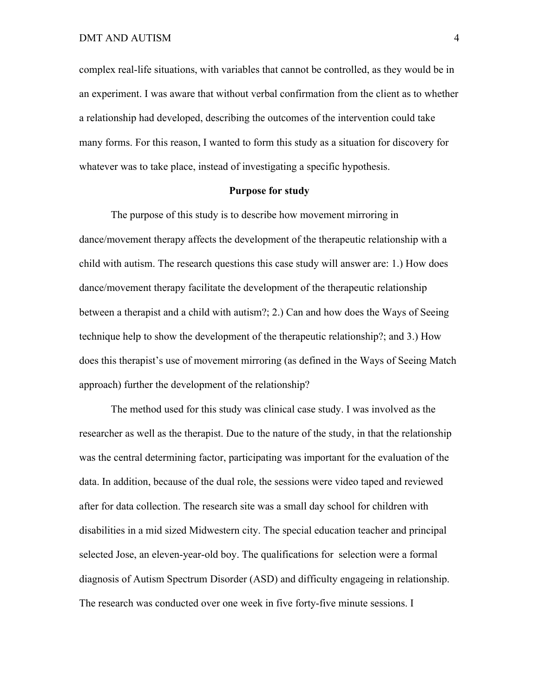complex real-life situations, with variables that cannot be controlled, as they would be in an experiment. I was aware that without verbal confirmation from the client as to whether a relationship had developed, describing the outcomes of the intervention could take many forms. For this reason, I wanted to form this study as a situation for discovery for whatever was to take place, instead of investigating a specific hypothesis.

## **Purpose for study**

The purpose of this study is to describe how movement mirroring in dance/movement therapy affects the development of the therapeutic relationship with a child with autism. The research questions this case study will answer are: 1.) How does dance/movement therapy facilitate the development of the therapeutic relationship between a therapist and a child with autism?; 2.) Can and how does the Ways of Seeing technique help to show the development of the therapeutic relationship?; and 3.) How does this therapist's use of movement mirroring (as defined in the Ways of Seeing Match approach) further the development of the relationship?

The method used for this study was clinical case study. I was involved as the researcher as well as the therapist. Due to the nature of the study, in that the relationship was the central determining factor, participating was important for the evaluation of the data. In addition, because of the dual role, the sessions were video taped and reviewed after for data collection. The research site was a small day school for children with disabilities in a mid sized Midwestern city. The special education teacher and principal selected Jose, an eleven-year-old boy. The qualifications for selection were a formal diagnosis of Autism Spectrum Disorder (ASD) and difficulty engageing in relationship. The research was conducted over one week in five forty-five minute sessions. I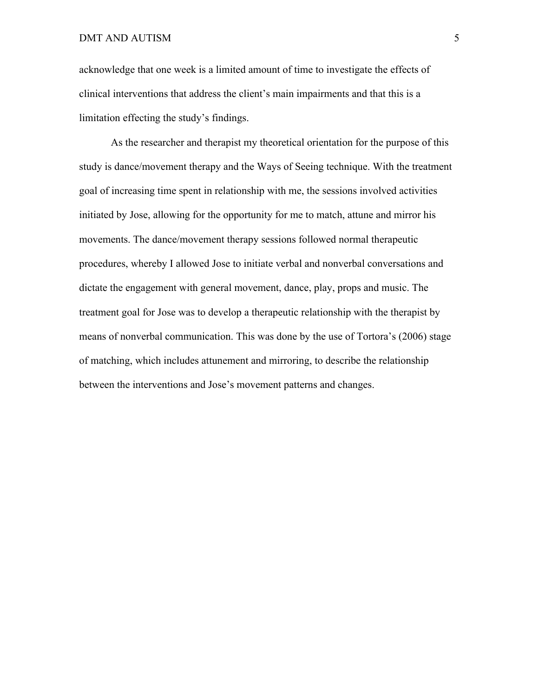acknowledge that one week is a limited amount of time to investigate the effects of clinical interventions that address the client's main impairments and that this is a limitation effecting the study's findings.

As the researcher and therapist my theoretical orientation for the purpose of this study is dance/movement therapy and the Ways of Seeing technique. With the treatment goal of increasing time spent in relationship with me, the sessions involved activities initiated by Jose, allowing for the opportunity for me to match, attune and mirror his movements. The dance/movement therapy sessions followed normal therapeutic procedures, whereby I allowed Jose to initiate verbal and nonverbal conversations and dictate the engagement with general movement, dance, play, props and music. The treatment goal for Jose was to develop a therapeutic relationship with the therapist by means of nonverbal communication. This was done by the use of Tortora's (2006) stage of matching, which includes attunement and mirroring, to describe the relationship between the interventions and Jose's movement patterns and changes.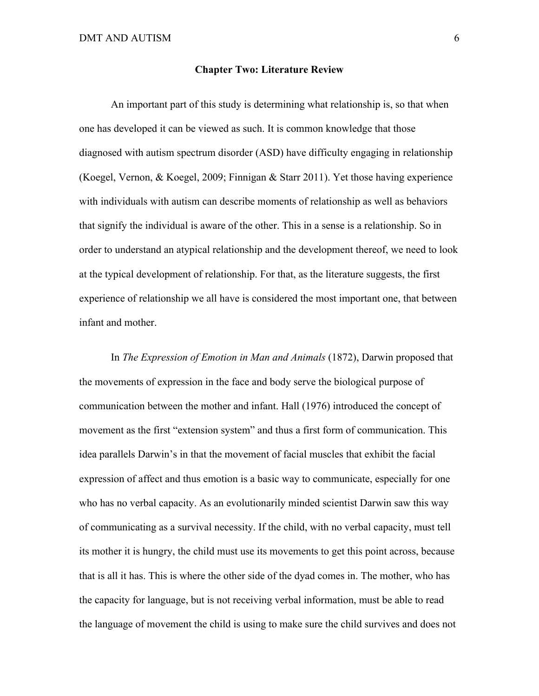#### **Chapter Two: Literature Review**

An important part of this study is determining what relationship is, so that when one has developed it can be viewed as such. It is common knowledge that those diagnosed with autism spectrum disorder (ASD) have difficulty engaging in relationship (Koegel, Vernon, & Koegel, 2009; Finnigan & Starr 2011). Yet those having experience with individuals with autism can describe moments of relationship as well as behaviors that signify the individual is aware of the other. This in a sense is a relationship. So in order to understand an atypical relationship and the development thereof, we need to look at the typical development of relationship. For that, as the literature suggests, the first experience of relationship we all have is considered the most important one, that between infant and mother.

In *The Expression of Emotion in Man and Animals* (1872), Darwin proposed that the movements of expression in the face and body serve the biological purpose of communication between the mother and infant. Hall (1976) introduced the concept of movement as the first "extension system" and thus a first form of communication. This idea parallels Darwin's in that the movement of facial muscles that exhibit the facial expression of affect and thus emotion is a basic way to communicate, especially for one who has no verbal capacity. As an evolutionarily minded scientist Darwin saw this way of communicating as a survival necessity. If the child, with no verbal capacity, must tell its mother it is hungry, the child must use its movements to get this point across, because that is all it has. This is where the other side of the dyad comes in. The mother, who has the capacity for language, but is not receiving verbal information, must be able to read the language of movement the child is using to make sure the child survives and does not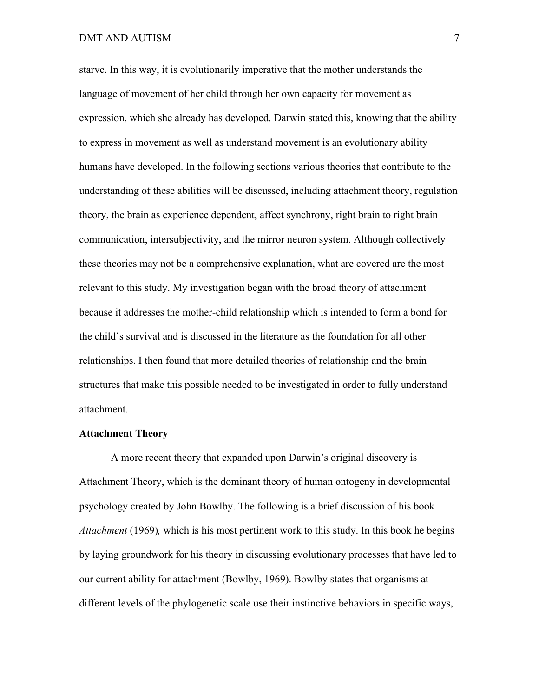starve. In this way, it is evolutionarily imperative that the mother understands the language of movement of her child through her own capacity for movement as expression, which she already has developed. Darwin stated this, knowing that the ability to express in movement as well as understand movement is an evolutionary ability humans have developed. In the following sections various theories that contribute to the understanding of these abilities will be discussed, including attachment theory, regulation theory, the brain as experience dependent, affect synchrony, right brain to right brain communication, intersubjectivity, and the mirror neuron system. Although collectively these theories may not be a comprehensive explanation, what are covered are the most relevant to this study. My investigation began with the broad theory of attachment because it addresses the mother-child relationship which is intended to form a bond for the child's survival and is discussed in the literature as the foundation for all other relationships. I then found that more detailed theories of relationship and the brain structures that make this possible needed to be investigated in order to fully understand attachment.

# **Attachment Theory**

A more recent theory that expanded upon Darwin's original discovery is Attachment Theory, which is the dominant theory of human ontogeny in developmental psychology created by John Bowlby. The following is a brief discussion of his book *Attachment* (1969)*,* which is his most pertinent work to this study. In this book he begins by laying groundwork for his theory in discussing evolutionary processes that have led to our current ability for attachment (Bowlby, 1969). Bowlby states that organisms at different levels of the phylogenetic scale use their instinctive behaviors in specific ways,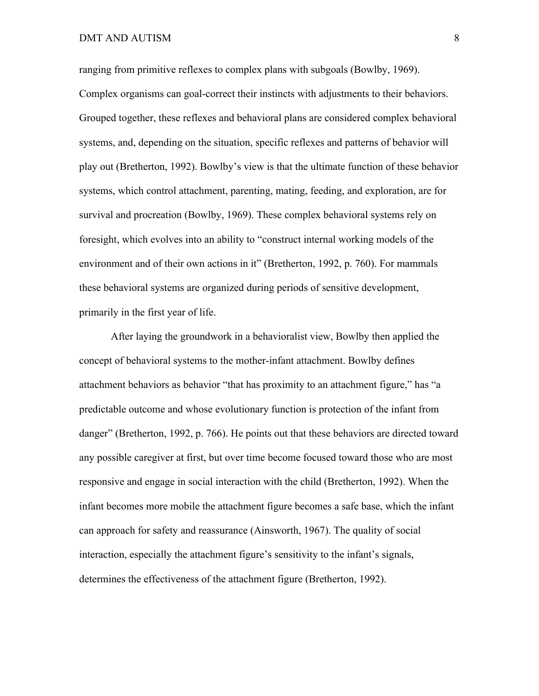ranging from primitive reflexes to complex plans with subgoals (Bowlby, 1969). Complex organisms can goal-correct their instincts with adjustments to their behaviors. Grouped together, these reflexes and behavioral plans are considered complex behavioral systems, and, depending on the situation, specific reflexes and patterns of behavior will play out (Bretherton, 1992). Bowlby's view is that the ultimate function of these behavior systems, which control attachment, parenting, mating, feeding, and exploration, are for survival and procreation (Bowlby, 1969). These complex behavioral systems rely on foresight, which evolves into an ability to "construct internal working models of the environment and of their own actions in it" (Bretherton, 1992, p. 760). For mammals these behavioral systems are organized during periods of sensitive development, primarily in the first year of life.

After laying the groundwork in a behavioralist view, Bowlby then applied the concept of behavioral systems to the mother-infant attachment. Bowlby defines attachment behaviors as behavior "that has proximity to an attachment figure," has "a predictable outcome and whose evolutionary function is protection of the infant from danger" (Bretherton, 1992, p. 766). He points out that these behaviors are directed toward any possible caregiver at first, but over time become focused toward those who are most responsive and engage in social interaction with the child (Bretherton, 1992). When the infant becomes more mobile the attachment figure becomes a safe base, which the infant can approach for safety and reassurance (Ainsworth, 1967). The quality of social interaction, especially the attachment figure's sensitivity to the infant's signals, determines the effectiveness of the attachment figure (Bretherton, 1992).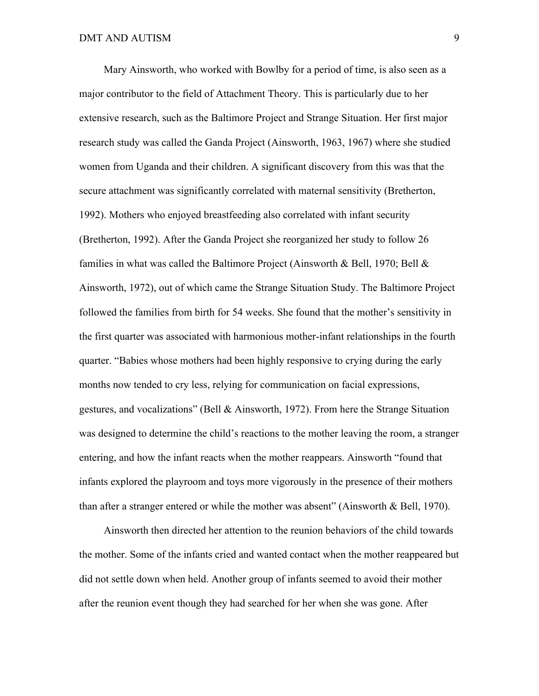Mary Ainsworth, who worked with Bowlby for a period of time, is also seen as a major contributor to the field of Attachment Theory. This is particularly due to her extensive research, such as the Baltimore Project and Strange Situation. Her first major research study was called the Ganda Project (Ainsworth, 1963, 1967) where she studied women from Uganda and their children. A significant discovery from this was that the secure attachment was significantly correlated with maternal sensitivity (Bretherton, 1992). Mothers who enjoyed breastfeeding also correlated with infant security (Bretherton, 1992). After the Ganda Project she reorganized her study to follow 26 families in what was called the Baltimore Project (Ainsworth & Bell, 1970; Bell & Ainsworth, 1972), out of which came the Strange Situation Study. The Baltimore Project followed the families from birth for 54 weeks. She found that the mother's sensitivity in the first quarter was associated with harmonious mother-infant relationships in the fourth quarter. "Babies whose mothers had been highly responsive to crying during the early months now tended to cry less, relying for communication on facial expressions, gestures, and vocalizations" (Bell & Ainsworth, 1972). From here the Strange Situation was designed to determine the child's reactions to the mother leaving the room, a stranger entering, and how the infant reacts when the mother reappears. Ainsworth "found that infants explored the playroom and toys more vigorously in the presence of their mothers than after a stranger entered or while the mother was absent" (Ainsworth & Bell, 1970).

Ainsworth then directed her attention to the reunion behaviors of the child towards the mother. Some of the infants cried and wanted contact when the mother reappeared but did not settle down when held. Another group of infants seemed to avoid their mother after the reunion event though they had searched for her when she was gone. After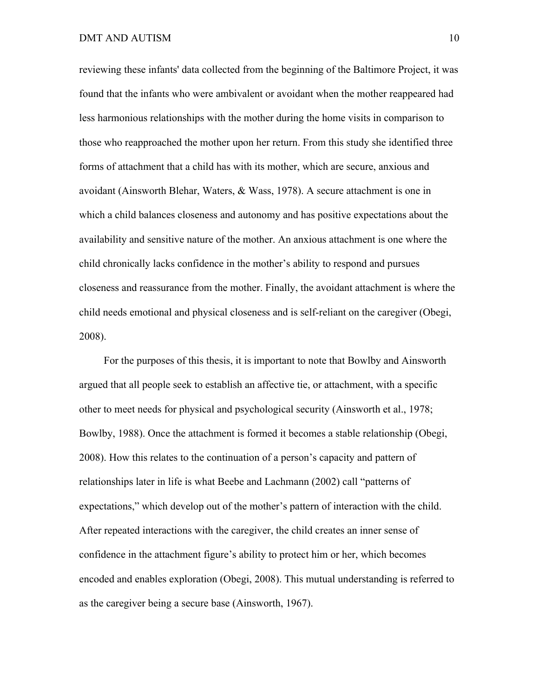reviewing these infants' data collected from the beginning of the Baltimore Project, it was found that the infants who were ambivalent or avoidant when the mother reappeared had less harmonious relationships with the mother during the home visits in comparison to those who reapproached the mother upon her return. From this study she identified three forms of attachment that a child has with its mother, which are secure, anxious and avoidant (Ainsworth Blehar, Waters, & Wass, 1978). A secure attachment is one in which a child balances closeness and autonomy and has positive expectations about the availability and sensitive nature of the mother. An anxious attachment is one where the child chronically lacks confidence in the mother's ability to respond and pursues closeness and reassurance from the mother. Finally, the avoidant attachment is where the child needs emotional and physical closeness and is self-reliant on the caregiver (Obegi, 2008).

For the purposes of this thesis, it is important to note that Bowlby and Ainsworth argued that all people seek to establish an affective tie, or attachment, with a specific other to meet needs for physical and psychological security (Ainsworth et al., 1978; Bowlby, 1988). Once the attachment is formed it becomes a stable relationship (Obegi, 2008). How this relates to the continuation of a person's capacity and pattern of relationships later in life is what Beebe and Lachmann (2002) call "patterns of expectations," which develop out of the mother's pattern of interaction with the child. After repeated interactions with the caregiver, the child creates an inner sense of confidence in the attachment figure's ability to protect him or her, which becomes encoded and enables exploration (Obegi, 2008). This mutual understanding is referred to as the caregiver being a secure base (Ainsworth, 1967).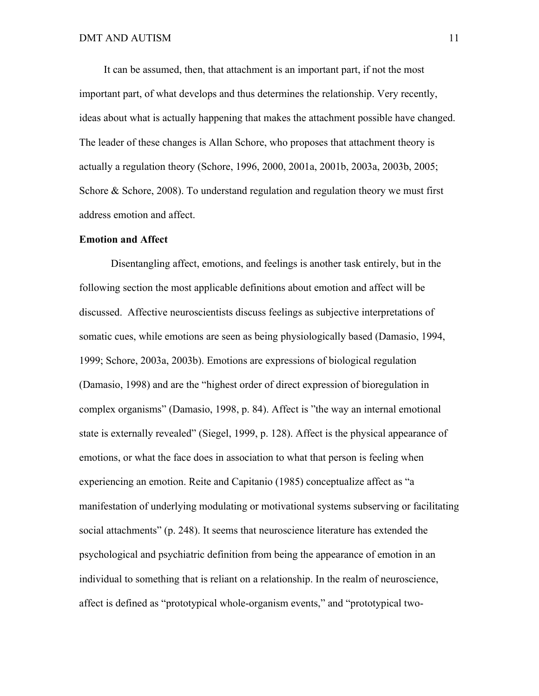It can be assumed, then, that attachment is an important part, if not the most important part, of what develops and thus determines the relationship. Very recently, ideas about what is actually happening that makes the attachment possible have changed. The leader of these changes is Allan Schore, who proposes that attachment theory is actually a regulation theory (Schore, 1996, 2000, 2001a, 2001b, 2003a, 2003b, 2005; Schore & Schore, 2008). To understand regulation and regulation theory we must first address emotion and affect.

#### **Emotion and Affect**

Disentangling affect, emotions, and feelings is another task entirely, but in the following section the most applicable definitions about emotion and affect will be discussed. Affective neuroscientists discuss feelings as subjective interpretations of somatic cues, while emotions are seen as being physiologically based (Damasio, 1994, 1999; Schore, 2003a, 2003b). Emotions are expressions of biological regulation (Damasio, 1998) and are the "highest order of direct expression of bioregulation in complex organisms" (Damasio, 1998, p. 84). Affect is "the way an internal emotional state is externally revealed" (Siegel, 1999, p. 128). Affect is the physical appearance of emotions, or what the face does in association to what that person is feeling when experiencing an emotion. Reite and Capitanio (1985) conceptualize affect as "a manifestation of underlying modulating or motivational systems subserving or facilitating social attachments" (p. 248). It seems that neuroscience literature has extended the psychological and psychiatric definition from being the appearance of emotion in an individual to something that is reliant on a relationship. In the realm of neuroscience, affect is defined as "prototypical whole-organism events," and "prototypical two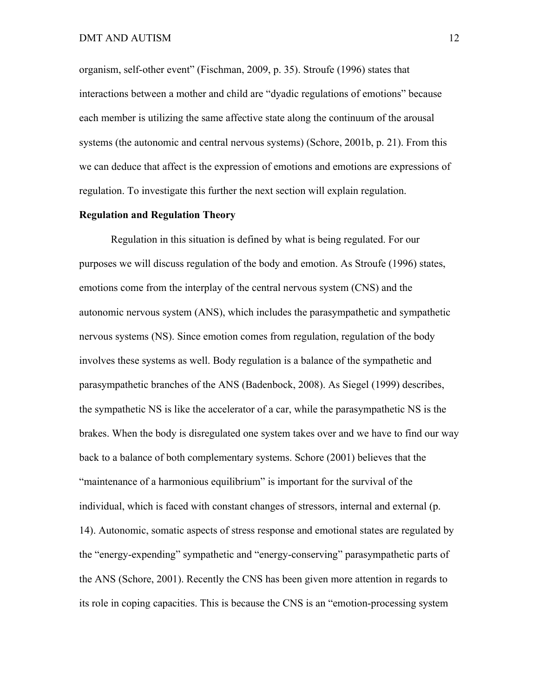organism, self-other event" (Fischman, 2009, p. 35). Stroufe (1996) states that interactions between a mother and child are "dyadic regulations of emotions" because each member is utilizing the same affective state along the continuum of the arousal systems (the autonomic and central nervous systems) (Schore, 2001b, p. 21). From this we can deduce that affect is the expression of emotions and emotions are expressions of regulation. To investigate this further the next section will explain regulation.

## **Regulation and Regulation Theory**

Regulation in this situation is defined by what is being regulated. For our purposes we will discuss regulation of the body and emotion. As Stroufe (1996) states, emotions come from the interplay of the central nervous system (CNS) and the autonomic nervous system (ANS), which includes the parasympathetic and sympathetic nervous systems (NS). Since emotion comes from regulation, regulation of the body involves these systems as well. Body regulation is a balance of the sympathetic and parasympathetic branches of the ANS (Badenbock, 2008). As Siegel (1999) describes, the sympathetic NS is like the accelerator of a car, while the parasympathetic NS is the brakes. When the body is disregulated one system takes over and we have to find our way back to a balance of both complementary systems. Schore (2001) believes that the "maintenance of a harmonious equilibrium" is important for the survival of the individual, which is faced with constant changes of stressors, internal and external (p. 14). Autonomic, somatic aspects of stress response and emotional states are regulated by the "energy-expending" sympathetic and "energy-conserving" parasympathetic parts of the ANS (Schore, 2001). Recently the CNS has been given more attention in regards to its role in coping capacities. This is because the CNS is an "emotion-processing system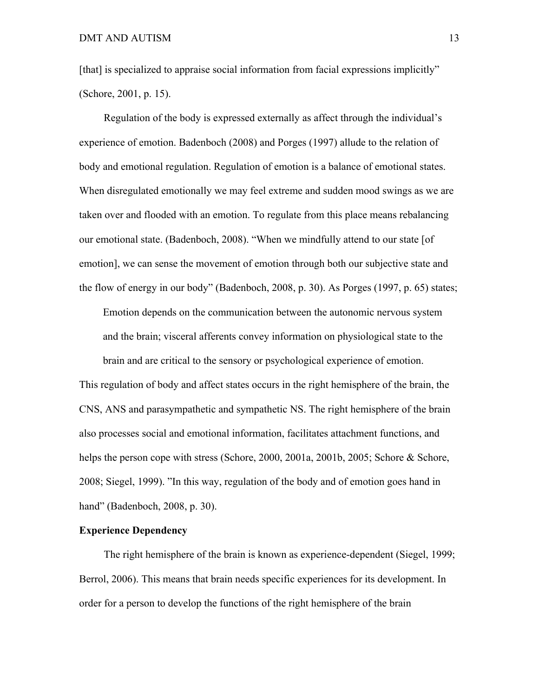[that] is specialized to appraise social information from facial expressions implicitly" (Schore, 2001, p. 15).

Regulation of the body is expressed externally as affect through the individual's experience of emotion. Badenboch (2008) and Porges (1997) allude to the relation of body and emotional regulation. Regulation of emotion is a balance of emotional states. When disregulated emotionally we may feel extreme and sudden mood swings as we are taken over and flooded with an emotion. To regulate from this place means rebalancing our emotional state. (Badenboch, 2008). "When we mindfully attend to our state [of emotion], we can sense the movement of emotion through both our subjective state and the flow of energy in our body" (Badenboch, 2008, p. 30). As Porges (1997, p. 65) states;

Emotion depends on the communication between the autonomic nervous system and the brain; visceral afferents convey information on physiological state to the brain and are critical to the sensory or psychological experience of emotion.

This regulation of body and affect states occurs in the right hemisphere of the brain, the CNS, ANS and parasympathetic and sympathetic NS. The right hemisphere of the brain also processes social and emotional information, facilitates attachment functions, and helps the person cope with stress (Schore, 2000, 2001a, 2001b, 2005; Schore & Schore, 2008; Siegel, 1999). "In this way, regulation of the body and of emotion goes hand in hand" (Badenboch, 2008, p. 30).

# **Experience Dependency**

The right hemisphere of the brain is known as experience-dependent (Siegel, 1999; Berrol, 2006). This means that brain needs specific experiences for its development. In order for a person to develop the functions of the right hemisphere of the brain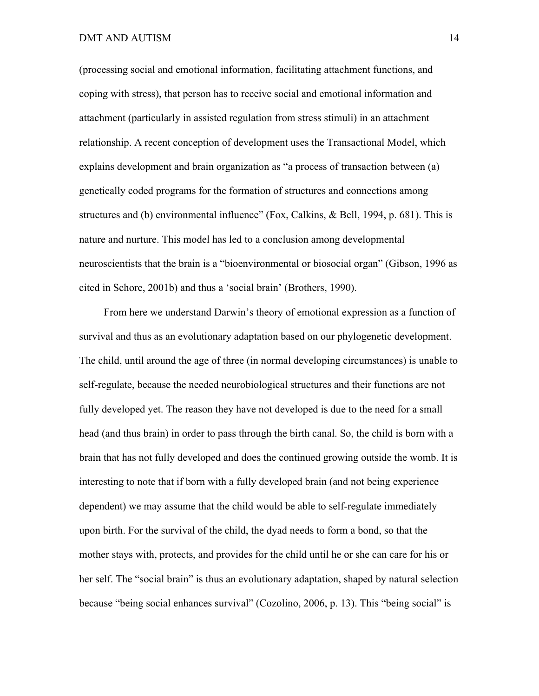(processing social and emotional information, facilitating attachment functions, and coping with stress), that person has to receive social and emotional information and attachment (particularly in assisted regulation from stress stimuli) in an attachment relationship. A recent conception of development uses the Transactional Model, which explains development and brain organization as "a process of transaction between (a) genetically coded programs for the formation of structures and connections among structures and (b) environmental influence" (Fox, Calkins, & Bell, 1994, p. 681). This is nature and nurture. This model has led to a conclusion among developmental neuroscientists that the brain is a "bioenvironmental or biosocial organ" (Gibson, 1996 as cited in Schore, 2001b) and thus a 'social brain' (Brothers, 1990).

From here we understand Darwin's theory of emotional expression as a function of survival and thus as an evolutionary adaptation based on our phylogenetic development. The child, until around the age of three (in normal developing circumstances) is unable to self-regulate, because the needed neurobiological structures and their functions are not fully developed yet. The reason they have not developed is due to the need for a small head (and thus brain) in order to pass through the birth canal. So, the child is born with a brain that has not fully developed and does the continued growing outside the womb. It is interesting to note that if born with a fully developed brain (and not being experience dependent) we may assume that the child would be able to self-regulate immediately upon birth. For the survival of the child, the dyad needs to form a bond, so that the mother stays with, protects, and provides for the child until he or she can care for his or her self. The "social brain" is thus an evolutionary adaptation, shaped by natural selection because "being social enhances survival" (Cozolino, 2006, p. 13). This "being social" is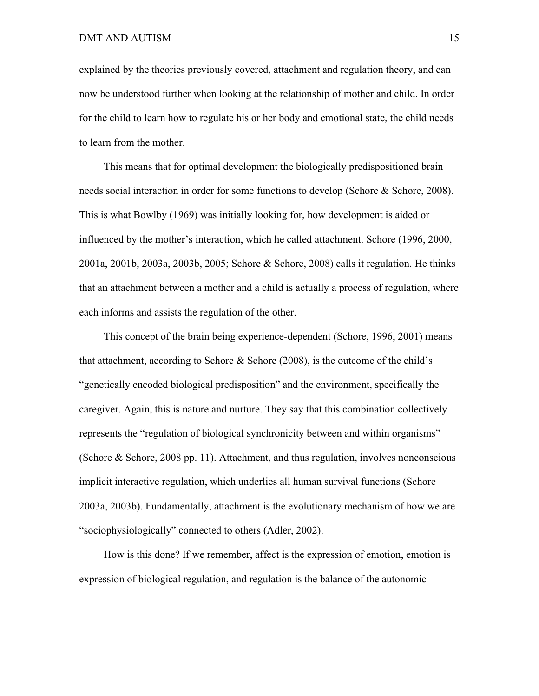explained by the theories previously covered, attachment and regulation theory, and can now be understood further when looking at the relationship of mother and child. In order for the child to learn how to regulate his or her body and emotional state, the child needs to learn from the mother.

This means that for optimal development the biologically predispositioned brain needs social interaction in order for some functions to develop (Schore & Schore, 2008). This is what Bowlby (1969) was initially looking for, how development is aided or influenced by the mother's interaction, which he called attachment. Schore (1996, 2000, 2001a, 2001b, 2003a, 2003b, 2005; Schore & Schore, 2008) calls it regulation. He thinks that an attachment between a mother and a child is actually a process of regulation, where each informs and assists the regulation of the other.

This concept of the brain being experience-dependent (Schore, 1996, 2001) means that attachment, according to Schore  $\&$  Schore (2008), is the outcome of the child's "genetically encoded biological predisposition" and the environment, specifically the caregiver. Again, this is nature and nurture. They say that this combination collectively represents the "regulation of biological synchronicity between and within organisms" (Schore & Schore, 2008 pp. 11). Attachment, and thus regulation, involves nonconscious implicit interactive regulation, which underlies all human survival functions (Schore 2003a, 2003b). Fundamentally, attachment is the evolutionary mechanism of how we are "sociophysiologically" connected to others (Adler, 2002).

How is this done? If we remember, affect is the expression of emotion, emotion is expression of biological regulation, and regulation is the balance of the autonomic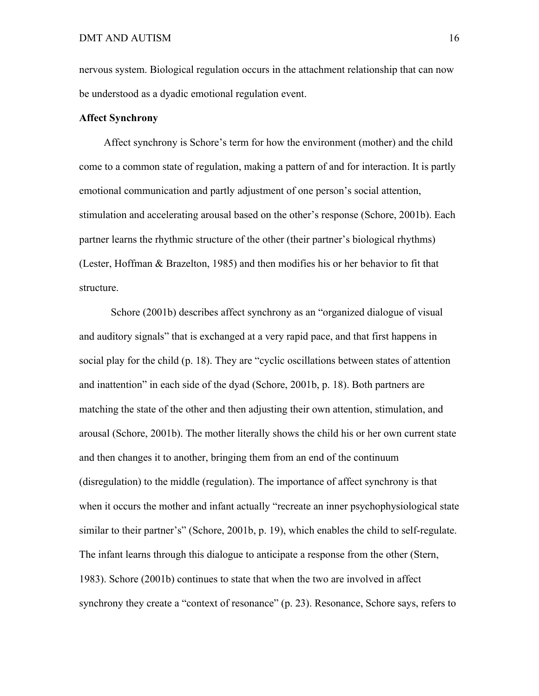nervous system. Biological regulation occurs in the attachment relationship that can now be understood as a dyadic emotional regulation event.

# **Affect Synchrony**

Affect synchrony is Schore's term for how the environment (mother) and the child come to a common state of regulation, making a pattern of and for interaction. It is partly emotional communication and partly adjustment of one person's social attention, stimulation and accelerating arousal based on the other's response (Schore, 2001b). Each partner learns the rhythmic structure of the other (their partner's biological rhythms) (Lester, Hoffman & Brazelton, 1985) and then modifies his or her behavior to fit that structure.

Schore (2001b) describes affect synchrony as an "organized dialogue of visual and auditory signals" that is exchanged at a very rapid pace, and that first happens in social play for the child (p. 18). They are "cyclic oscillations between states of attention and inattention" in each side of the dyad (Schore, 2001b, p. 18). Both partners are matching the state of the other and then adjusting their own attention, stimulation, and arousal (Schore, 2001b). The mother literally shows the child his or her own current state and then changes it to another, bringing them from an end of the continuum (disregulation) to the middle (regulation). The importance of affect synchrony is that when it occurs the mother and infant actually "recreate an inner psychophysiological state similar to their partner's" (Schore, 2001b, p. 19), which enables the child to self-regulate. The infant learns through this dialogue to anticipate a response from the other (Stern, 1983). Schore (2001b) continues to state that when the two are involved in affect synchrony they create a "context of resonance" (p. 23). Resonance, Schore says, refers to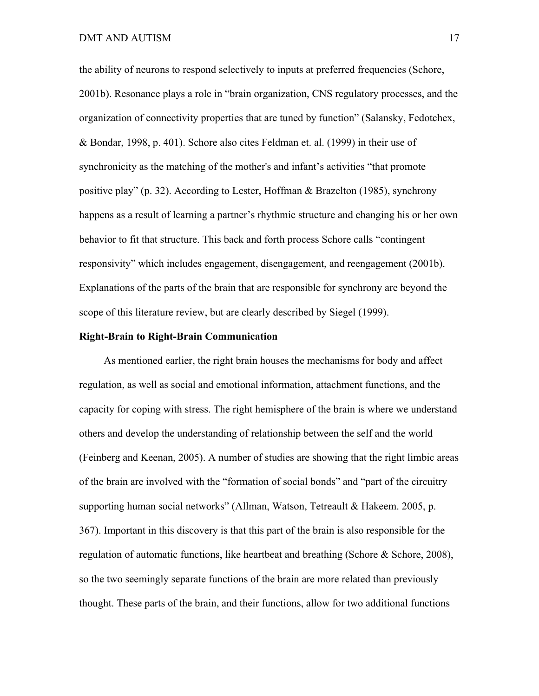the ability of neurons to respond selectively to inputs at preferred frequencies (Schore, 2001b). Resonance plays a role in "brain organization, CNS regulatory processes, and the organization of connectivity properties that are tuned by function" (Salansky, Fedotchex, & Bondar, 1998, p. 401). Schore also cites Feldman et. al. (1999) in their use of synchronicity as the matching of the mother's and infant's activities "that promote positive play" (p. 32). According to Lester, Hoffman & Brazelton (1985), synchrony happens as a result of learning a partner's rhythmic structure and changing his or her own behavior to fit that structure. This back and forth process Schore calls "contingent responsivity" which includes engagement, disengagement, and reengagement (2001b). Explanations of the parts of the brain that are responsible for synchrony are beyond the scope of this literature review, but are clearly described by Siegel (1999).

#### **Right-Brain to Right-Brain Communication**

As mentioned earlier, the right brain houses the mechanisms for body and affect regulation, as well as social and emotional information, attachment functions, and the capacity for coping with stress. The right hemisphere of the brain is where we understand others and develop the understanding of relationship between the self and the world (Feinberg and Keenan, 2005). A number of studies are showing that the right limbic areas of the brain are involved with the "formation of social bonds" and "part of the circuitry supporting human social networks" (Allman, Watson, Tetreault & Hakeem. 2005, p. 367). Important in this discovery is that this part of the brain is also responsible for the regulation of automatic functions, like heartbeat and breathing (Schore & Schore, 2008), so the two seemingly separate functions of the brain are more related than previously thought. These parts of the brain, and their functions, allow for two additional functions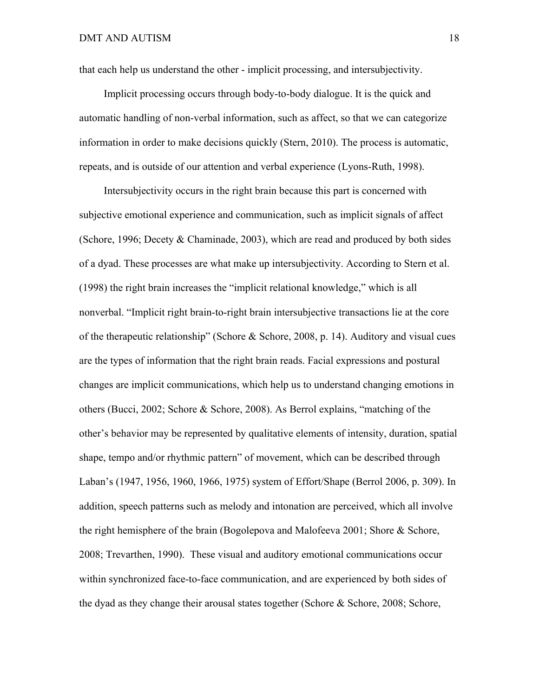that each help us understand the other - implicit processing, and intersubjectivity.

Implicit processing occurs through body-to-body dialogue. It is the quick and automatic handling of non-verbal information, such as affect, so that we can categorize information in order to make decisions quickly (Stern, 2010). The process is automatic, repeats, and is outside of our attention and verbal experience (Lyons-Ruth, 1998).

Intersubjectivity occurs in the right brain because this part is concerned with subjective emotional experience and communication, such as implicit signals of affect (Schore, 1996; Decety & Chaminade, 2003), which are read and produced by both sides of a dyad. These processes are what make up intersubjectivity. According to Stern et al. (1998) the right brain increases the "implicit relational knowledge," which is all nonverbal. "Implicit right brain-to-right brain intersubjective transactions lie at the core of the therapeutic relationship" (Schore & Schore, 2008, p. 14). Auditory and visual cues are the types of information that the right brain reads. Facial expressions and postural changes are implicit communications, which help us to understand changing emotions in others (Bucci, 2002; Schore & Schore, 2008). As Berrol explains, "matching of the other's behavior may be represented by qualitative elements of intensity, duration, spatial shape, tempo and/or rhythmic pattern" of movement, which can be described through Laban's (1947, 1956, 1960, 1966, 1975) system of Effort/Shape (Berrol 2006, p. 309). In addition, speech patterns such as melody and intonation are perceived, which all involve the right hemisphere of the brain (Bogolepova and Malofeeva 2001; Shore & Schore, 2008; Trevarthen, 1990). These visual and auditory emotional communications occur within synchronized face-to-face communication, and are experienced by both sides of the dyad as they change their arousal states together (Schore  $\&$  Schore, 2008; Schore,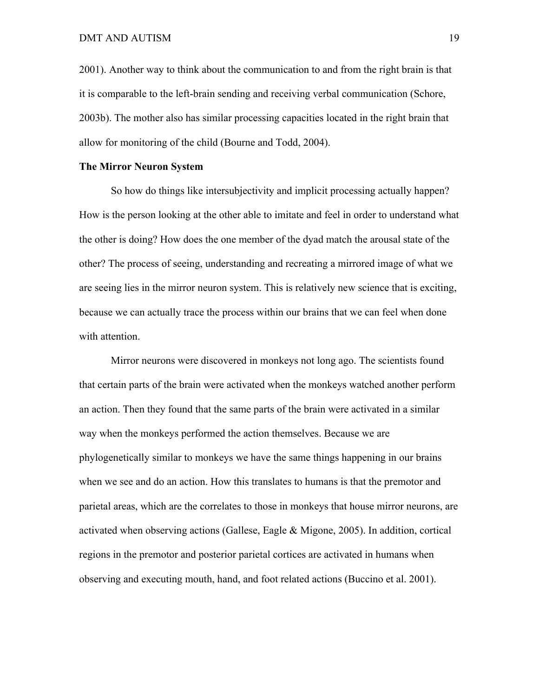2001). Another way to think about the communication to and from the right brain is that it is comparable to the left-brain sending and receiving verbal communication (Schore, 2003b). The mother also has similar processing capacities located in the right brain that allow for monitoring of the child (Bourne and Todd, 2004).

## **The Mirror Neuron System**

So how do things like intersubjectivity and implicit processing actually happen? How is the person looking at the other able to imitate and feel in order to understand what the other is doing? How does the one member of the dyad match the arousal state of the other? The process of seeing, understanding and recreating a mirrored image of what we are seeing lies in the mirror neuron system. This is relatively new science that is exciting, because we can actually trace the process within our brains that we can feel when done with attention.

Mirror neurons were discovered in monkeys not long ago. The scientists found that certain parts of the brain were activated when the monkeys watched another perform an action. Then they found that the same parts of the brain were activated in a similar way when the monkeys performed the action themselves. Because we are phylogenetically similar to monkeys we have the same things happening in our brains when we see and do an action. How this translates to humans is that the premotor and parietal areas, which are the correlates to those in monkeys that house mirror neurons, are activated when observing actions (Gallese, Eagle & Migone, 2005). In addition, cortical regions in the premotor and posterior parietal cortices are activated in humans when observing and executing mouth, hand, and foot related actions (Buccino et al. 2001).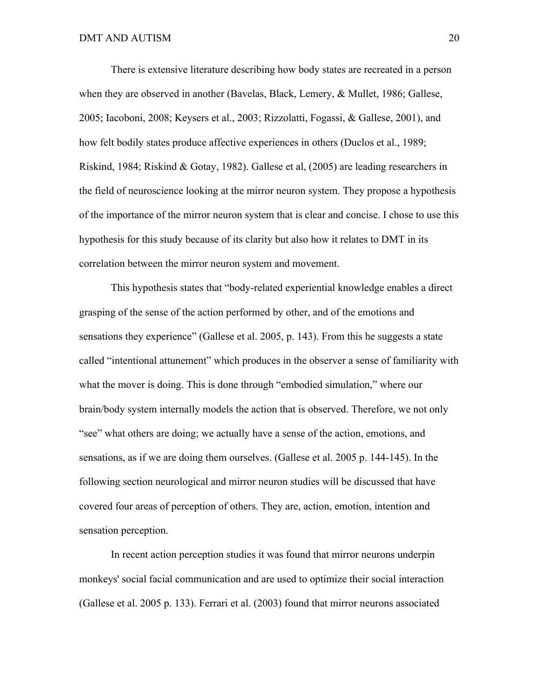There is extensive literature describing how body states are recreated in a person when they are observed in another (Bavelas, Black, Lemery, & Mullet, 1986; Gallese, 2005; Iacoboni, 2008; Keysers et al., 2003; Rizzolatti, Fogassi, & Gallese, 2001), and how felt bodily states produce affective experiences in others (Duclos et al., 1989; Riskind, 1984; Riskind & Gotay, 1982). Gallese et al, (2005) are leading researchers in the field of neuroscience looking at the mirror neuron system. They propose a hypothesis of the importance of the mirror neuron system that is clear and concise. I chose to use this hypothesis for this study because of its clarity but also how it relates to DMT in its correlation between the mirror neuron system and movement.

This hypothesis states that "body-related experiential knowledge enables a direct grasping of the sense of the action performed by other, and of the emotions and sensations they experience" (Gallese et al. 2005, p. 143). From this he suggests a state called "intentional attunement" which produces in the observer a sense of familiarity with what the mover is doing. This is done through "embodied simulation," where our brain/body system internally models the action that is observed. Therefore, we not only "see" what others are doing; we actually have a sense of the action, emotions, and sensations, as if we are doing them ourselves. (Gallese et al. 2005 p. 144-145). In the following section neurological and mirror neuron studies will be discussed that have covered four areas of perception of others. They are, action, emotion, intention and sensation perception.

In recent action perception studies it was found that mirror neurons underpin monkeys' social facial communication and are used to optimize their social interaction (Gallese et al. 2005 p. 133). Ferrari et al. (2003) found that mirror neurons associated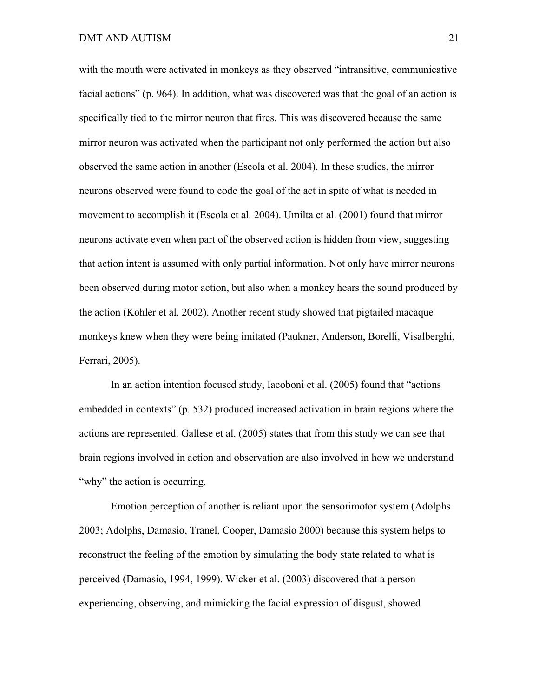with the mouth were activated in monkeys as they observed "intransitive, communicative facial actions" (p. 964). In addition, what was discovered was that the goal of an action is specifically tied to the mirror neuron that fires. This was discovered because the same mirror neuron was activated when the participant not only performed the action but also observed the same action in another (Escola et al. 2004). In these studies, the mirror neurons observed were found to code the goal of the act in spite of what is needed in movement to accomplish it (Escola et al. 2004). Umilta et al. (2001) found that mirror neurons activate even when part of the observed action is hidden from view, suggesting that action intent is assumed with only partial information. Not only have mirror neurons been observed during motor action, but also when a monkey hears the sound produced by the action (Kohler et al. 2002). Another recent study showed that pigtailed macaque monkeys knew when they were being imitated (Paukner, Anderson, Borelli, Visalberghi, Ferrari, 2005).

In an action intention focused study, Iacoboni et al. (2005) found that "actions embedded in contexts" (p. 532) produced increased activation in brain regions where the actions are represented. Gallese et al. (2005) states that from this study we can see that brain regions involved in action and observation are also involved in how we understand "why" the action is occurring.

Emotion perception of another is reliant upon the sensorimotor system (Adolphs 2003; Adolphs, Damasio, Tranel, Cooper, Damasio 2000) because this system helps to reconstruct the feeling of the emotion by simulating the body state related to what is perceived (Damasio, 1994, 1999). Wicker et al. (2003) discovered that a person experiencing, observing, and mimicking the facial expression of disgust, showed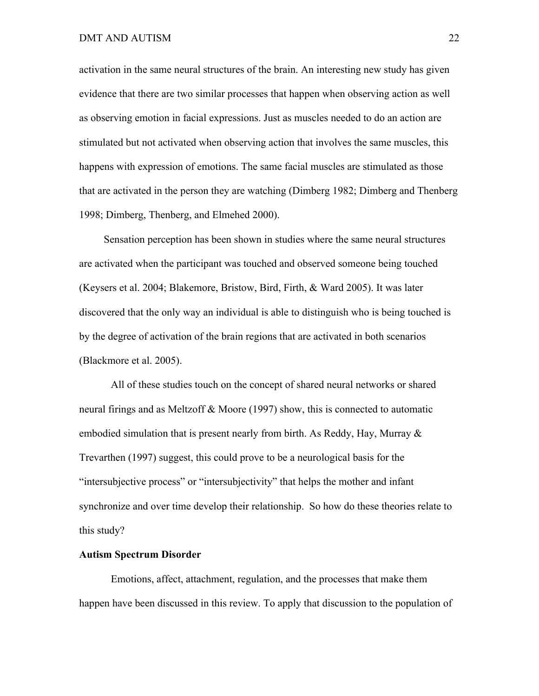activation in the same neural structures of the brain. An interesting new study has given evidence that there are two similar processes that happen when observing action as well as observing emotion in facial expressions. Just as muscles needed to do an action are stimulated but not activated when observing action that involves the same muscles, this happens with expression of emotions. The same facial muscles are stimulated as those that are activated in the person they are watching (Dimberg 1982; Dimberg and Thenberg 1998; Dimberg, Thenberg, and Elmehed 2000).

Sensation perception has been shown in studies where the same neural structures are activated when the participant was touched and observed someone being touched (Keysers et al. 2004; Blakemore, Bristow, Bird, Firth, & Ward 2005). It was later discovered that the only way an individual is able to distinguish who is being touched is by the degree of activation of the brain regions that are activated in both scenarios (Blackmore et al. 2005).

All of these studies touch on the concept of shared neural networks or shared neural firings and as Meltzoff & Moore (1997) show, this is connected to automatic embodied simulation that is present nearly from birth. As Reddy, Hay, Murray  $\&$ Trevarthen (1997) suggest, this could prove to be a neurological basis for the "intersubjective process" or "intersubjectivity" that helps the mother and infant synchronize and over time develop their relationship. So how do these theories relate to this study?

# **Autism Spectrum Disorder**

Emotions, affect, attachment, regulation, and the processes that make them happen have been discussed in this review. To apply that discussion to the population of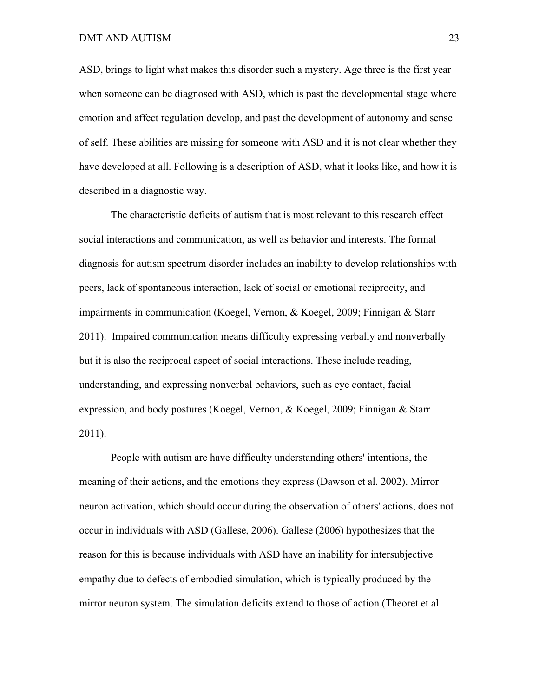ASD, brings to light what makes this disorder such a mystery. Age three is the first year when someone can be diagnosed with ASD, which is past the developmental stage where emotion and affect regulation develop, and past the development of autonomy and sense of self. These abilities are missing for someone with ASD and it is not clear whether they have developed at all. Following is a description of ASD, what it looks like, and how it is described in a diagnostic way.

The characteristic deficits of autism that is most relevant to this research effect social interactions and communication, as well as behavior and interests. The formal diagnosis for autism spectrum disorder includes an inability to develop relationships with peers, lack of spontaneous interaction, lack of social or emotional reciprocity, and impairments in communication (Koegel, Vernon, & Koegel, 2009; Finnigan & Starr 2011). Impaired communication means difficulty expressing verbally and nonverbally but it is also the reciprocal aspect of social interactions. These include reading, understanding, and expressing nonverbal behaviors, such as eye contact, facial expression, and body postures (Koegel, Vernon, & Koegel, 2009; Finnigan & Starr 2011).

People with autism are have difficulty understanding others' intentions, the meaning of their actions, and the emotions they express (Dawson et al. 2002). Mirror neuron activation, which should occur during the observation of others' actions, does not occur in individuals with ASD (Gallese, 2006). Gallese (2006) hypothesizes that the reason for this is because individuals with ASD have an inability for intersubjective empathy due to defects of embodied simulation, which is typically produced by the mirror neuron system. The simulation deficits extend to those of action (Theoret et al.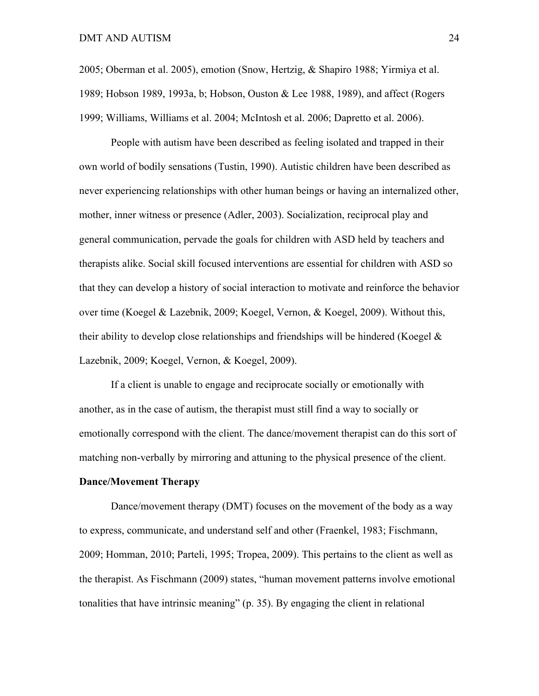2005; Oberman et al. 2005), emotion (Snow, Hertzig, & Shapiro 1988; Yirmiya et al. 1989; Hobson 1989, 1993a, b; Hobson, Ouston & Lee 1988, 1989), and affect (Rogers 1999; Williams, Williams et al. 2004; McIntosh et al. 2006; Dapretto et al. 2006).

People with autism have been described as feeling isolated and trapped in their own world of bodily sensations (Tustin, 1990). Autistic children have been described as never experiencing relationships with other human beings or having an internalized other, mother, inner witness or presence (Adler, 2003). Socialization, reciprocal play and general communication, pervade the goals for children with ASD held by teachers and therapists alike. Social skill focused interventions are essential for children with ASD so that they can develop a history of social interaction to motivate and reinforce the behavior over time (Koegel & Lazebnik, 2009; Koegel, Vernon, & Koegel, 2009). Without this, their ability to develop close relationships and friendships will be hindered (Koegel  $\&$ Lazebnik, 2009; Koegel, Vernon, & Koegel, 2009).

If a client is unable to engage and reciprocate socially or emotionally with another, as in the case of autism, the therapist must still find a way to socially or emotionally correspond with the client. The dance/movement therapist can do this sort of matching non-verbally by mirroring and attuning to the physical presence of the client.

#### **Dance/Movement Therapy**

Dance/movement therapy (DMT) focuses on the movement of the body as a way to express, communicate, and understand self and other (Fraenkel, 1983; Fischmann, 2009; Homman, 2010; Parteli, 1995; Tropea, 2009). This pertains to the client as well as the therapist. As Fischmann (2009) states, "human movement patterns involve emotional tonalities that have intrinsic meaning" (p. 35). By engaging the client in relational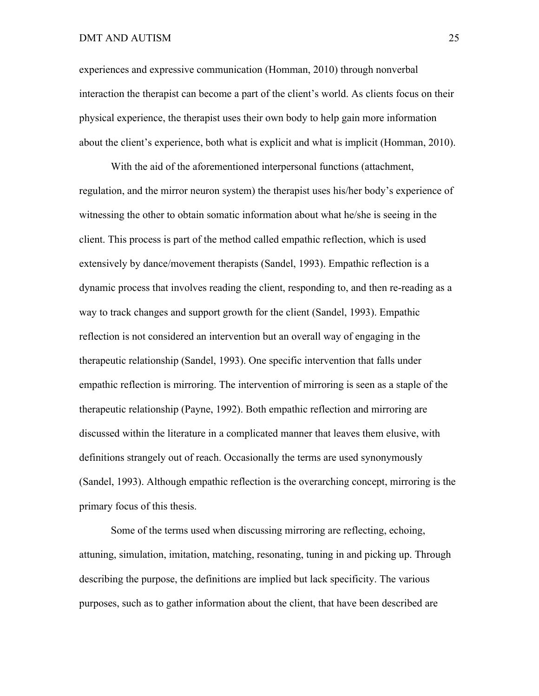## DMT AND AUTISM 25

experiences and expressive communication (Homman, 2010) through nonverbal interaction the therapist can become a part of the client's world. As clients focus on their physical experience, the therapist uses their own body to help gain more information about the client's experience, both what is explicit and what is implicit (Homman, 2010).

With the aid of the aforementioned interpersonal functions (attachment, regulation, and the mirror neuron system) the therapist uses his/her body's experience of witnessing the other to obtain somatic information about what he/she is seeing in the client. This process is part of the method called empathic reflection, which is used extensively by dance/movement therapists (Sandel, 1993). Empathic reflection is a dynamic process that involves reading the client, responding to, and then re-reading as a way to track changes and support growth for the client (Sandel, 1993). Empathic reflection is not considered an intervention but an overall way of engaging in the therapeutic relationship (Sandel, 1993). One specific intervention that falls under empathic reflection is mirroring. The intervention of mirroring is seen as a staple of the therapeutic relationship (Payne, 1992). Both empathic reflection and mirroring are discussed within the literature in a complicated manner that leaves them elusive, with definitions strangely out of reach. Occasionally the terms are used synonymously (Sandel, 1993). Although empathic reflection is the overarching concept, mirroring is the primary focus of this thesis.

Some of the terms used when discussing mirroring are reflecting, echoing, attuning, simulation, imitation, matching, resonating, tuning in and picking up. Through describing the purpose, the definitions are implied but lack specificity. The various purposes, such as to gather information about the client, that have been described are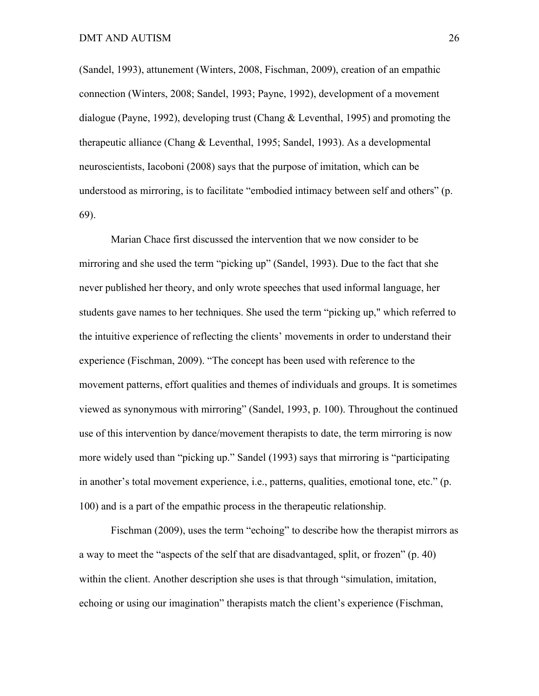(Sandel, 1993), attunement (Winters, 2008, Fischman, 2009), creation of an empathic connection (Winters, 2008; Sandel, 1993; Payne, 1992), development of a movement dialogue (Payne, 1992), developing trust (Chang & Leventhal, 1995) and promoting the therapeutic alliance (Chang & Leventhal, 1995; Sandel, 1993). As a developmental neuroscientists, Iacoboni (2008) says that the purpose of imitation, which can be understood as mirroring, is to facilitate "embodied intimacy between self and others" (p. 69).

Marian Chace first discussed the intervention that we now consider to be mirroring and she used the term "picking up" (Sandel, 1993). Due to the fact that she never published her theory, and only wrote speeches that used informal language, her students gave names to her techniques. She used the term "picking up," which referred to the intuitive experience of reflecting the clients' movements in order to understand their experience (Fischman, 2009). "The concept has been used with reference to the movement patterns, effort qualities and themes of individuals and groups. It is sometimes viewed as synonymous with mirroring" (Sandel, 1993, p. 100). Throughout the continued use of this intervention by dance/movement therapists to date, the term mirroring is now more widely used than "picking up." Sandel (1993) says that mirroring is "participating in another's total movement experience, i.e., patterns, qualities, emotional tone, etc." (p. 100) and is a part of the empathic process in the therapeutic relationship.

Fischman (2009), uses the term "echoing" to describe how the therapist mirrors as a way to meet the "aspects of the self that are disadvantaged, split, or frozen" (p. 40) within the client. Another description she uses is that through "simulation, imitation, echoing or using our imagination" therapists match the client's experience (Fischman,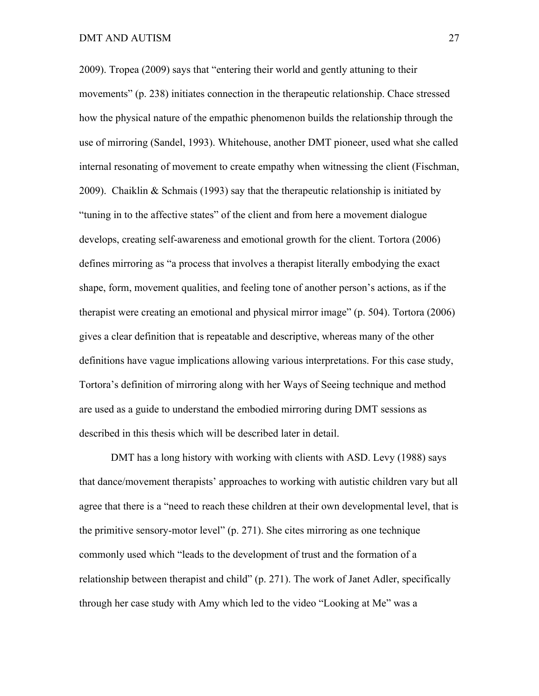2009). Tropea (2009) says that "entering their world and gently attuning to their movements" (p. 238) initiates connection in the therapeutic relationship. Chace stressed how the physical nature of the empathic phenomenon builds the relationship through the use of mirroring (Sandel, 1993). Whitehouse, another DMT pioneer, used what she called internal resonating of movement to create empathy when witnessing the client (Fischman, 2009). Chaiklin & Schmais (1993) say that the therapeutic relationship is initiated by "tuning in to the affective states" of the client and from here a movement dialogue develops, creating self-awareness and emotional growth for the client. Tortora (2006) defines mirroring as "a process that involves a therapist literally embodying the exact shape, form, movement qualities, and feeling tone of another person's actions, as if the therapist were creating an emotional and physical mirror image" (p. 504). Tortora (2006) gives a clear definition that is repeatable and descriptive, whereas many of the other definitions have vague implications allowing various interpretations. For this case study, Tortora's definition of mirroring along with her Ways of Seeing technique and method are used as a guide to understand the embodied mirroring during DMT sessions as described in this thesis which will be described later in detail.

DMT has a long history with working with clients with ASD. Levy (1988) says that dance/movement therapists' approaches to working with autistic children vary but all agree that there is a "need to reach these children at their own developmental level, that is the primitive sensory-motor level" (p. 271). She cites mirroring as one technique commonly used which "leads to the development of trust and the formation of a relationship between therapist and child" (p. 271). The work of Janet Adler, specifically through her case study with Amy which led to the video "Looking at Me" was a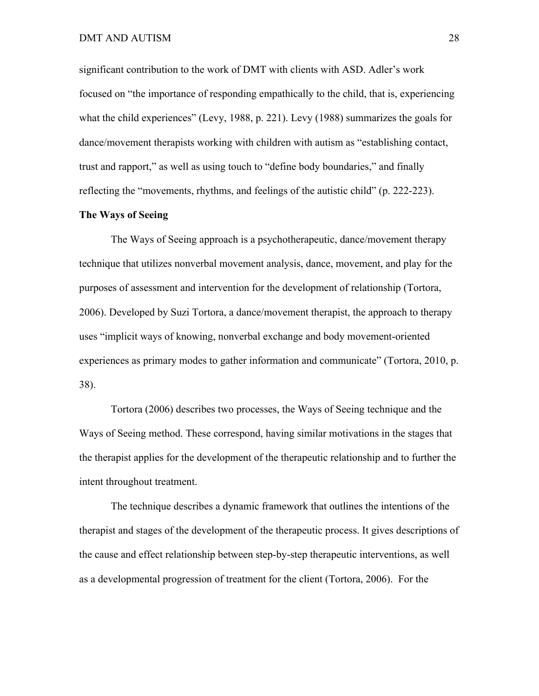significant contribution to the work of DMT with clients with ASD. Adler's work focused on "the importance of responding empathically to the child, that is, experiencing what the child experiences" (Levy, 1988, p. 221). Levy (1988) summarizes the goals for dance/movement therapists working with children with autism as "establishing contact, trust and rapport," as well as using touch to "define body boundaries," and finally reflecting the "movements, rhythms, and feelings of the autistic child" (p. 222-223).

# **The Ways of Seeing**

The Ways of Seeing approach is a psychotherapeutic, dance/movement therapy technique that utilizes nonverbal movement analysis, dance, movement, and play for the purposes of assessment and intervention for the development of relationship (Tortora, 2006). Developed by Suzi Tortora, a dance/movement therapist, the approach to therapy uses "implicit ways of knowing, nonverbal exchange and body movement-oriented experiences as primary modes to gather information and communicate" (Tortora, 2010, p. 38).

Tortora (2006) describes two processes, the Ways of Seeing technique and the Ways of Seeing method. These correspond, having similar motivations in the stages that the therapist applies for the development of the therapeutic relationship and to further the intent throughout treatment.

The technique describes a dynamic framework that outlines the intentions of the therapist and stages of the development of the therapeutic process. It gives descriptions of the cause and effect relationship between step-by-step therapeutic interventions, as well as a developmental progression of treatment for the client (Tortora, 2006). For the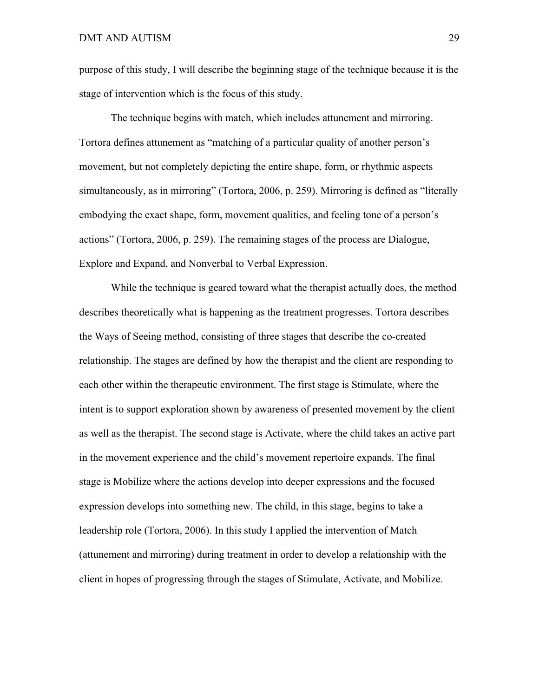purpose of this study, I will describe the beginning stage of the technique because it is the stage of intervention which is the focus of this study.

The technique begins with match, which includes attunement and mirroring. Tortora defines attunement as "matching of a particular quality of another person's movement, but not completely depicting the entire shape, form, or rhythmic aspects simultaneously, as in mirroring" (Tortora, 2006, p. 259). Mirroring is defined as "literally embodying the exact shape, form, movement qualities, and feeling tone of a person's actions" (Tortora, 2006, p. 259). The remaining stages of the process are Dialogue, Explore and Expand, and Nonverbal to Verbal Expression.

While the technique is geared toward what the therapist actually does, the method describes theoretically what is happening as the treatment progresses. Tortora describes the Ways of Seeing method, consisting of three stages that describe the co-created relationship. The stages are defined by how the therapist and the client are responding to each other within the therapeutic environment. The first stage is Stimulate, where the intent is to support exploration shown by awareness of presented movement by the client as well as the therapist. The second stage is Activate, where the child takes an active part in the movement experience and the child's movement repertoire expands. The final stage is Mobilize where the actions develop into deeper expressions and the focused expression develops into something new. The child, in this stage, begins to take a leadership role (Tortora, 2006). In this study I applied the intervention of Match (attunement and mirroring) during treatment in order to develop a relationship with the client in hopes of progressing through the stages of Stimulate, Activate, and Mobilize.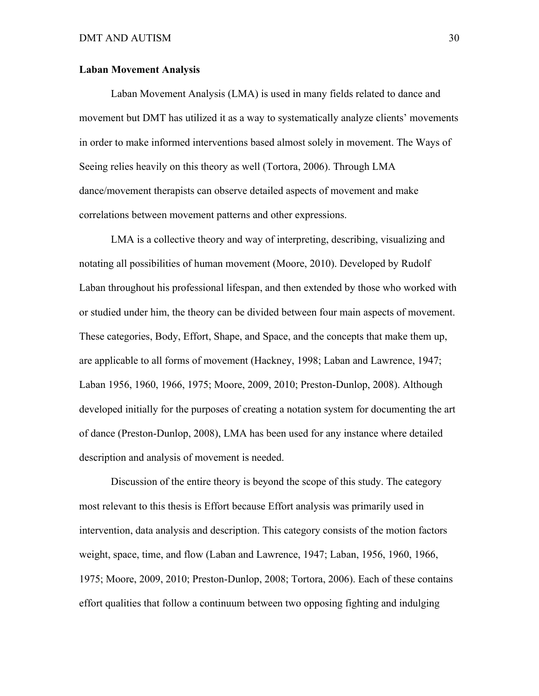# **Laban Movement Analysis**

Laban Movement Analysis (LMA) is used in many fields related to dance and movement but DMT has utilized it as a way to systematically analyze clients' movements in order to make informed interventions based almost solely in movement. The Ways of Seeing relies heavily on this theory as well (Tortora, 2006). Through LMA dance/movement therapists can observe detailed aspects of movement and make correlations between movement patterns and other expressions.

LMA is a collective theory and way of interpreting, describing, visualizing and notating all possibilities of human movement (Moore, 2010). Developed by Rudolf Laban throughout his professional lifespan, and then extended by those who worked with or studied under him, the theory can be divided between four main aspects of movement. These categories, Body, Effort, Shape, and Space, and the concepts that make them up, are applicable to all forms of movement (Hackney, 1998; Laban and Lawrence, 1947; Laban 1956, 1960, 1966, 1975; Moore, 2009, 2010; Preston-Dunlop, 2008). Although developed initially for the purposes of creating a notation system for documenting the art of dance (Preston-Dunlop, 2008), LMA has been used for any instance where detailed description and analysis of movement is needed.

Discussion of the entire theory is beyond the scope of this study. The category most relevant to this thesis is Effort because Effort analysis was primarily used in intervention, data analysis and description. This category consists of the motion factors weight, space, time, and flow (Laban and Lawrence, 1947; Laban, 1956, 1960, 1966, 1975; Moore, 2009, 2010; Preston-Dunlop, 2008; Tortora, 2006). Each of these contains effort qualities that follow a continuum between two opposing fighting and indulging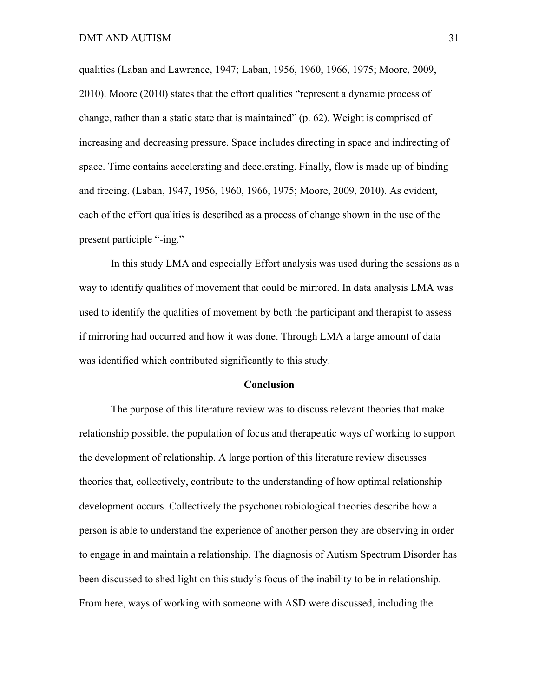qualities (Laban and Lawrence, 1947; Laban, 1956, 1960, 1966, 1975; Moore, 2009, 2010). Moore (2010) states that the effort qualities "represent a dynamic process of change, rather than a static state that is maintained" (p. 62). Weight is comprised of increasing and decreasing pressure. Space includes directing in space and indirecting of space. Time contains accelerating and decelerating. Finally, flow is made up of binding and freeing. (Laban, 1947, 1956, 1960, 1966, 1975; Moore, 2009, 2010). As evident, each of the effort qualities is described as a process of change shown in the use of the present participle "-ing."

In this study LMA and especially Effort analysis was used during the sessions as a way to identify qualities of movement that could be mirrored. In data analysis LMA was used to identify the qualities of movement by both the participant and therapist to assess if mirroring had occurred and how it was done. Through LMA a large amount of data was identified which contributed significantly to this study.

#### **Conclusion**

The purpose of this literature review was to discuss relevant theories that make relationship possible, the population of focus and therapeutic ways of working to support the development of relationship. A large portion of this literature review discusses theories that, collectively, contribute to the understanding of how optimal relationship development occurs. Collectively the psychoneurobiological theories describe how a person is able to understand the experience of another person they are observing in order to engage in and maintain a relationship. The diagnosis of Autism Spectrum Disorder has been discussed to shed light on this study's focus of the inability to be in relationship. From here, ways of working with someone with ASD were discussed, including the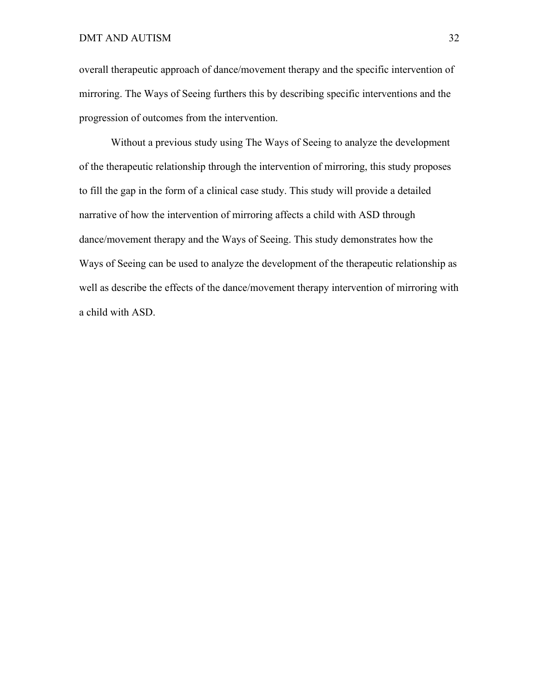overall therapeutic approach of dance/movement therapy and the specific intervention of mirroring. The Ways of Seeing furthers this by describing specific interventions and the progression of outcomes from the intervention.

Without a previous study using The Ways of Seeing to analyze the development of the therapeutic relationship through the intervention of mirroring, this study proposes to fill the gap in the form of a clinical case study. This study will provide a detailed narrative of how the intervention of mirroring affects a child with ASD through dance/movement therapy and the Ways of Seeing. This study demonstrates how the Ways of Seeing can be used to analyze the development of the therapeutic relationship as well as describe the effects of the dance/movement therapy intervention of mirroring with a child with ASD.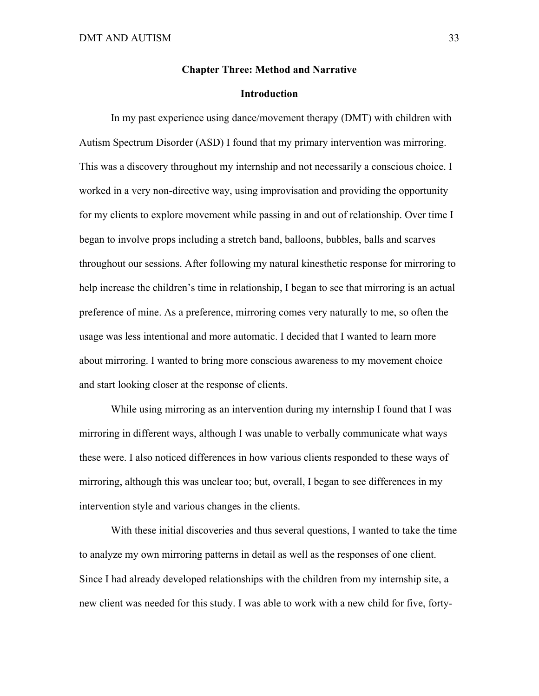### **Chapter Three: Method and Narrative**

### **Introduction**

In my past experience using dance/movement therapy (DMT) with children with Autism Spectrum Disorder (ASD) I found that my primary intervention was mirroring. This was a discovery throughout my internship and not necessarily a conscious choice. I worked in a very non-directive way, using improvisation and providing the opportunity for my clients to explore movement while passing in and out of relationship. Over time I began to involve props including a stretch band, balloons, bubbles, balls and scarves throughout our sessions. After following my natural kinesthetic response for mirroring to help increase the children's time in relationship, I began to see that mirroring is an actual preference of mine. As a preference, mirroring comes very naturally to me, so often the usage was less intentional and more automatic. I decided that I wanted to learn more about mirroring. I wanted to bring more conscious awareness to my movement choice and start looking closer at the response of clients.

While using mirroring as an intervention during my internship I found that I was mirroring in different ways, although I was unable to verbally communicate what ways these were. I also noticed differences in how various clients responded to these ways of mirroring, although this was unclear too; but, overall, I began to see differences in my intervention style and various changes in the clients.

With these initial discoveries and thus several questions, I wanted to take the time to analyze my own mirroring patterns in detail as well as the responses of one client. Since I had already developed relationships with the children from my internship site, a new client was needed for this study. I was able to work with a new child for five, forty-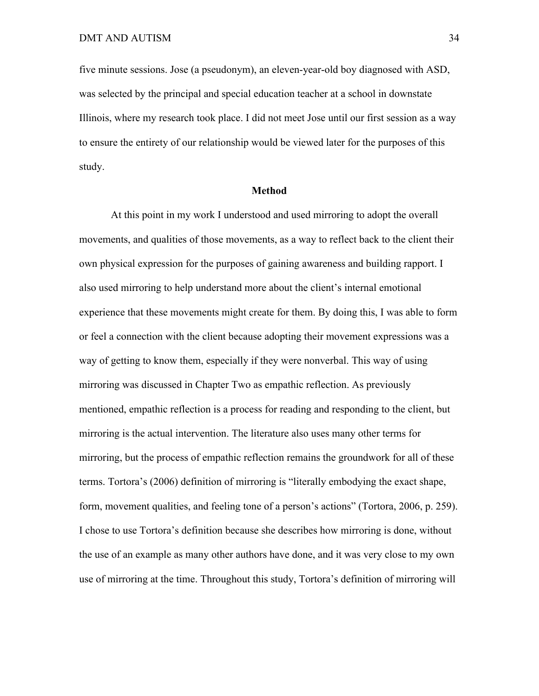five minute sessions. Jose (a pseudonym), an eleven-year-old boy diagnosed with ASD, was selected by the principal and special education teacher at a school in downstate Illinois, where my research took place. I did not meet Jose until our first session as a way to ensure the entirety of our relationship would be viewed later for the purposes of this study.

### **Method**

At this point in my work I understood and used mirroring to adopt the overall movements, and qualities of those movements, as a way to reflect back to the client their own physical expression for the purposes of gaining awareness and building rapport. I also used mirroring to help understand more about the client's internal emotional experience that these movements might create for them. By doing this, I was able to form or feel a connection with the client because adopting their movement expressions was a way of getting to know them, especially if they were nonverbal. This way of using mirroring was discussed in Chapter Two as empathic reflection. As previously mentioned, empathic reflection is a process for reading and responding to the client, but mirroring is the actual intervention. The literature also uses many other terms for mirroring, but the process of empathic reflection remains the groundwork for all of these terms. Tortora's (2006) definition of mirroring is "literally embodying the exact shape, form, movement qualities, and feeling tone of a person's actions" (Tortora, 2006, p. 259). I chose to use Tortora's definition because she describes how mirroring is done, without the use of an example as many other authors have done, and it was very close to my own use of mirroring at the time. Throughout this study, Tortora's definition of mirroring will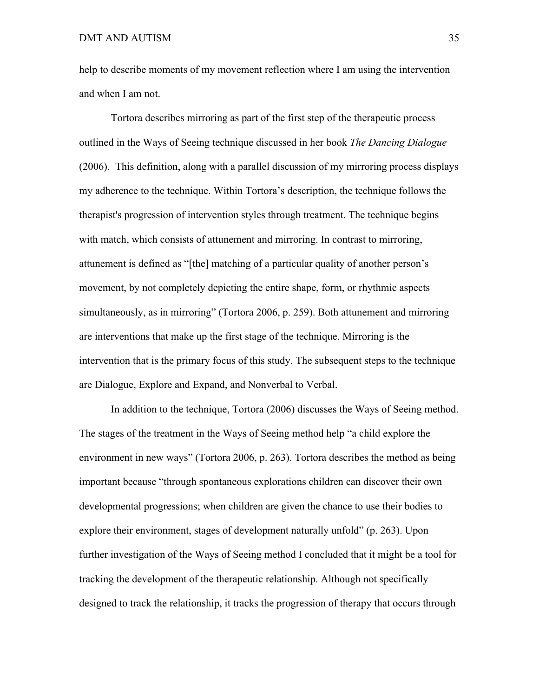help to describe moments of my movement reflection where I am using the intervention and when I am not.

Tortora describes mirroring as part of the first step of the therapeutic process outlined in the Ways of Seeing technique discussed in her book *The Dancing Dialogue* (2006). This definition, along with a parallel discussion of my mirroring process displays my adherence to the technique. Within Tortora's description, the technique follows the therapist's progression of intervention styles through treatment. The technique begins with match, which consists of attunement and mirroring. In contrast to mirroring, attunement is defined as "[the] matching of a particular quality of another person's movement, by not completely depicting the entire shape, form, or rhythmic aspects simultaneously, as in mirroring" (Tortora 2006, p. 259). Both attunement and mirroring are interventions that make up the first stage of the technique. Mirroring is the intervention that is the primary focus of this study. The subsequent steps to the technique are Dialogue, Explore and Expand, and Nonverbal to Verbal.

In addition to the technique, Tortora (2006) discusses the Ways of Seeing method. The stages of the treatment in the Ways of Seeing method help "a child explore the environment in new ways" (Tortora 2006, p. 263). Tortora describes the method as being important because "through spontaneous explorations children can discover their own developmental progressions; when children are given the chance to use their bodies to explore their environment, stages of development naturally unfold" (p. 263). Upon further investigation of the Ways of Seeing method I concluded that it might be a tool for tracking the development of the therapeutic relationship. Although not specifically designed to track the relationship, it tracks the progression of therapy that occurs through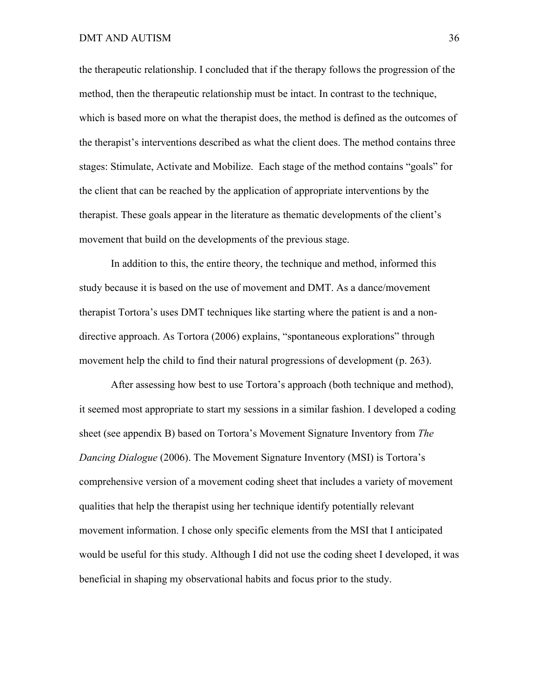the therapeutic relationship. I concluded that if the therapy follows the progression of the method, then the therapeutic relationship must be intact. In contrast to the technique, which is based more on what the therapist does, the method is defined as the outcomes of the therapist's interventions described as what the client does. The method contains three stages: Stimulate, Activate and Mobilize. Each stage of the method contains "goals" for the client that can be reached by the application of appropriate interventions by the therapist. These goals appear in the literature as thematic developments of the client's movement that build on the developments of the previous stage.

In addition to this, the entire theory, the technique and method, informed this study because it is based on the use of movement and DMT. As a dance/movement therapist Tortora's uses DMT techniques like starting where the patient is and a nondirective approach. As Tortora (2006) explains, "spontaneous explorations" through movement help the child to find their natural progressions of development (p. 263).

After assessing how best to use Tortora's approach (both technique and method), it seemed most appropriate to start my sessions in a similar fashion. I developed a coding sheet (see appendix B) based on Tortora's Movement Signature Inventory from *The Dancing Dialogue* (2006). The Movement Signature Inventory (MSI) is Tortora's comprehensive version of a movement coding sheet that includes a variety of movement qualities that help the therapist using her technique identify potentially relevant movement information. I chose only specific elements from the MSI that I anticipated would be useful for this study. Although I did not use the coding sheet I developed, it was beneficial in shaping my observational habits and focus prior to the study.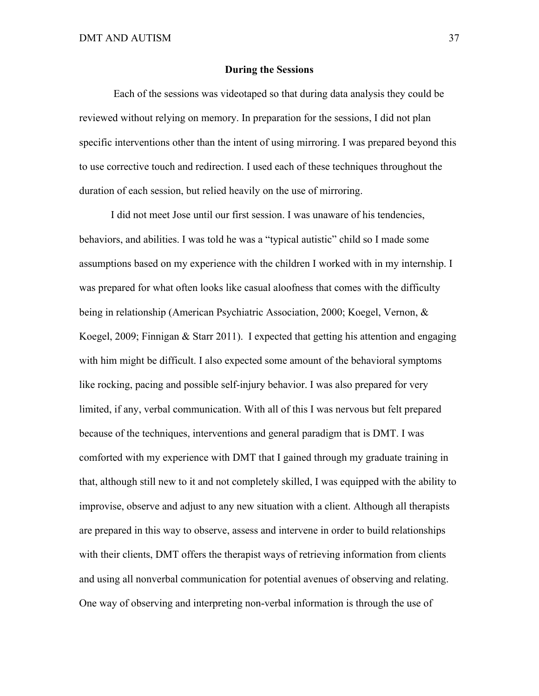### **During the Sessions**

Each of the sessions was videotaped so that during data analysis they could be reviewed without relying on memory. In preparation for the sessions, I did not plan specific interventions other than the intent of using mirroring. I was prepared beyond this to use corrective touch and redirection. I used each of these techniques throughout the duration of each session, but relied heavily on the use of mirroring.

I did not meet Jose until our first session. I was unaware of his tendencies, behaviors, and abilities. I was told he was a "typical autistic" child so I made some assumptions based on my experience with the children I worked with in my internship. I was prepared for what often looks like casual aloofness that comes with the difficulty being in relationship (American Psychiatric Association, 2000; Koegel, Vernon, & Koegel, 2009; Finnigan & Starr 2011). I expected that getting his attention and engaging with him might be difficult. I also expected some amount of the behavioral symptoms like rocking, pacing and possible self-injury behavior. I was also prepared for very limited, if any, verbal communication. With all of this I was nervous but felt prepared because of the techniques, interventions and general paradigm that is DMT. I was comforted with my experience with DMT that I gained through my graduate training in that, although still new to it and not completely skilled, I was equipped with the ability to improvise, observe and adjust to any new situation with a client. Although all therapists are prepared in this way to observe, assess and intervene in order to build relationships with their clients, DMT offers the therapist ways of retrieving information from clients and using all nonverbal communication for potential avenues of observing and relating. One way of observing and interpreting non-verbal information is through the use of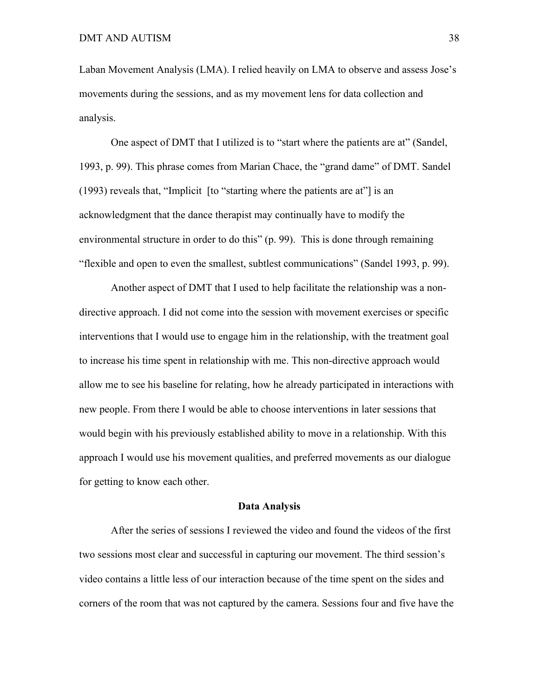Laban Movement Analysis (LMA). I relied heavily on LMA to observe and assess Jose's movements during the sessions, and as my movement lens for data collection and analysis.

One aspect of DMT that I utilized is to "start where the patients are at" (Sandel, 1993, p. 99). This phrase comes from Marian Chace, the "grand dame" of DMT. Sandel (1993) reveals that, "Implicit [to "starting where the patients are at"] is an acknowledgment that the dance therapist may continually have to modify the environmental structure in order to do this" (p. 99). This is done through remaining "flexible and open to even the smallest, subtlest communications" (Sandel 1993, p. 99).

Another aspect of DMT that I used to help facilitate the relationship was a nondirective approach. I did not come into the session with movement exercises or specific interventions that I would use to engage him in the relationship, with the treatment goal to increase his time spent in relationship with me. This non-directive approach would allow me to see his baseline for relating, how he already participated in interactions with new people. From there I would be able to choose interventions in later sessions that would begin with his previously established ability to move in a relationship. With this approach I would use his movement qualities, and preferred movements as our dialogue for getting to know each other.

#### **Data Analysis**

After the series of sessions I reviewed the video and found the videos of the first two sessions most clear and successful in capturing our movement. The third session's video contains a little less of our interaction because of the time spent on the sides and corners of the room that was not captured by the camera. Sessions four and five have the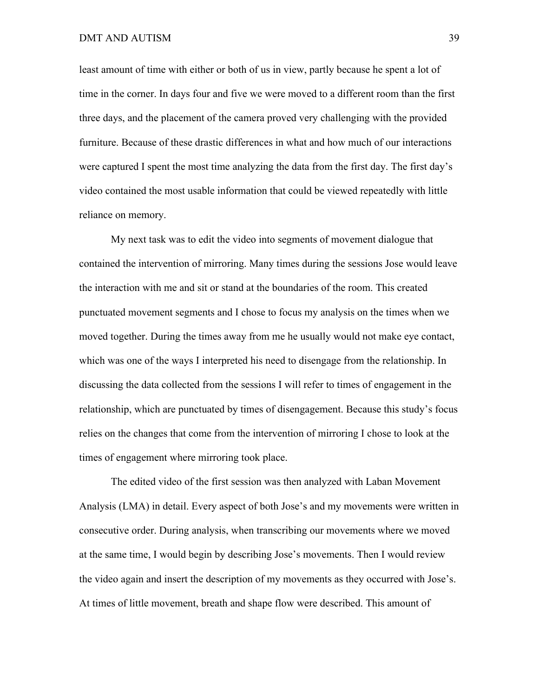least amount of time with either or both of us in view, partly because he spent a lot of time in the corner. In days four and five we were moved to a different room than the first three days, and the placement of the camera proved very challenging with the provided furniture. Because of these drastic differences in what and how much of our interactions were captured I spent the most time analyzing the data from the first day. The first day's video contained the most usable information that could be viewed repeatedly with little reliance on memory.

My next task was to edit the video into segments of movement dialogue that contained the intervention of mirroring. Many times during the sessions Jose would leave the interaction with me and sit or stand at the boundaries of the room. This created punctuated movement segments and I chose to focus my analysis on the times when we moved together. During the times away from me he usually would not make eye contact, which was one of the ways I interpreted his need to disengage from the relationship. In discussing the data collected from the sessions I will refer to times of engagement in the relationship, which are punctuated by times of disengagement. Because this study's focus relies on the changes that come from the intervention of mirroring I chose to look at the times of engagement where mirroring took place.

The edited video of the first session was then analyzed with Laban Movement Analysis (LMA) in detail. Every aspect of both Jose's and my movements were written in consecutive order. During analysis, when transcribing our movements where we moved at the same time, I would begin by describing Jose's movements. Then I would review the video again and insert the description of my movements as they occurred with Jose's. At times of little movement, breath and shape flow were described. This amount of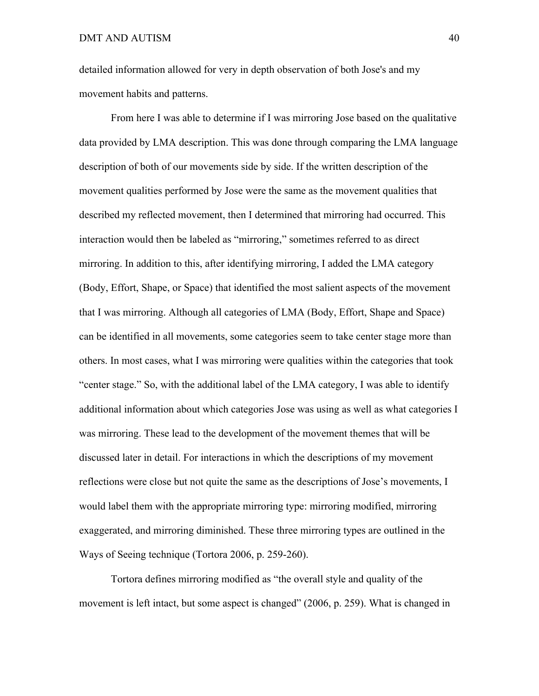detailed information allowed for very in depth observation of both Jose's and my movement habits and patterns.

From here I was able to determine if I was mirroring Jose based on the qualitative data provided by LMA description. This was done through comparing the LMA language description of both of our movements side by side. If the written description of the movement qualities performed by Jose were the same as the movement qualities that described my reflected movement, then I determined that mirroring had occurred. This interaction would then be labeled as "mirroring," sometimes referred to as direct mirroring. In addition to this, after identifying mirroring, I added the LMA category (Body, Effort, Shape, or Space) that identified the most salient aspects of the movement that I was mirroring. Although all categories of LMA (Body, Effort, Shape and Space) can be identified in all movements, some categories seem to take center stage more than others. In most cases, what I was mirroring were qualities within the categories that took "center stage." So, with the additional label of the LMA category, I was able to identify additional information about which categories Jose was using as well as what categories I was mirroring. These lead to the development of the movement themes that will be discussed later in detail. For interactions in which the descriptions of my movement reflections were close but not quite the same as the descriptions of Jose's movements, I would label them with the appropriate mirroring type: mirroring modified, mirroring exaggerated, and mirroring diminished. These three mirroring types are outlined in the Ways of Seeing technique (Tortora 2006, p. 259-260).

Tortora defines mirroring modified as "the overall style and quality of the movement is left intact, but some aspect is changed" (2006, p. 259). What is changed in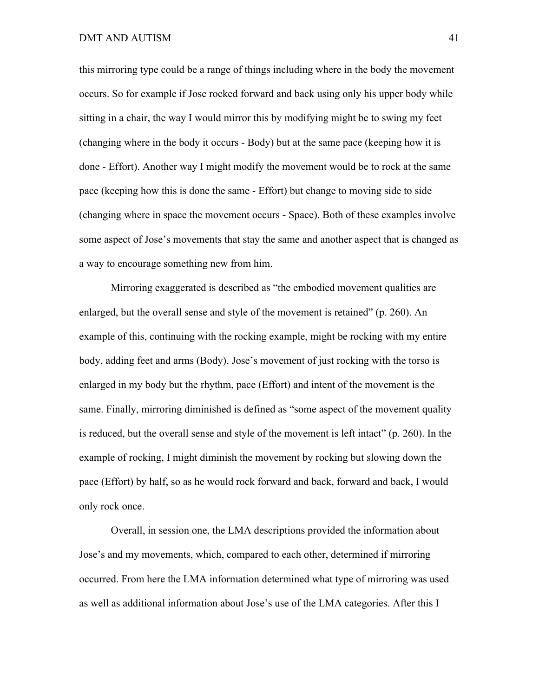this mirroring type could be a range of things including where in the body the movement occurs. So for example if Jose rocked forward and back using only his upper body while sitting in a chair, the way I would mirror this by modifying might be to swing my feet (changing where in the body it occurs - Body) but at the same pace (keeping how it is done - Effort). Another way I might modify the movement would be to rock at the same pace (keeping how this is done the same - Effort) but change to moving side to side (changing where in space the movement occurs - Space). Both of these examples involve some aspect of Jose's movements that stay the same and another aspect that is changed as a way to encourage something new from him.

Mirroring exaggerated is described as "the embodied movement qualities are enlarged, but the overall sense and style of the movement is retained" (p. 260). An example of this, continuing with the rocking example, might be rocking with my entire body, adding feet and arms (Body). Jose's movement of just rocking with the torso is enlarged in my body but the rhythm, pace (Effort) and intent of the movement is the same. Finally, mirroring diminished is defined as "some aspect of the movement quality is reduced, but the overall sense and style of the movement is left intact" (p. 260). In the example of rocking, I might diminish the movement by rocking but slowing down the pace (Effort) by half, so as he would rock forward and back, forward and back, I would only rock once.

Overall, in session one, the LMA descriptions provided the information about Jose's and my movements, which, compared to each other, determined if mirroring occurred. From here the LMA information determined what type of mirroring was used as well as additional information about Jose's use of the LMA categories. After this I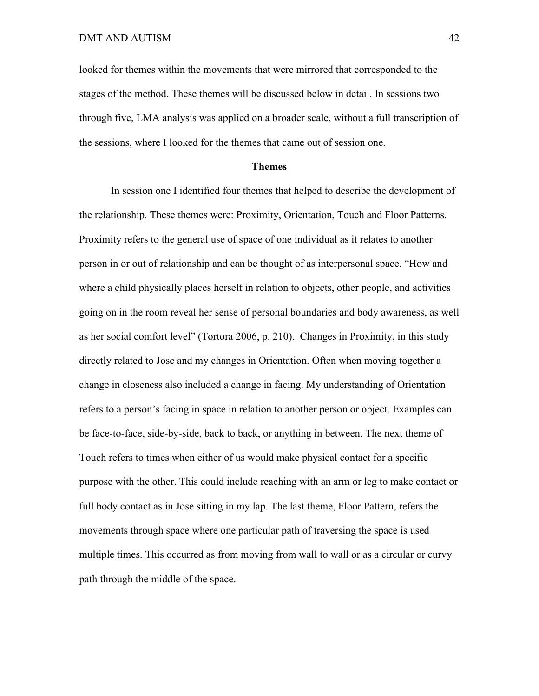looked for themes within the movements that were mirrored that corresponded to the stages of the method. These themes will be discussed below in detail. In sessions two through five, LMA analysis was applied on a broader scale, without a full transcription of the sessions, where I looked for the themes that came out of session one.

## **Themes**

In session one I identified four themes that helped to describe the development of the relationship. These themes were: Proximity, Orientation, Touch and Floor Patterns. Proximity refers to the general use of space of one individual as it relates to another person in or out of relationship and can be thought of as interpersonal space. "How and where a child physically places herself in relation to objects, other people, and activities going on in the room reveal her sense of personal boundaries and body awareness, as well as her social comfort level" (Tortora 2006, p. 210). Changes in Proximity, in this study directly related to Jose and my changes in Orientation. Often when moving together a change in closeness also included a change in facing. My understanding of Orientation refers to a person's facing in space in relation to another person or object. Examples can be face-to-face, side-by-side, back to back, or anything in between. The next theme of Touch refers to times when either of us would make physical contact for a specific purpose with the other. This could include reaching with an arm or leg to make contact or full body contact as in Jose sitting in my lap. The last theme, Floor Pattern, refers the movements through space where one particular path of traversing the space is used multiple times. This occurred as from moving from wall to wall or as a circular or curvy path through the middle of the space.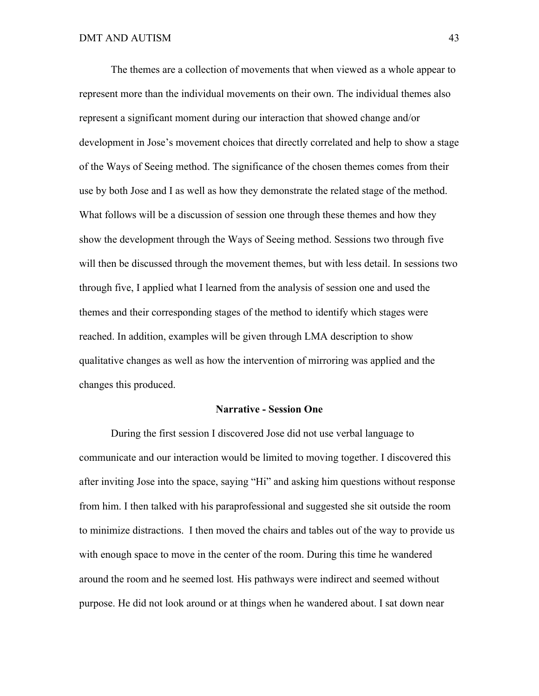The themes are a collection of movements that when viewed as a whole appear to represent more than the individual movements on their own. The individual themes also represent a significant moment during our interaction that showed change and/or development in Jose's movement choices that directly correlated and help to show a stage of the Ways of Seeing method. The significance of the chosen themes comes from their use by both Jose and I as well as how they demonstrate the related stage of the method. What follows will be a discussion of session one through these themes and how they show the development through the Ways of Seeing method. Sessions two through five will then be discussed through the movement themes, but with less detail. In sessions two through five, I applied what I learned from the analysis of session one and used the themes and their corresponding stages of the method to identify which stages were reached. In addition, examples will be given through LMA description to show qualitative changes as well as how the intervention of mirroring was applied and the changes this produced.

### **Narrative - Session One**

During the first session I discovered Jose did not use verbal language to communicate and our interaction would be limited to moving together. I discovered this after inviting Jose into the space, saying "Hi" and asking him questions without response from him. I then talked with his paraprofessional and suggested she sit outside the room to minimize distractions. I then moved the chairs and tables out of the way to provide us with enough space to move in the center of the room. During this time he wandered around the room and he seemed lost*.* His pathways were indirect and seemed without purpose. He did not look around or at things when he wandered about. I sat down near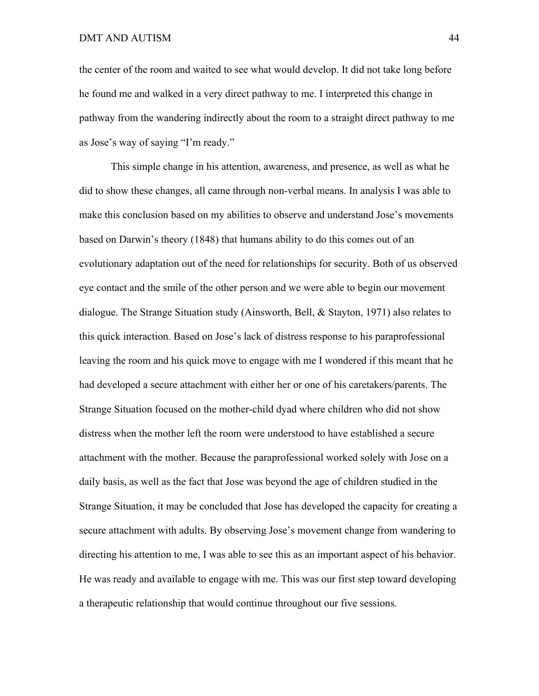the center of the room and waited to see what would develop. It did not take long before he found me and walked in a very direct pathway to me. I interpreted this change in pathway from the wandering indirectly about the room to a straight direct pathway to me as Jose's way of saying "I'm ready."

This simple change in his attention, awareness, and presence, as well as what he did to show these changes, all came through non-verbal means. In analysis I was able to make this conclusion based on my abilities to observe and understand Jose's movements based on Darwin's theory (1848) that humans ability to do this comes out of an evolutionary adaptation out of the need for relationships for security. Both of us observed eye contact and the smile of the other person and we were able to begin our movement dialogue. The Strange Situation study (Ainsworth, Bell, & Stayton, 1971) also relates to this quick interaction. Based on Jose's lack of distress response to his paraprofessional leaving the room and his quick move to engage with me I wondered if this meant that he had developed a secure attachment with either her or one of his caretakers/parents. The Strange Situation focused on the mother-child dyad where children who did not show distress when the mother left the room were understood to have established a secure attachment with the mother. Because the paraprofessional worked solely with Jose on a daily basis, as well as the fact that Jose was beyond the age of children studied in the Strange Situation, it may be concluded that Jose has developed the capacity for creating a secure attachment with adults. By observing Jose's movement change from wandering to directing his attention to me, I was able to see this as an important aspect of his behavior. He was ready and available to engage with me. This was our first step toward developing a therapeutic relationship that would continue throughout our five sessions.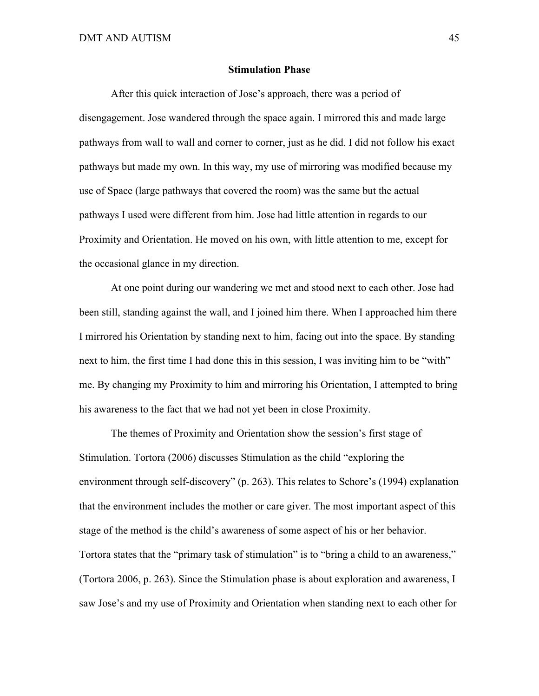### **Stimulation Phase**

After this quick interaction of Jose's approach, there was a period of disengagement. Jose wandered through the space again. I mirrored this and made large pathways from wall to wall and corner to corner, just as he did. I did not follow his exact pathways but made my own. In this way, my use of mirroring was modified because my use of Space (large pathways that covered the room) was the same but the actual pathways I used were different from him. Jose had little attention in regards to our Proximity and Orientation. He moved on his own, with little attention to me, except for the occasional glance in my direction.

At one point during our wandering we met and stood next to each other. Jose had been still, standing against the wall, and I joined him there. When I approached him there I mirrored his Orientation by standing next to him, facing out into the space. By standing next to him, the first time I had done this in this session, I was inviting him to be "with" me. By changing my Proximity to him and mirroring his Orientation, I attempted to bring his awareness to the fact that we had not yet been in close Proximity.

The themes of Proximity and Orientation show the session's first stage of Stimulation. Tortora (2006) discusses Stimulation as the child "exploring the environment through self-discovery" (p. 263). This relates to Schore's (1994) explanation that the environment includes the mother or care giver. The most important aspect of this stage of the method is the child's awareness of some aspect of his or her behavior. Tortora states that the "primary task of stimulation" is to "bring a child to an awareness," (Tortora 2006, p. 263). Since the Stimulation phase is about exploration and awareness, I saw Jose's and my use of Proximity and Orientation when standing next to each other for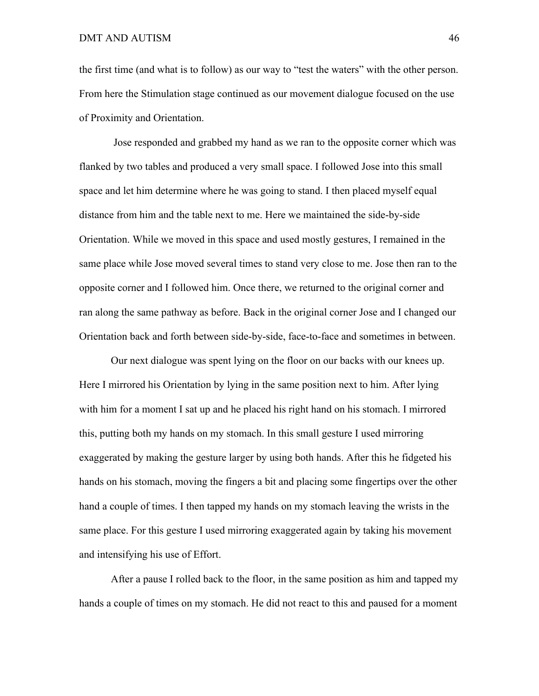the first time (and what is to follow) as our way to "test the waters" with the other person. From here the Stimulation stage continued as our movement dialogue focused on the use of Proximity and Orientation.

Jose responded and grabbed my hand as we ran to the opposite corner which was flanked by two tables and produced a very small space. I followed Jose into this small space and let him determine where he was going to stand. I then placed myself equal distance from him and the table next to me. Here we maintained the side-by-side Orientation. While we moved in this space and used mostly gestures, I remained in the same place while Jose moved several times to stand very close to me. Jose then ran to the opposite corner and I followed him. Once there, we returned to the original corner and ran along the same pathway as before. Back in the original corner Jose and I changed our Orientation back and forth between side-by-side, face-to-face and sometimes in between.

Our next dialogue was spent lying on the floor on our backs with our knees up. Here I mirrored his Orientation by lying in the same position next to him. After lying with him for a moment I sat up and he placed his right hand on his stomach. I mirrored this, putting both my hands on my stomach. In this small gesture I used mirroring exaggerated by making the gesture larger by using both hands. After this he fidgeted his hands on his stomach, moving the fingers a bit and placing some fingertips over the other hand a couple of times. I then tapped my hands on my stomach leaving the wrists in the same place. For this gesture I used mirroring exaggerated again by taking his movement and intensifying his use of Effort.

After a pause I rolled back to the floor, in the same position as him and tapped my hands a couple of times on my stomach. He did not react to this and paused for a moment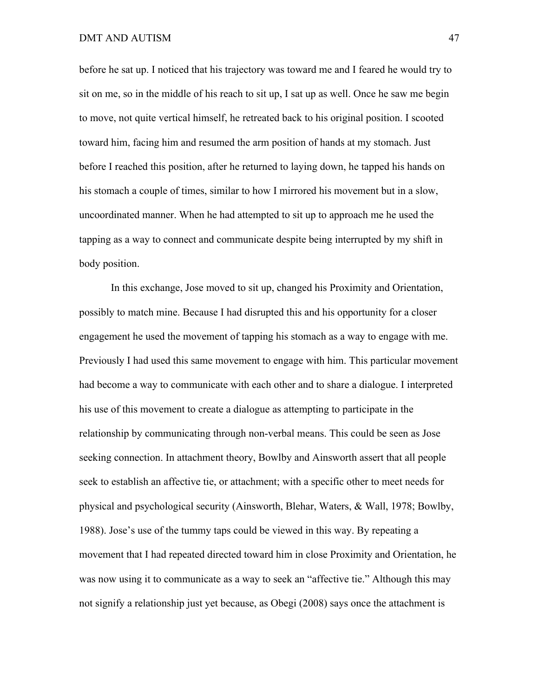before he sat up. I noticed that his trajectory was toward me and I feared he would try to sit on me, so in the middle of his reach to sit up, I sat up as well. Once he saw me begin to move, not quite vertical himself, he retreated back to his original position. I scooted toward him, facing him and resumed the arm position of hands at my stomach. Just before I reached this position, after he returned to laying down, he tapped his hands on his stomach a couple of times, similar to how I mirrored his movement but in a slow, uncoordinated manner. When he had attempted to sit up to approach me he used the tapping as a way to connect and communicate despite being interrupted by my shift in body position.

In this exchange, Jose moved to sit up, changed his Proximity and Orientation, possibly to match mine. Because I had disrupted this and his opportunity for a closer engagement he used the movement of tapping his stomach as a way to engage with me. Previously I had used this same movement to engage with him. This particular movement had become a way to communicate with each other and to share a dialogue. I interpreted his use of this movement to create a dialogue as attempting to participate in the relationship by communicating through non-verbal means. This could be seen as Jose seeking connection. In attachment theory, Bowlby and Ainsworth assert that all people seek to establish an affective tie, or attachment; with a specific other to meet needs for physical and psychological security (Ainsworth, Blehar, Waters, & Wall, 1978; Bowlby, 1988). Jose's use of the tummy taps could be viewed in this way. By repeating a movement that I had repeated directed toward him in close Proximity and Orientation, he was now using it to communicate as a way to seek an "affective tie." Although this may not signify a relationship just yet because, as Obegi (2008) says once the attachment is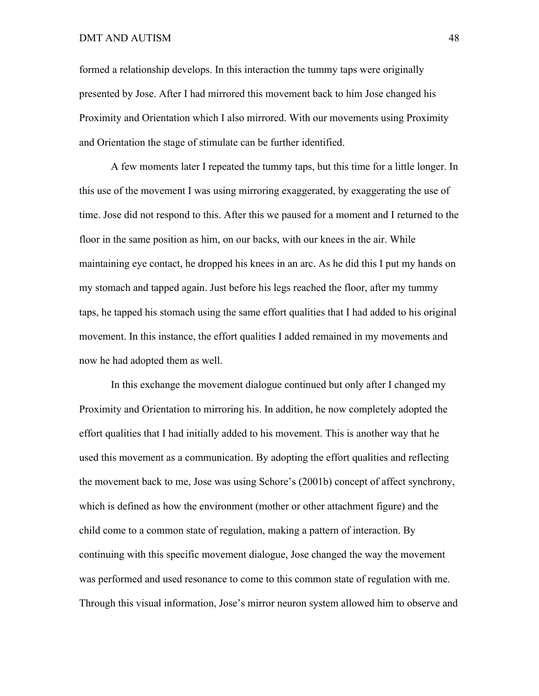formed a relationship develops. In this interaction the tummy taps were originally presented by Jose. After I had mirrored this movement back to him Jose changed his Proximity and Orientation which I also mirrored. With our movements using Proximity and Orientation the stage of stimulate can be further identified.

A few moments later I repeated the tummy taps, but this time for a little longer. In this use of the movement I was using mirroring exaggerated, by exaggerating the use of time. Jose did not respond to this. After this we paused for a moment and I returned to the floor in the same position as him, on our backs, with our knees in the air. While maintaining eye contact, he dropped his knees in an arc. As he did this I put my hands on my stomach and tapped again. Just before his legs reached the floor, after my tummy taps, he tapped his stomach using the same effort qualities that I had added to his original movement. In this instance, the effort qualities I added remained in my movements and now he had adopted them as well.

In this exchange the movement dialogue continued but only after I changed my Proximity and Orientation to mirroring his. In addition, he now completely adopted the effort qualities that I had initially added to his movement. This is another way that he used this movement as a communication. By adopting the effort qualities and reflecting the movement back to me, Jose was using Schore's (2001b) concept of affect synchrony, which is defined as how the environment (mother or other attachment figure) and the child come to a common state of regulation, making a pattern of interaction. By continuing with this specific movement dialogue, Jose changed the way the movement was performed and used resonance to come to this common state of regulation with me. Through this visual information, Jose's mirror neuron system allowed him to observe and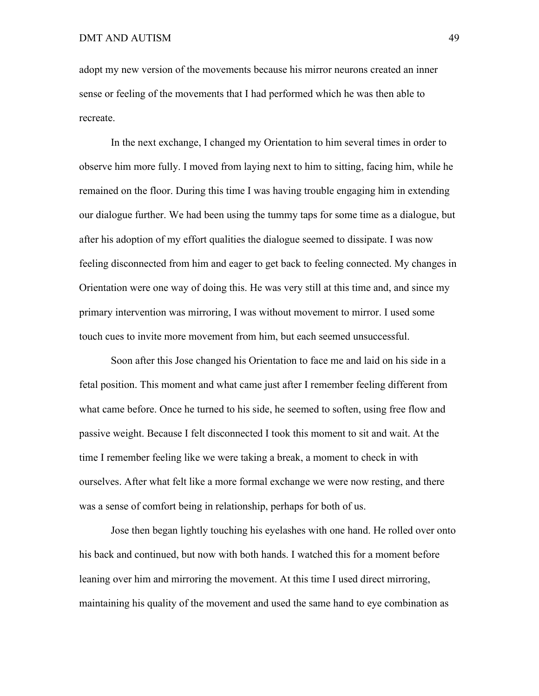adopt my new version of the movements because his mirror neurons created an inner sense or feeling of the movements that I had performed which he was then able to recreate.

In the next exchange, I changed my Orientation to him several times in order to observe him more fully. I moved from laying next to him to sitting, facing him, while he remained on the floor. During this time I was having trouble engaging him in extending our dialogue further. We had been using the tummy taps for some time as a dialogue, but after his adoption of my effort qualities the dialogue seemed to dissipate. I was now feeling disconnected from him and eager to get back to feeling connected. My changes in Orientation were one way of doing this. He was very still at this time and, and since my primary intervention was mirroring, I was without movement to mirror. I used some touch cues to invite more movement from him, but each seemed unsuccessful.

Soon after this Jose changed his Orientation to face me and laid on his side in a fetal position. This moment and what came just after I remember feeling different from what came before. Once he turned to his side, he seemed to soften, using free flow and passive weight. Because I felt disconnected I took this moment to sit and wait. At the time I remember feeling like we were taking a break, a moment to check in with ourselves. After what felt like a more formal exchange we were now resting, and there was a sense of comfort being in relationship, perhaps for both of us.

Jose then began lightly touching his eyelashes with one hand. He rolled over onto his back and continued, but now with both hands. I watched this for a moment before leaning over him and mirroring the movement. At this time I used direct mirroring, maintaining his quality of the movement and used the same hand to eye combination as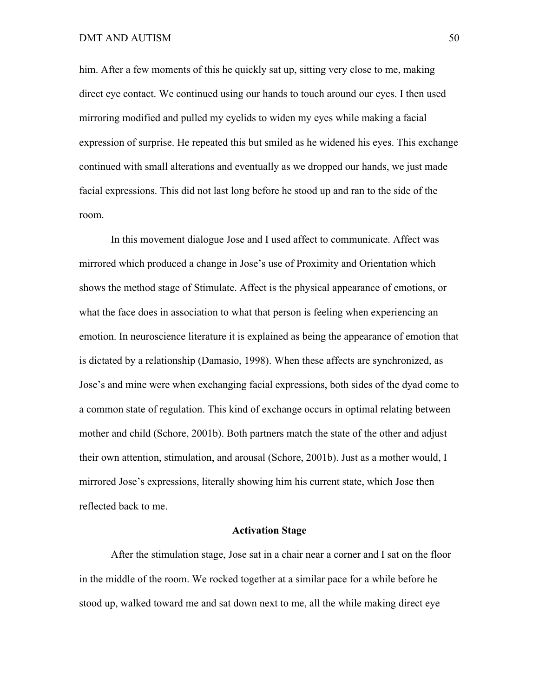### DMT AND AUTISM 50

him. After a few moments of this he quickly sat up, sitting very close to me, making direct eye contact. We continued using our hands to touch around our eyes. I then used mirroring modified and pulled my eyelids to widen my eyes while making a facial expression of surprise. He repeated this but smiled as he widened his eyes. This exchange continued with small alterations and eventually as we dropped our hands, we just made facial expressions. This did not last long before he stood up and ran to the side of the room.

In this movement dialogue Jose and I used affect to communicate. Affect was mirrored which produced a change in Jose's use of Proximity and Orientation which shows the method stage of Stimulate. Affect is the physical appearance of emotions, or what the face does in association to what that person is feeling when experiencing an emotion. In neuroscience literature it is explained as being the appearance of emotion that is dictated by a relationship (Damasio, 1998). When these affects are synchronized, as Jose's and mine were when exchanging facial expressions, both sides of the dyad come to a common state of regulation. This kind of exchange occurs in optimal relating between mother and child (Schore, 2001b). Both partners match the state of the other and adjust their own attention, stimulation, and arousal (Schore, 2001b). Just as a mother would, I mirrored Jose's expressions, literally showing him his current state, which Jose then reflected back to me.

### **Activation Stage**

After the stimulation stage, Jose sat in a chair near a corner and I sat on the floor in the middle of the room. We rocked together at a similar pace for a while before he stood up, walked toward me and sat down next to me, all the while making direct eye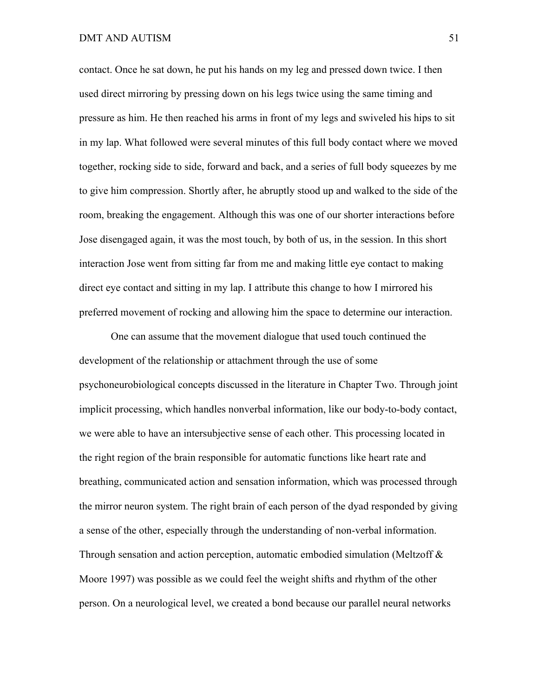### DMT AND AUTISM 51

contact. Once he sat down, he put his hands on my leg and pressed down twice. I then used direct mirroring by pressing down on his legs twice using the same timing and pressure as him. He then reached his arms in front of my legs and swiveled his hips to sit in my lap. What followed were several minutes of this full body contact where we moved together, rocking side to side, forward and back, and a series of full body squeezes by me to give him compression. Shortly after, he abruptly stood up and walked to the side of the room, breaking the engagement. Although this was one of our shorter interactions before Jose disengaged again, it was the most touch, by both of us, in the session. In this short interaction Jose went from sitting far from me and making little eye contact to making direct eye contact and sitting in my lap. I attribute this change to how I mirrored his preferred movement of rocking and allowing him the space to determine our interaction.

One can assume that the movement dialogue that used touch continued the development of the relationship or attachment through the use of some psychoneurobiological concepts discussed in the literature in Chapter Two. Through joint implicit processing, which handles nonverbal information, like our body-to-body contact, we were able to have an intersubjective sense of each other. This processing located in the right region of the brain responsible for automatic functions like heart rate and breathing, communicated action and sensation information, which was processed through the mirror neuron system. The right brain of each person of the dyad responded by giving a sense of the other, especially through the understanding of non-verbal information. Through sensation and action perception, automatic embodied simulation (Meltzoff & Moore 1997) was possible as we could feel the weight shifts and rhythm of the other person. On a neurological level, we created a bond because our parallel neural networks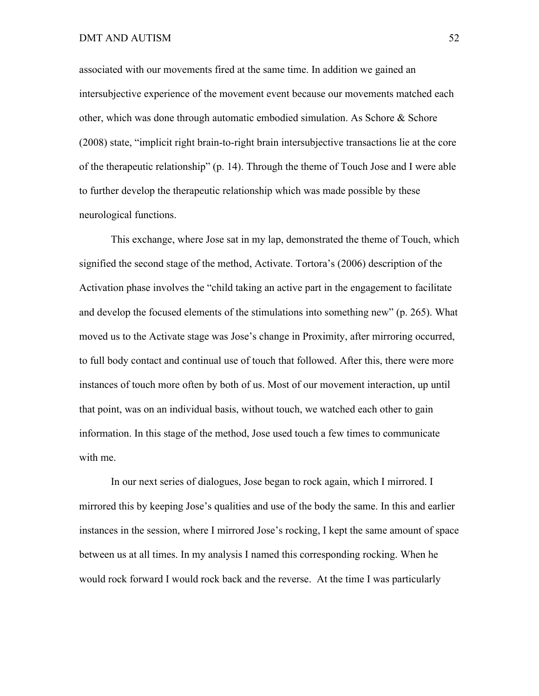associated with our movements fired at the same time. In addition we gained an intersubjective experience of the movement event because our movements matched each other, which was done through automatic embodied simulation. As Schore  $\&$  Schore (2008) state, "implicit right brain-to-right brain intersubjective transactions lie at the core of the therapeutic relationship" (p. 14). Through the theme of Touch Jose and I were able to further develop the therapeutic relationship which was made possible by these neurological functions.

This exchange, where Jose sat in my lap, demonstrated the theme of Touch, which signified the second stage of the method, Activate. Tortora's (2006) description of the Activation phase involves the "child taking an active part in the engagement to facilitate and develop the focused elements of the stimulations into something new" (p. 265). What moved us to the Activate stage was Jose's change in Proximity, after mirroring occurred, to full body contact and continual use of touch that followed. After this, there were more instances of touch more often by both of us. Most of our movement interaction, up until that point, was on an individual basis, without touch, we watched each other to gain information. In this stage of the method, Jose used touch a few times to communicate with me.

In our next series of dialogues, Jose began to rock again, which I mirrored. I mirrored this by keeping Jose's qualities and use of the body the same. In this and earlier instances in the session, where I mirrored Jose's rocking, I kept the same amount of space between us at all times. In my analysis I named this corresponding rocking. When he would rock forward I would rock back and the reverse. At the time I was particularly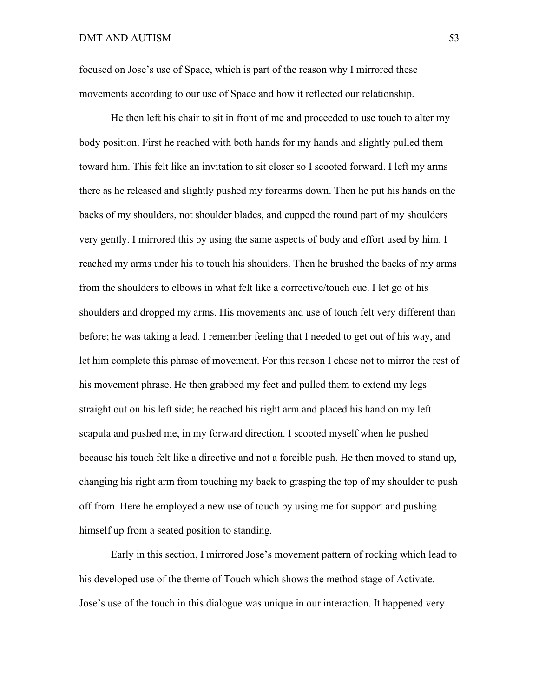focused on Jose's use of Space, which is part of the reason why I mirrored these movements according to our use of Space and how it reflected our relationship.

He then left his chair to sit in front of me and proceeded to use touch to alter my body position. First he reached with both hands for my hands and slightly pulled them toward him. This felt like an invitation to sit closer so I scooted forward. I left my arms there as he released and slightly pushed my forearms down. Then he put his hands on the backs of my shoulders, not shoulder blades, and cupped the round part of my shoulders very gently. I mirrored this by using the same aspects of body and effort used by him. I reached my arms under his to touch his shoulders. Then he brushed the backs of my arms from the shoulders to elbows in what felt like a corrective/touch cue. I let go of his shoulders and dropped my arms. His movements and use of touch felt very different than before; he was taking a lead. I remember feeling that I needed to get out of his way, and let him complete this phrase of movement. For this reason I chose not to mirror the rest of his movement phrase. He then grabbed my feet and pulled them to extend my legs straight out on his left side; he reached his right arm and placed his hand on my left scapula and pushed me, in my forward direction. I scooted myself when he pushed because his touch felt like a directive and not a forcible push. He then moved to stand up, changing his right arm from touching my back to grasping the top of my shoulder to push off from. Here he employed a new use of touch by using me for support and pushing himself up from a seated position to standing.

Early in this section, I mirrored Jose's movement pattern of rocking which lead to his developed use of the theme of Touch which shows the method stage of Activate. Jose's use of the touch in this dialogue was unique in our interaction. It happened very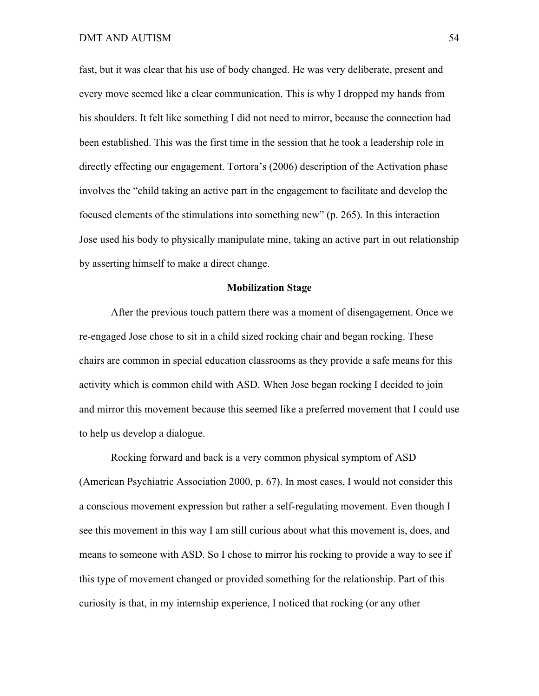fast, but it was clear that his use of body changed. He was very deliberate, present and every move seemed like a clear communication. This is why I dropped my hands from his shoulders. It felt like something I did not need to mirror, because the connection had been established. This was the first time in the session that he took a leadership role in directly effecting our engagement. Tortora's (2006) description of the Activation phase involves the "child taking an active part in the engagement to facilitate and develop the focused elements of the stimulations into something new" (p. 265). In this interaction Jose used his body to physically manipulate mine, taking an active part in out relationship by asserting himself to make a direct change.

## **Mobilization Stage**

After the previous touch pattern there was a moment of disengagement. Once we re-engaged Jose chose to sit in a child sized rocking chair and began rocking. These chairs are common in special education classrooms as they provide a safe means for this activity which is common child with ASD. When Jose began rocking I decided to join and mirror this movement because this seemed like a preferred movement that I could use to help us develop a dialogue.

Rocking forward and back is a very common physical symptom of ASD (American Psychiatric Association 2000, p. 67). In most cases, I would not consider this a conscious movement expression but rather a self-regulating movement. Even though I see this movement in this way I am still curious about what this movement is, does, and means to someone with ASD. So I chose to mirror his rocking to provide a way to see if this type of movement changed or provided something for the relationship. Part of this curiosity is that, in my internship experience, I noticed that rocking (or any other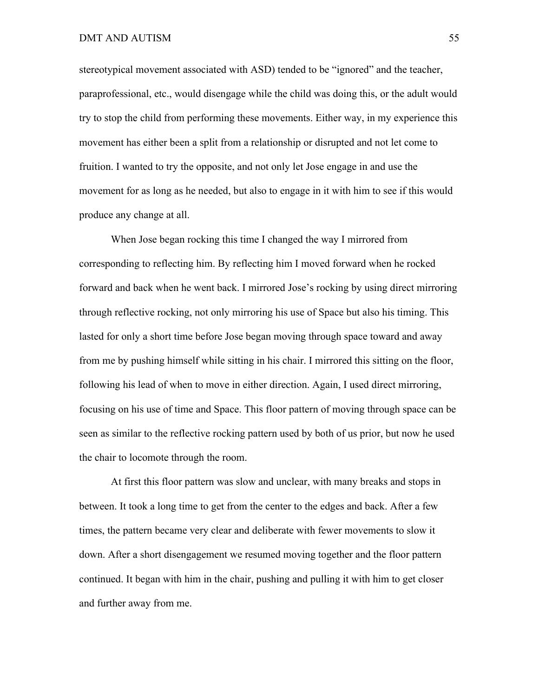stereotypical movement associated with ASD) tended to be "ignored" and the teacher, paraprofessional, etc., would disengage while the child was doing this, or the adult would try to stop the child from performing these movements. Either way, in my experience this movement has either been a split from a relationship or disrupted and not let come to fruition. I wanted to try the opposite, and not only let Jose engage in and use the movement for as long as he needed, but also to engage in it with him to see if this would produce any change at all.

When Jose began rocking this time I changed the way I mirrored from corresponding to reflecting him. By reflecting him I moved forward when he rocked forward and back when he went back. I mirrored Jose's rocking by using direct mirroring through reflective rocking, not only mirroring his use of Space but also his timing. This lasted for only a short time before Jose began moving through space toward and away from me by pushing himself while sitting in his chair. I mirrored this sitting on the floor, following his lead of when to move in either direction. Again, I used direct mirroring, focusing on his use of time and Space. This floor pattern of moving through space can be seen as similar to the reflective rocking pattern used by both of us prior, but now he used the chair to locomote through the room.

At first this floor pattern was slow and unclear, with many breaks and stops in between. It took a long time to get from the center to the edges and back. After a few times, the pattern became very clear and deliberate with fewer movements to slow it down. After a short disengagement we resumed moving together and the floor pattern continued. It began with him in the chair, pushing and pulling it with him to get closer and further away from me.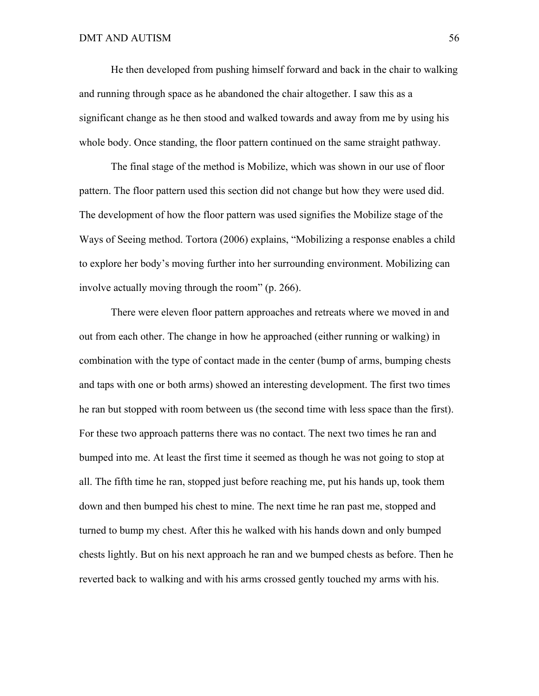He then developed from pushing himself forward and back in the chair to walking and running through space as he abandoned the chair altogether. I saw this as a significant change as he then stood and walked towards and away from me by using his whole body. Once standing, the floor pattern continued on the same straight pathway.

The final stage of the method is Mobilize, which was shown in our use of floor pattern. The floor pattern used this section did not change but how they were used did. The development of how the floor pattern was used signifies the Mobilize stage of the Ways of Seeing method. Tortora (2006) explains, "Mobilizing a response enables a child to explore her body's moving further into her surrounding environment. Mobilizing can involve actually moving through the room" (p. 266).

There were eleven floor pattern approaches and retreats where we moved in and out from each other. The change in how he approached (either running or walking) in combination with the type of contact made in the center (bump of arms, bumping chests and taps with one or both arms) showed an interesting development. The first two times he ran but stopped with room between us (the second time with less space than the first). For these two approach patterns there was no contact. The next two times he ran and bumped into me. At least the first time it seemed as though he was not going to stop at all. The fifth time he ran, stopped just before reaching me, put his hands up, took them down and then bumped his chest to mine. The next time he ran past me, stopped and turned to bump my chest. After this he walked with his hands down and only bumped chests lightly. But on his next approach he ran and we bumped chests as before. Then he reverted back to walking and with his arms crossed gently touched my arms with his.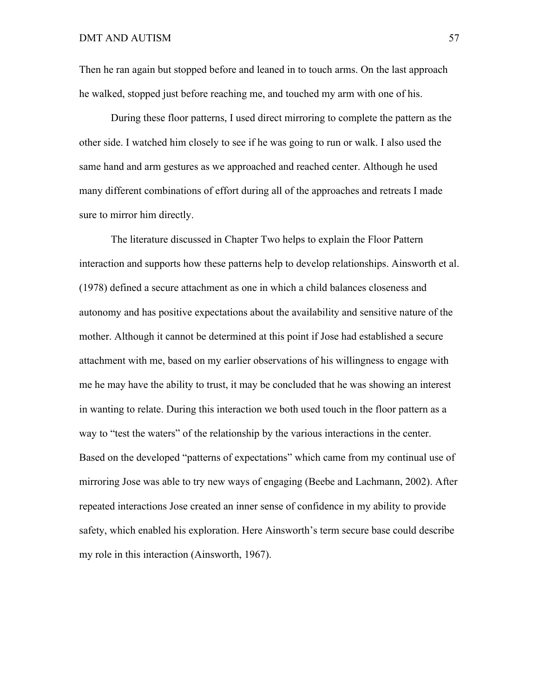Then he ran again but stopped before and leaned in to touch arms. On the last approach he walked, stopped just before reaching me, and touched my arm with one of his.

During these floor patterns, I used direct mirroring to complete the pattern as the other side. I watched him closely to see if he was going to run or walk. I also used the same hand and arm gestures as we approached and reached center. Although he used many different combinations of effort during all of the approaches and retreats I made sure to mirror him directly.

The literature discussed in Chapter Two helps to explain the Floor Pattern interaction and supports how these patterns help to develop relationships. Ainsworth et al. (1978) defined a secure attachment as one in which a child balances closeness and autonomy and has positive expectations about the availability and sensitive nature of the mother. Although it cannot be determined at this point if Jose had established a secure attachment with me, based on my earlier observations of his willingness to engage with me he may have the ability to trust, it may be concluded that he was showing an interest in wanting to relate. During this interaction we both used touch in the floor pattern as a way to "test the waters" of the relationship by the various interactions in the center. Based on the developed "patterns of expectations" which came from my continual use of mirroring Jose was able to try new ways of engaging (Beebe and Lachmann, 2002). After repeated interactions Jose created an inner sense of confidence in my ability to provide safety, which enabled his exploration. Here Ainsworth's term secure base could describe my role in this interaction (Ainsworth, 1967).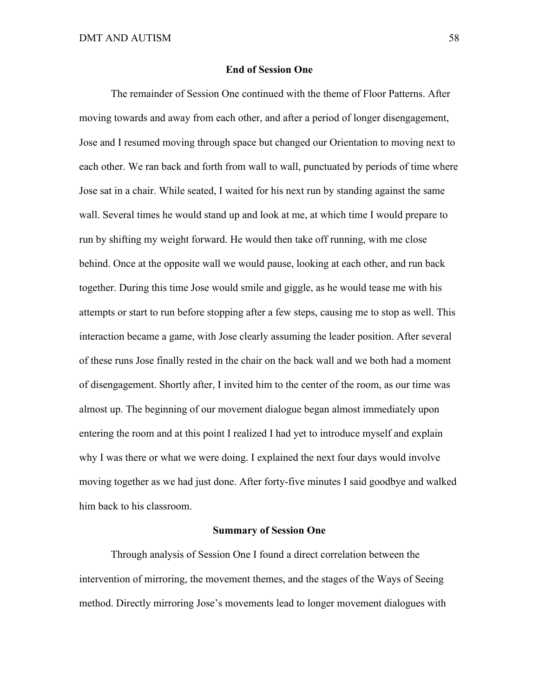### **End of Session One**

The remainder of Session One continued with the theme of Floor Patterns. After moving towards and away from each other, and after a period of longer disengagement, Jose and I resumed moving through space but changed our Orientation to moving next to each other. We ran back and forth from wall to wall, punctuated by periods of time where Jose sat in a chair. While seated, I waited for his next run by standing against the same wall. Several times he would stand up and look at me, at which time I would prepare to run by shifting my weight forward. He would then take off running, with me close behind. Once at the opposite wall we would pause, looking at each other, and run back together. During this time Jose would smile and giggle, as he would tease me with his attempts or start to run before stopping after a few steps, causing me to stop as well. This interaction became a game, with Jose clearly assuming the leader position. After several of these runs Jose finally rested in the chair on the back wall and we both had a moment of disengagement. Shortly after, I invited him to the center of the room, as our time was almost up. The beginning of our movement dialogue began almost immediately upon entering the room and at this point I realized I had yet to introduce myself and explain why I was there or what we were doing. I explained the next four days would involve moving together as we had just done. After forty-five minutes I said goodbye and walked him back to his classroom.

### **Summary of Session One**

Through analysis of Session One I found a direct correlation between the intervention of mirroring, the movement themes, and the stages of the Ways of Seeing method. Directly mirroring Jose's movements lead to longer movement dialogues with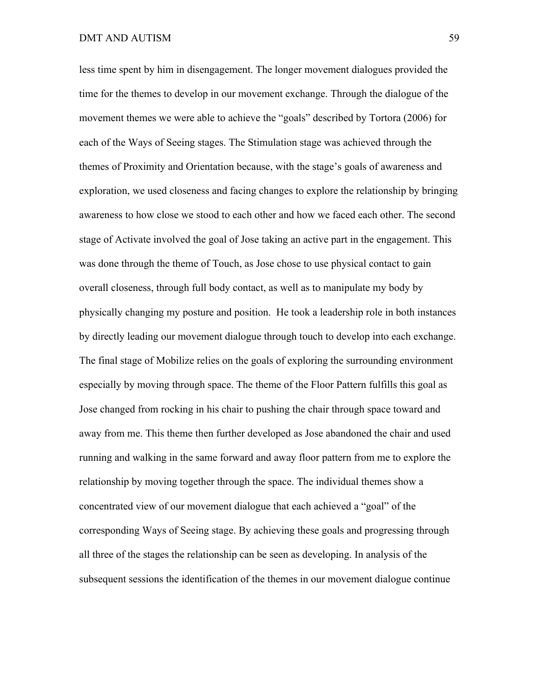less time spent by him in disengagement. The longer movement dialogues provided the time for the themes to develop in our movement exchange. Through the dialogue of the movement themes we were able to achieve the "goals" described by Tortora (2006) for each of the Ways of Seeing stages. The Stimulation stage was achieved through the themes of Proximity and Orientation because, with the stage's goals of awareness and exploration, we used closeness and facing changes to explore the relationship by bringing awareness to how close we stood to each other and how we faced each other. The second stage of Activate involved the goal of Jose taking an active part in the engagement. This was done through the theme of Touch, as Jose chose to use physical contact to gain overall closeness, through full body contact, as well as to manipulate my body by physically changing my posture and position. He took a leadership role in both instances by directly leading our movement dialogue through touch to develop into each exchange. The final stage of Mobilize relies on the goals of exploring the surrounding environment especially by moving through space. The theme of the Floor Pattern fulfills this goal as Jose changed from rocking in his chair to pushing the chair through space toward and away from me. This theme then further developed as Jose abandoned the chair and used running and walking in the same forward and away floor pattern from me to explore the relationship by moving together through the space. The individual themes show a concentrated view of our movement dialogue that each achieved a "goal" of the corresponding Ways of Seeing stage. By achieving these goals and progressing through all three of the stages the relationship can be seen as developing. In analysis of the subsequent sessions the identification of the themes in our movement dialogue continue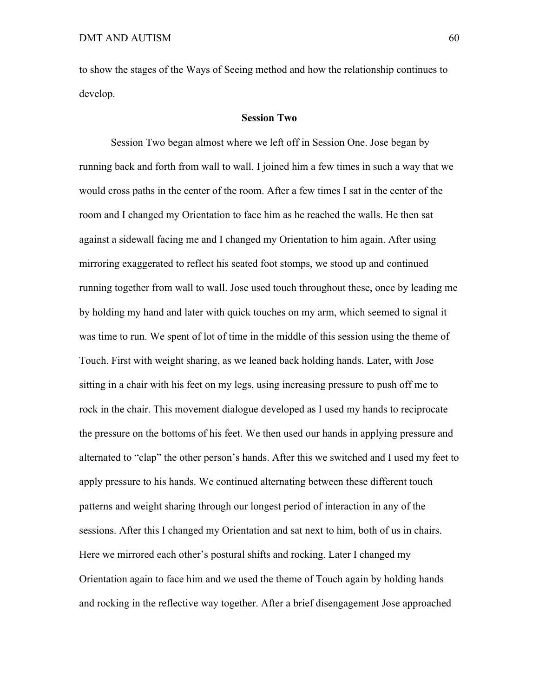to show the stages of the Ways of Seeing method and how the relationship continues to develop.

### **Session Two**

Session Two began almost where we left off in Session One. Jose began by running back and forth from wall to wall. I joined him a few times in such a way that we would cross paths in the center of the room. After a few times I sat in the center of the room and I changed my Orientation to face him as he reached the walls. He then sat against a sidewall facing me and I changed my Orientation to him again. After using mirroring exaggerated to reflect his seated foot stomps, we stood up and continued running together from wall to wall. Jose used touch throughout these, once by leading me by holding my hand and later with quick touches on my arm, which seemed to signal it was time to run. We spent of lot of time in the middle of this session using the theme of Touch. First with weight sharing, as we leaned back holding hands. Later, with Jose sitting in a chair with his feet on my legs, using increasing pressure to push off me to rock in the chair. This movement dialogue developed as I used my hands to reciprocate the pressure on the bottoms of his feet. We then used our hands in applying pressure and alternated to "clap" the other person's hands. After this we switched and I used my feet to apply pressure to his hands. We continued alternating between these different touch patterns and weight sharing through our longest period of interaction in any of the sessions. After this I changed my Orientation and sat next to him, both of us in chairs. Here we mirrored each other's postural shifts and rocking. Later I changed my Orientation again to face him and we used the theme of Touch again by holding hands and rocking in the reflective way together. After a brief disengagement Jose approached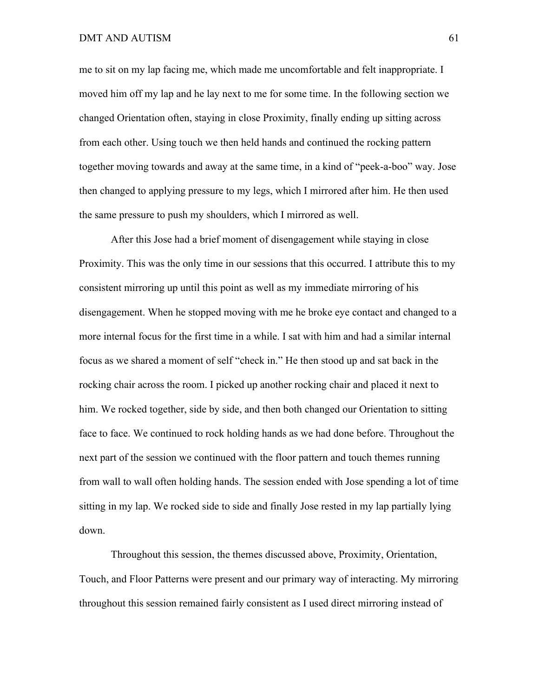me to sit on my lap facing me, which made me uncomfortable and felt inappropriate. I moved him off my lap and he lay next to me for some time. In the following section we changed Orientation often, staying in close Proximity, finally ending up sitting across from each other. Using touch we then held hands and continued the rocking pattern together moving towards and away at the same time, in a kind of "peek-a-boo" way. Jose then changed to applying pressure to my legs, which I mirrored after him. He then used the same pressure to push my shoulders, which I mirrored as well.

After this Jose had a brief moment of disengagement while staying in close Proximity. This was the only time in our sessions that this occurred. I attribute this to my consistent mirroring up until this point as well as my immediate mirroring of his disengagement. When he stopped moving with me he broke eye contact and changed to a more internal focus for the first time in a while. I sat with him and had a similar internal focus as we shared a moment of self "check in." He then stood up and sat back in the rocking chair across the room. I picked up another rocking chair and placed it next to him. We rocked together, side by side, and then both changed our Orientation to sitting face to face. We continued to rock holding hands as we had done before. Throughout the next part of the session we continued with the floor pattern and touch themes running from wall to wall often holding hands. The session ended with Jose spending a lot of time sitting in my lap. We rocked side to side and finally Jose rested in my lap partially lying down.

Throughout this session, the themes discussed above, Proximity, Orientation, Touch, and Floor Patterns were present and our primary way of interacting. My mirroring throughout this session remained fairly consistent as I used direct mirroring instead of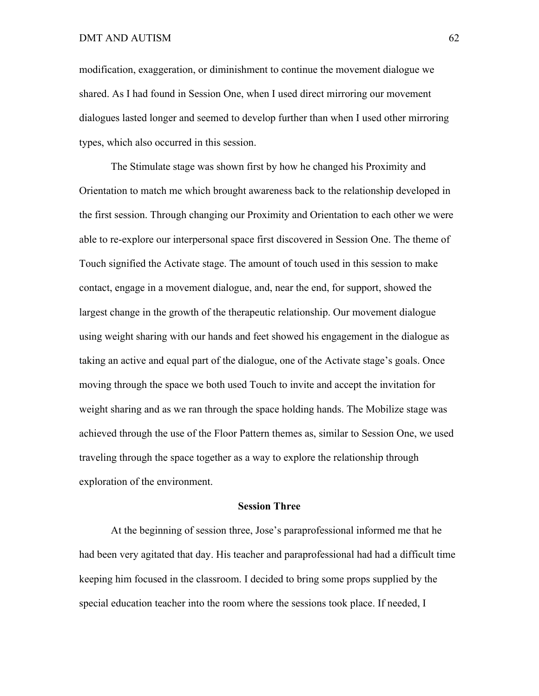modification, exaggeration, or diminishment to continue the movement dialogue we shared. As I had found in Session One, when I used direct mirroring our movement dialogues lasted longer and seemed to develop further than when I used other mirroring types, which also occurred in this session.

The Stimulate stage was shown first by how he changed his Proximity and Orientation to match me which brought awareness back to the relationship developed in the first session. Through changing our Proximity and Orientation to each other we were able to re-explore our interpersonal space first discovered in Session One. The theme of Touch signified the Activate stage. The amount of touch used in this session to make contact, engage in a movement dialogue, and, near the end, for support, showed the largest change in the growth of the therapeutic relationship. Our movement dialogue using weight sharing with our hands and feet showed his engagement in the dialogue as taking an active and equal part of the dialogue, one of the Activate stage's goals. Once moving through the space we both used Touch to invite and accept the invitation for weight sharing and as we ran through the space holding hands. The Mobilize stage was achieved through the use of the Floor Pattern themes as, similar to Session One, we used traveling through the space together as a way to explore the relationship through exploration of the environment.

### **Session Three**

At the beginning of session three, Jose's paraprofessional informed me that he had been very agitated that day. His teacher and paraprofessional had had a difficult time keeping him focused in the classroom. I decided to bring some props supplied by the special education teacher into the room where the sessions took place. If needed, I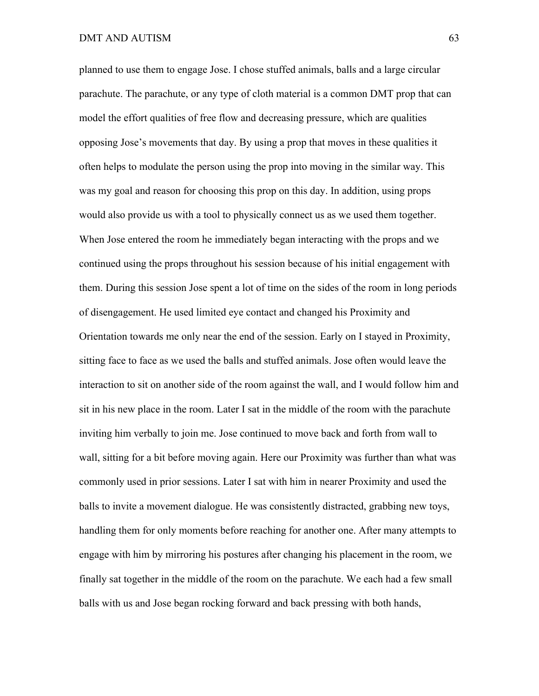planned to use them to engage Jose. I chose stuffed animals, balls and a large circular parachute. The parachute, or any type of cloth material is a common DMT prop that can model the effort qualities of free flow and decreasing pressure, which are qualities opposing Jose's movements that day. By using a prop that moves in these qualities it often helps to modulate the person using the prop into moving in the similar way. This was my goal and reason for choosing this prop on this day. In addition, using props would also provide us with a tool to physically connect us as we used them together. When Jose entered the room he immediately began interacting with the props and we continued using the props throughout his session because of his initial engagement with them. During this session Jose spent a lot of time on the sides of the room in long periods of disengagement. He used limited eye contact and changed his Proximity and Orientation towards me only near the end of the session. Early on I stayed in Proximity, sitting face to face as we used the balls and stuffed animals. Jose often would leave the interaction to sit on another side of the room against the wall, and I would follow him and sit in his new place in the room. Later I sat in the middle of the room with the parachute inviting him verbally to join me. Jose continued to move back and forth from wall to wall, sitting for a bit before moving again. Here our Proximity was further than what was commonly used in prior sessions. Later I sat with him in nearer Proximity and used the balls to invite a movement dialogue. He was consistently distracted, grabbing new toys, handling them for only moments before reaching for another one. After many attempts to engage with him by mirroring his postures after changing his placement in the room, we finally sat together in the middle of the room on the parachute. We each had a few small balls with us and Jose began rocking forward and back pressing with both hands,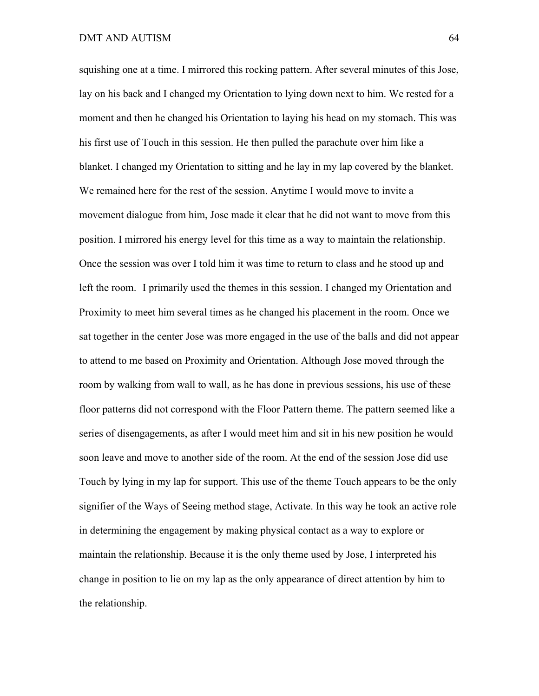squishing one at a time. I mirrored this rocking pattern. After several minutes of this Jose, lay on his back and I changed my Orientation to lying down next to him. We rested for a moment and then he changed his Orientation to laying his head on my stomach. This was his first use of Touch in this session. He then pulled the parachute over him like a blanket. I changed my Orientation to sitting and he lay in my lap covered by the blanket. We remained here for the rest of the session. Anytime I would move to invite a movement dialogue from him, Jose made it clear that he did not want to move from this position. I mirrored his energy level for this time as a way to maintain the relationship. Once the session was over I told him it was time to return to class and he stood up and left the room. I primarily used the themes in this session. I changed my Orientation and Proximity to meet him several times as he changed his placement in the room. Once we sat together in the center Jose was more engaged in the use of the balls and did not appear to attend to me based on Proximity and Orientation. Although Jose moved through the room by walking from wall to wall, as he has done in previous sessions, his use of these floor patterns did not correspond with the Floor Pattern theme. The pattern seemed like a series of disengagements, as after I would meet him and sit in his new position he would soon leave and move to another side of the room. At the end of the session Jose did use Touch by lying in my lap for support. This use of the theme Touch appears to be the only signifier of the Ways of Seeing method stage, Activate. In this way he took an active role in determining the engagement by making physical contact as a way to explore or maintain the relationship. Because it is the only theme used by Jose, I interpreted his change in position to lie on my lap as the only appearance of direct attention by him to the relationship.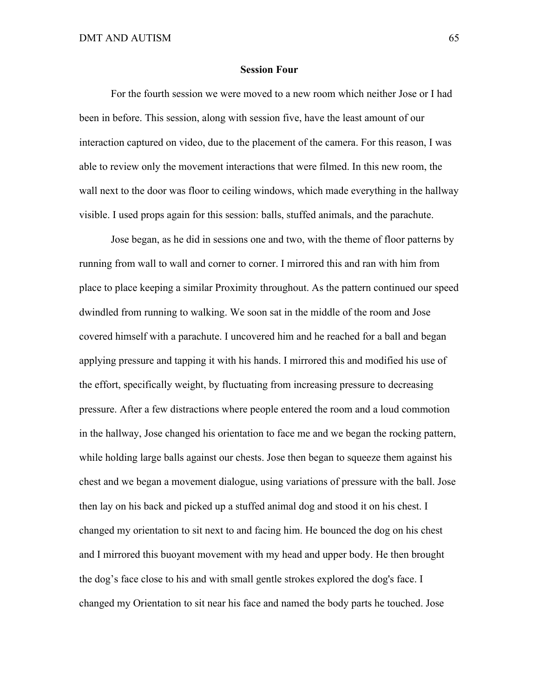#### **Session Four**

For the fourth session we were moved to a new room which neither Jose or I had been in before. This session, along with session five, have the least amount of our interaction captured on video, due to the placement of the camera. For this reason, I was able to review only the movement interactions that were filmed. In this new room, the wall next to the door was floor to ceiling windows, which made everything in the hallway visible. I used props again for this session: balls, stuffed animals, and the parachute.

Jose began, as he did in sessions one and two, with the theme of floor patterns by running from wall to wall and corner to corner. I mirrored this and ran with him from place to place keeping a similar Proximity throughout. As the pattern continued our speed dwindled from running to walking. We soon sat in the middle of the room and Jose covered himself with a parachute. I uncovered him and he reached for a ball and began applying pressure and tapping it with his hands. I mirrored this and modified his use of the effort, specifically weight, by fluctuating from increasing pressure to decreasing pressure. After a few distractions where people entered the room and a loud commotion in the hallway, Jose changed his orientation to face me and we began the rocking pattern, while holding large balls against our chests. Jose then began to squeeze them against his chest and we began a movement dialogue, using variations of pressure with the ball. Jose then lay on his back and picked up a stuffed animal dog and stood it on his chest. I changed my orientation to sit next to and facing him. He bounced the dog on his chest and I mirrored this buoyant movement with my head and upper body. He then brought the dog's face close to his and with small gentle strokes explored the dog's face. I changed my Orientation to sit near his face and named the body parts he touched. Jose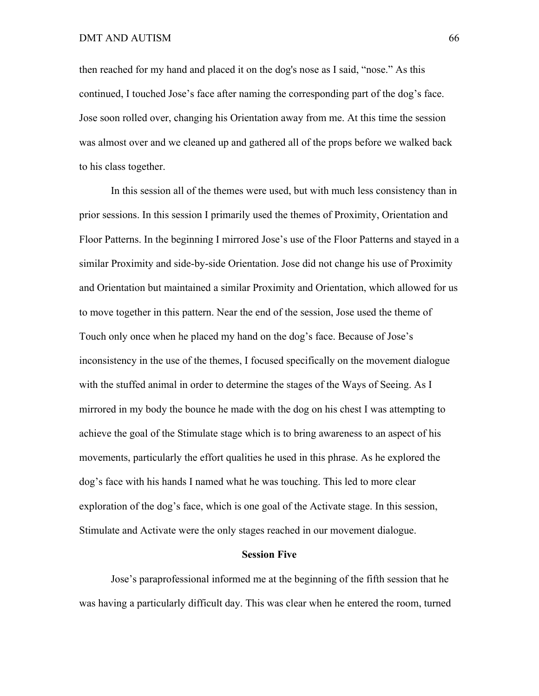then reached for my hand and placed it on the dog's nose as I said, "nose." As this continued, I touched Jose's face after naming the corresponding part of the dog's face. Jose soon rolled over, changing his Orientation away from me. At this time the session was almost over and we cleaned up and gathered all of the props before we walked back to his class together.

In this session all of the themes were used, but with much less consistency than in prior sessions. In this session I primarily used the themes of Proximity, Orientation and Floor Patterns. In the beginning I mirrored Jose's use of the Floor Patterns and stayed in a similar Proximity and side-by-side Orientation. Jose did not change his use of Proximity and Orientation but maintained a similar Proximity and Orientation, which allowed for us to move together in this pattern. Near the end of the session, Jose used the theme of Touch only once when he placed my hand on the dog's face. Because of Jose's inconsistency in the use of the themes, I focused specifically on the movement dialogue with the stuffed animal in order to determine the stages of the Ways of Seeing. As I mirrored in my body the bounce he made with the dog on his chest I was attempting to achieve the goal of the Stimulate stage which is to bring awareness to an aspect of his movements, particularly the effort qualities he used in this phrase. As he explored the dog's face with his hands I named what he was touching. This led to more clear exploration of the dog's face, which is one goal of the Activate stage. In this session, Stimulate and Activate were the only stages reached in our movement dialogue.

# **Session Five**

Jose's paraprofessional informed me at the beginning of the fifth session that he was having a particularly difficult day. This was clear when he entered the room, turned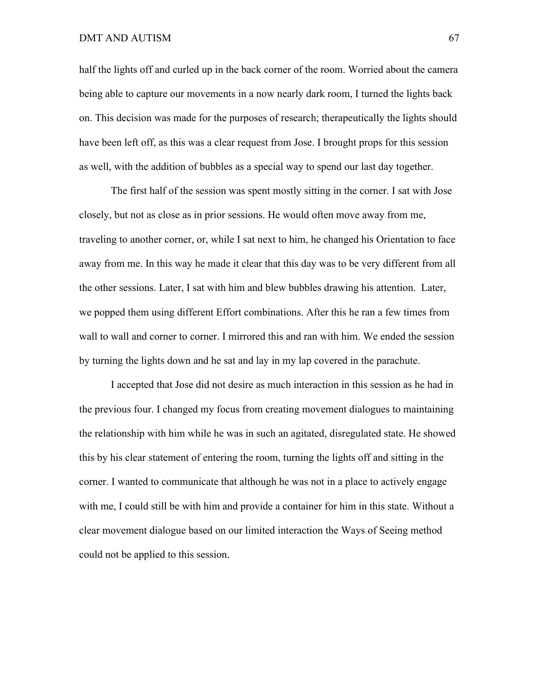### DMT AND AUTISM 67

half the lights off and curled up in the back corner of the room. Worried about the camera being able to capture our movements in a now nearly dark room, I turned the lights back on. This decision was made for the purposes of research; therapeutically the lights should have been left off, as this was a clear request from Jose. I brought props for this session as well, with the addition of bubbles as a special way to spend our last day together.

The first half of the session was spent mostly sitting in the corner. I sat with Jose closely, but not as close as in prior sessions. He would often move away from me, traveling to another corner, or, while I sat next to him, he changed his Orientation to face away from me. In this way he made it clear that this day was to be very different from all the other sessions. Later, I sat with him and blew bubbles drawing his attention. Later, we popped them using different Effort combinations. After this he ran a few times from wall to wall and corner to corner. I mirrored this and ran with him. We ended the session by turning the lights down and he sat and lay in my lap covered in the parachute.

I accepted that Jose did not desire as much interaction in this session as he had in the previous four. I changed my focus from creating movement dialogues to maintaining the relationship with him while he was in such an agitated, disregulated state. He showed this by his clear statement of entering the room, turning the lights off and sitting in the corner. I wanted to communicate that although he was not in a place to actively engage with me, I could still be with him and provide a container for him in this state. Without a clear movement dialogue based on our limited interaction the Ways of Seeing method could not be applied to this session.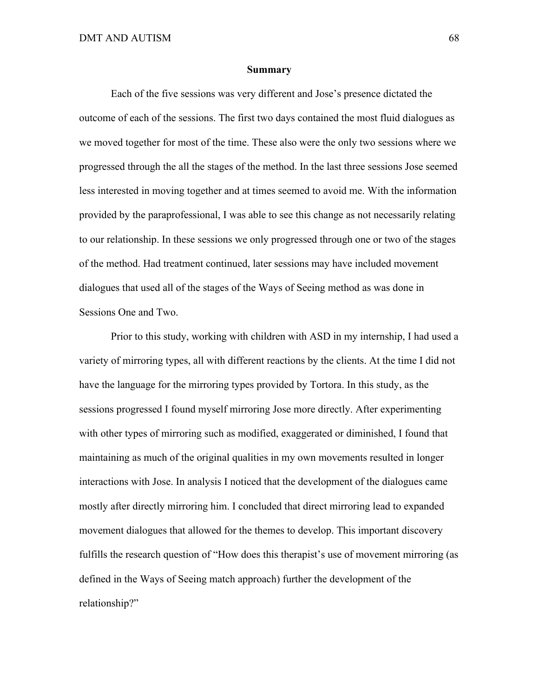#### **Summary**

Each of the five sessions was very different and Jose's presence dictated the outcome of each of the sessions. The first two days contained the most fluid dialogues as we moved together for most of the time. These also were the only two sessions where we progressed through the all the stages of the method. In the last three sessions Jose seemed less interested in moving together and at times seemed to avoid me. With the information provided by the paraprofessional, I was able to see this change as not necessarily relating to our relationship. In these sessions we only progressed through one or two of the stages of the method. Had treatment continued, later sessions may have included movement dialogues that used all of the stages of the Ways of Seeing method as was done in Sessions One and Two.

Prior to this study, working with children with ASD in my internship, I had used a variety of mirroring types, all with different reactions by the clients. At the time I did not have the language for the mirroring types provided by Tortora. In this study, as the sessions progressed I found myself mirroring Jose more directly. After experimenting with other types of mirroring such as modified, exaggerated or diminished, I found that maintaining as much of the original qualities in my own movements resulted in longer interactions with Jose. In analysis I noticed that the development of the dialogues came mostly after directly mirroring him. I concluded that direct mirroring lead to expanded movement dialogues that allowed for the themes to develop. This important discovery fulfills the research question of "How does this therapist's use of movement mirroring (as defined in the Ways of Seeing match approach) further the development of the relationship?"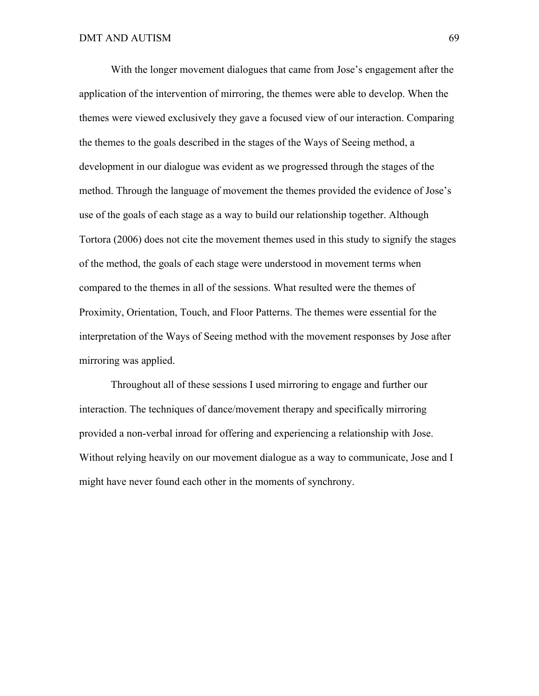With the longer movement dialogues that came from Jose's engagement after the application of the intervention of mirroring, the themes were able to develop. When the themes were viewed exclusively they gave a focused view of our interaction. Comparing the themes to the goals described in the stages of the Ways of Seeing method, a development in our dialogue was evident as we progressed through the stages of the method. Through the language of movement the themes provided the evidence of Jose's use of the goals of each stage as a way to build our relationship together. Although Tortora (2006) does not cite the movement themes used in this study to signify the stages of the method, the goals of each stage were understood in movement terms when compared to the themes in all of the sessions. What resulted were the themes of Proximity, Orientation, Touch, and Floor Patterns. The themes were essential for the interpretation of the Ways of Seeing method with the movement responses by Jose after mirroring was applied.

Throughout all of these sessions I used mirroring to engage and further our interaction. The techniques of dance/movement therapy and specifically mirroring provided a non-verbal inroad for offering and experiencing a relationship with Jose. Without relying heavily on our movement dialogue as a way to communicate, Jose and I might have never found each other in the moments of synchrony.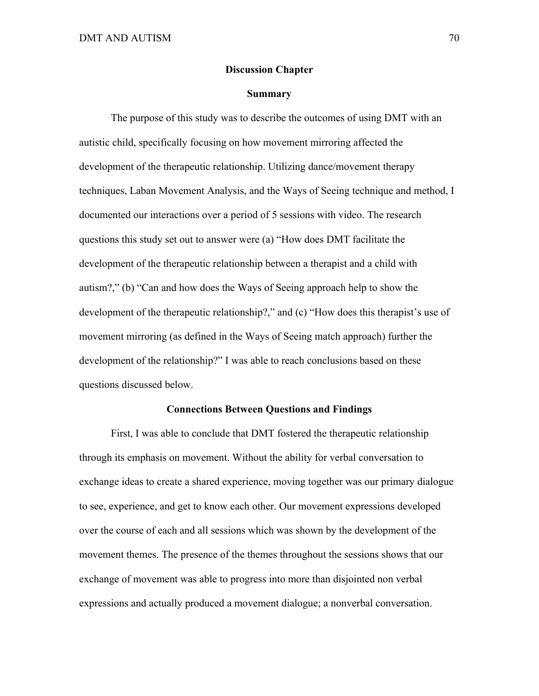# **Discussion Chapter**

# **Summary**

The purpose of this study was to describe the outcomes of using DMT with an autistic child, specifically focusing on how movement mirroring affected the development of the therapeutic relationship. Utilizing dance/movement therapy techniques, Laban Movement Analysis, and the Ways of Seeing technique and method, I documented our interactions over a period of 5 sessions with video. The research questions this study set out to answer were (a) "How does DMT facilitate the development of the therapeutic relationship between a therapist and a child with autism?," (b) "Can and how does the Ways of Seeing approach help to show the development of the therapeutic relationship?," and (c) "How does this therapist's use of movement mirroring (as defined in the Ways of Seeing match approach) further the development of the relationship?" I was able to reach conclusions based on these questions discussed below.

# **Connections Between Questions and Findings**

First, I was able to conclude that DMT fostered the therapeutic relationship through its emphasis on movement. Without the ability for verbal conversation to exchange ideas to create a shared experience, moving together was our primary dialogue to see, experience, and get to know each other. Our movement expressions developed over the course of each and all sessions which was shown by the development of the movement themes. The presence of the themes throughout the sessions shows that our exchange of movement was able to progress into more than disjointed non verbal expressions and actually produced a movement dialogue; a nonverbal conversation.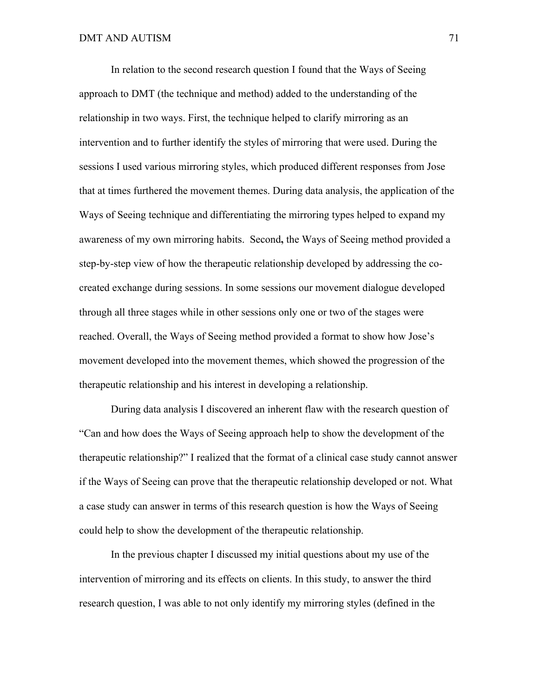In relation to the second research question I found that the Ways of Seeing approach to DMT (the technique and method) added to the understanding of the relationship in two ways. First, the technique helped to clarify mirroring as an intervention and to further identify the styles of mirroring that were used. During the sessions I used various mirroring styles, which produced different responses from Jose that at times furthered the movement themes. During data analysis, the application of the Ways of Seeing technique and differentiating the mirroring types helped to expand my awareness of my own mirroring habits. Second**,** the Ways of Seeing method provided a step-by-step view of how the therapeutic relationship developed by addressing the cocreated exchange during sessions. In some sessions our movement dialogue developed through all three stages while in other sessions only one or two of the stages were reached. Overall, the Ways of Seeing method provided a format to show how Jose's movement developed into the movement themes, which showed the progression of the therapeutic relationship and his interest in developing a relationship.

During data analysis I discovered an inherent flaw with the research question of "Can and how does the Ways of Seeing approach help to show the development of the therapeutic relationship?" I realized that the format of a clinical case study cannot answer if the Ways of Seeing can prove that the therapeutic relationship developed or not. What a case study can answer in terms of this research question is how the Ways of Seeing could help to show the development of the therapeutic relationship.

In the previous chapter I discussed my initial questions about my use of the intervention of mirroring and its effects on clients. In this study, to answer the third research question, I was able to not only identify my mirroring styles (defined in the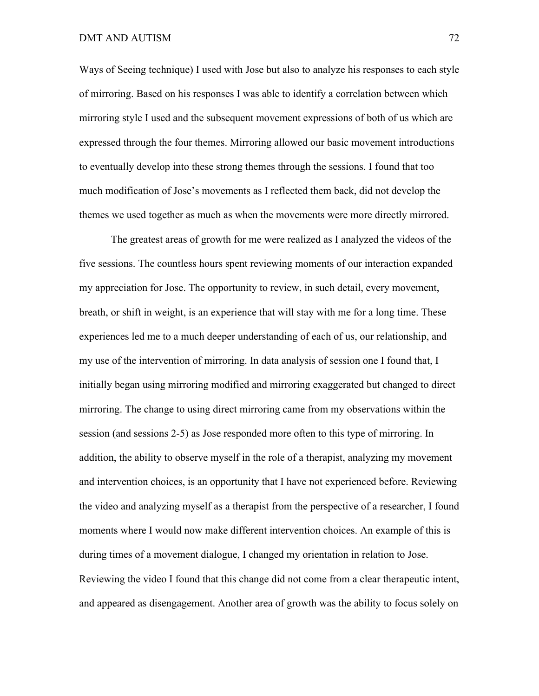Ways of Seeing technique) I used with Jose but also to analyze his responses to each style of mirroring. Based on his responses I was able to identify a correlation between which mirroring style I used and the subsequent movement expressions of both of us which are expressed through the four themes. Mirroring allowed our basic movement introductions to eventually develop into these strong themes through the sessions. I found that too much modification of Jose's movements as I reflected them back, did not develop the themes we used together as much as when the movements were more directly mirrored.

The greatest areas of growth for me were realized as I analyzed the videos of the five sessions. The countless hours spent reviewing moments of our interaction expanded my appreciation for Jose. The opportunity to review, in such detail, every movement, breath, or shift in weight, is an experience that will stay with me for a long time. These experiences led me to a much deeper understanding of each of us, our relationship, and my use of the intervention of mirroring. In data analysis of session one I found that, I initially began using mirroring modified and mirroring exaggerated but changed to direct mirroring. The change to using direct mirroring came from my observations within the session (and sessions 2-5) as Jose responded more often to this type of mirroring. In addition, the ability to observe myself in the role of a therapist, analyzing my movement and intervention choices, is an opportunity that I have not experienced before. Reviewing the video and analyzing myself as a therapist from the perspective of a researcher, I found moments where I would now make different intervention choices. An example of this is during times of a movement dialogue, I changed my orientation in relation to Jose. Reviewing the video I found that this change did not come from a clear therapeutic intent, and appeared as disengagement. Another area of growth was the ability to focus solely on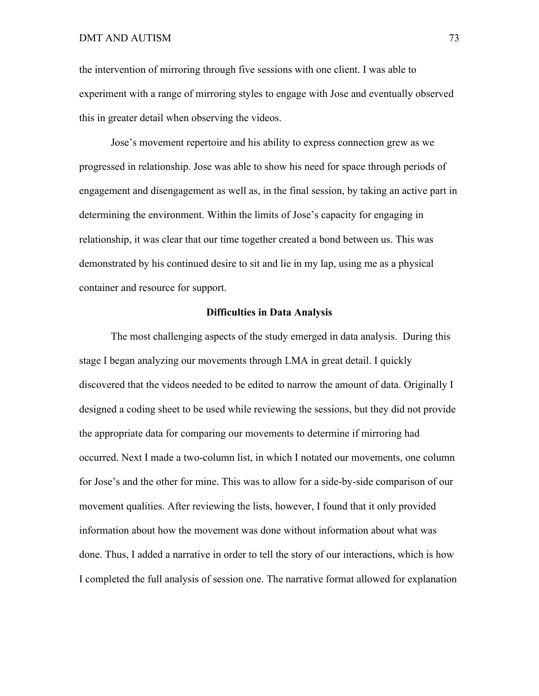the intervention of mirroring through five sessions with one client. I was able to experiment with a range of mirroring styles to engage with Jose and eventually observed this in greater detail when observing the videos.

Jose's movement repertoire and his ability to express connection grew as we progressed in relationship. Jose was able to show his need for space through periods of engagement and disengagement as well as, in the final session, by taking an active part in determining the environment. Within the limits of Jose's capacity for engaging in relationship, it was clear that our time together created a bond between us. This was demonstrated by his continued desire to sit and lie in my lap, using me as a physical container and resource for support.

# **Difficulties in Data Analysis**

The most challenging aspects of the study emerged in data analysis.During this stage I began analyzing our movements through LMA in great detail. I quickly discovered that the videos needed to be edited to narrow the amount of data. Originally I designed a coding sheet to be used while reviewing the sessions, but they did not provide the appropriate data for comparing our movements to determine if mirroring had occurred. Next I made a two-column list, in which I notated our movements, one column for Jose's and the other for mine. This was to allow for a side-by-side comparison of our movement qualities. After reviewing the lists, however, I found that it only provided information about how the movement was done without information about what was done. Thus, I added a narrative in order to tell the story of our interactions, which is how I completed the full analysis of session one. The narrative format allowed for explanation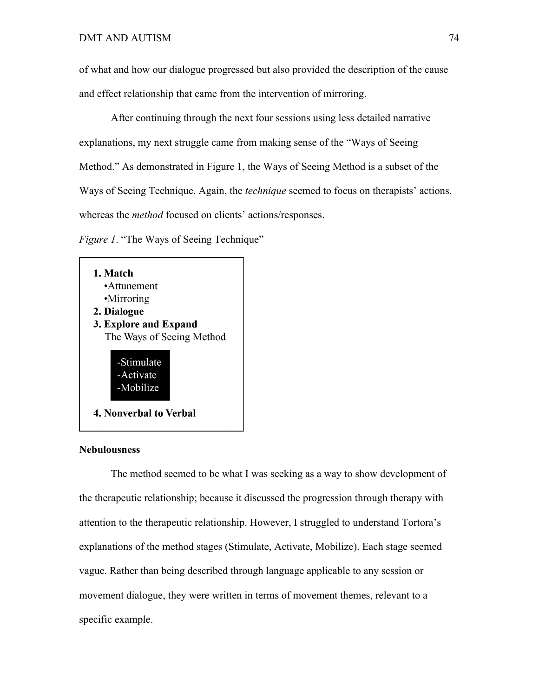of what and how our dialogue progressed but also provided the description of the cause and effect relationship that came from the intervention of mirroring.

After continuing through the next four sessions using less detailed narrative explanations, my next struggle came from making sense of the "Ways of Seeing Method." As demonstrated in Figure 1, the Ways of Seeing Method is a subset of the Ways of Seeing Technique. Again, the *technique* seemed to focus on therapists' actions, whereas the *method* focused on clients' actions/responses.

*Figure 1*. "The Ways of Seeing Technique"



# **Nebulousness**

The method seemed to be what I was seeking as a way to show development of the therapeutic relationship; because it discussed the progression through therapy with attention to the therapeutic relationship. However, I struggled to understand Tortora's explanations of the method stages (Stimulate, Activate, Mobilize). Each stage seemed vague. Rather than being described through language applicable to any session or movement dialogue, they were written in terms of movement themes, relevant to a specific example.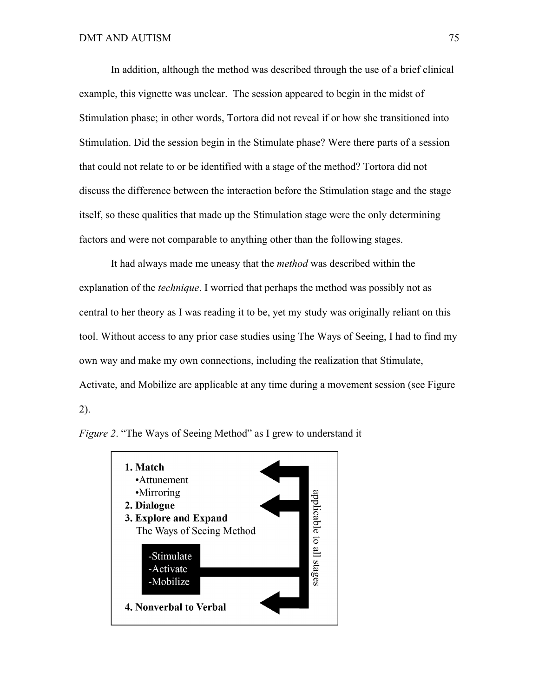In addition, although the method was described through the use of a brief clinical example, this vignette was unclear. The session appeared to begin in the midst of Stimulation phase; in other words, Tortora did not reveal if or how she transitioned into Stimulation. Did the session begin in the Stimulate phase? Were there parts of a session that could not relate to or be identified with a stage of the method? Tortora did not discuss the difference between the interaction before the Stimulation stage and the stage itself, so these qualities that made up the Stimulation stage were the only determining factors and were not comparable to anything other than the following stages.

It had always made me uneasy that the *method* was described within the explanation of the *technique*. I worried that perhaps the method was possibly not as central to her theory as I was reading it to be, yet my study was originally reliant on this tool. Without access to any prior case studies using The Ways of Seeing, I had to find my own way and make my own connections, including the realization that Stimulate, Activate, and Mobilize are applicable at any time during a movement session (see Figure 2).



*Figure 2*. "The Ways of Seeing Method" as I grew to understand it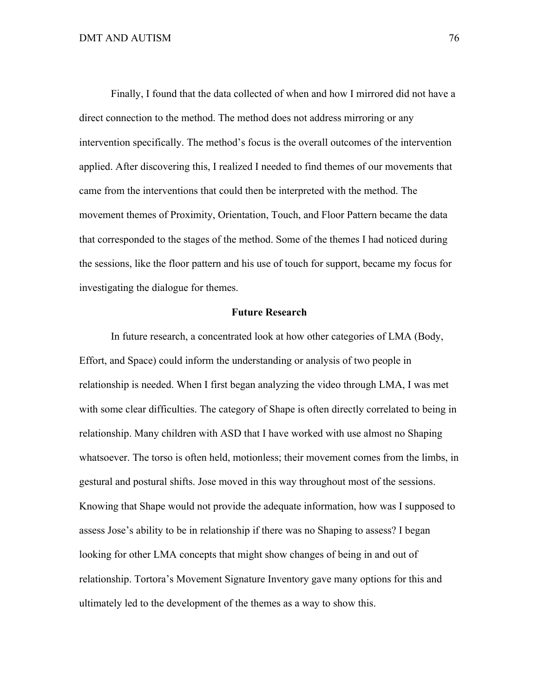Finally, I found that the data collected of when and how I mirrored did not have a direct connection to the method. The method does not address mirroring or any intervention specifically. The method's focus is the overall outcomes of the intervention applied. After discovering this, I realized I needed to find themes of our movements that came from the interventions that could then be interpreted with the method. The movement themes of Proximity, Orientation, Touch, and Floor Pattern became the data that corresponded to the stages of the method. Some of the themes I had noticed during the sessions, like the floor pattern and his use of touch for support, became my focus for investigating the dialogue for themes.

# **Future Research**

In future research, a concentrated look at how other categories of LMA (Body, Effort, and Space) could inform the understanding or analysis of two people in relationship is needed. When I first began analyzing the video through LMA, I was met with some clear difficulties. The category of Shape is often directly correlated to being in relationship. Many children with ASD that I have worked with use almost no Shaping whatsoever. The torso is often held, motionless; their movement comes from the limbs, in gestural and postural shifts. Jose moved in this way throughout most of the sessions. Knowing that Shape would not provide the adequate information, how was I supposed to assess Jose's ability to be in relationship if there was no Shaping to assess? I began looking for other LMA concepts that might show changes of being in and out of relationship. Tortora's Movement Signature Inventory gave many options for this and ultimately led to the development of the themes as a way to show this.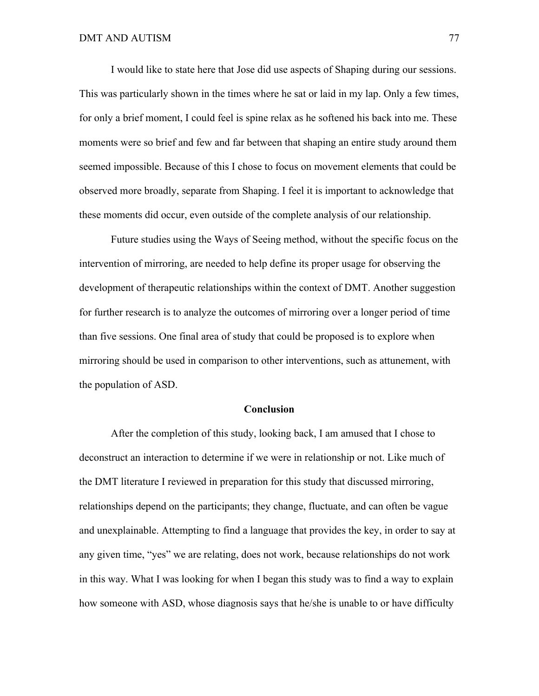I would like to state here that Jose did use aspects of Shaping during our sessions. This was particularly shown in the times where he sat or laid in my lap. Only a few times, for only a brief moment, I could feel is spine relax as he softened his back into me. These moments were so brief and few and far between that shaping an entire study around them seemed impossible. Because of this I chose to focus on movement elements that could be observed more broadly, separate from Shaping. I feel it is important to acknowledge that these moments did occur, even outside of the complete analysis of our relationship.

Future studies using the Ways of Seeing method, without the specific focus on the intervention of mirroring, are needed to help define its proper usage for observing the development of therapeutic relationships within the context of DMT. Another suggestion for further research is to analyze the outcomes of mirroring over a longer period of time than five sessions. One final area of study that could be proposed is to explore when mirroring should be used in comparison to other interventions, such as attunement, with the population of ASD.

# **Conclusion**

After the completion of this study, looking back, I am amused that I chose to deconstruct an interaction to determine if we were in relationship or not. Like much of the DMT literature I reviewed in preparation for this study that discussed mirroring, relationships depend on the participants; they change, fluctuate, and can often be vague and unexplainable. Attempting to find a language that provides the key, in order to say at any given time, "yes" we are relating, does not work, because relationships do not work in this way. What I was looking for when I began this study was to find a way to explain how someone with ASD, whose diagnosis says that he/she is unable to or have difficulty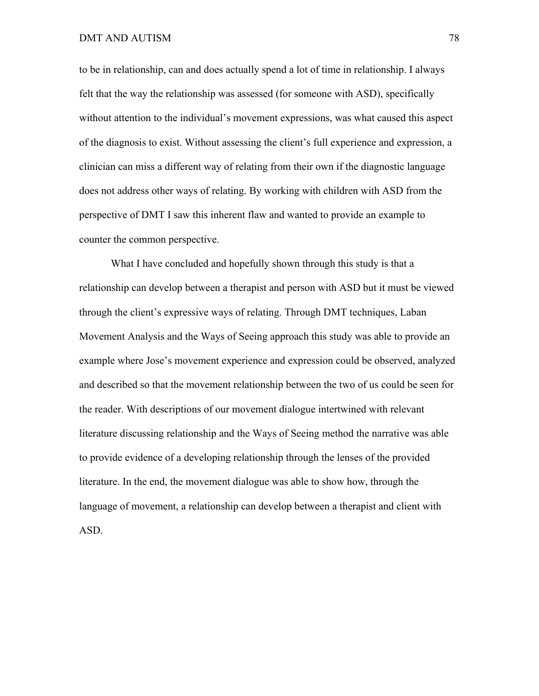to be in relationship, can and does actually spend a lot of time in relationship. I always felt that the way the relationship was assessed (for someone with ASD), specifically without attention to the individual's movement expressions, was what caused this aspect of the diagnosis to exist. Without assessing the client's full experience and expression, a clinician can miss a different way of relating from their own if the diagnostic language does not address other ways of relating. By working with children with ASD from the perspective of DMT I saw this inherent flaw and wanted to provide an example to counter the common perspective.

What I have concluded and hopefully shown through this study is that a relationship can develop between a therapist and person with ASD but it must be viewed through the client's expressive ways of relating. Through DMT techniques, Laban Movement Analysis and the Ways of Seeing approach this study was able to provide an example where Jose's movement experience and expression could be observed, analyzed and described so that the movement relationship between the two of us could be seen for the reader. With descriptions of our movement dialogue intertwined with relevant literature discussing relationship and the Ways of Seeing method the narrative was able to provide evidence of a developing relationship through the lenses of the provided literature. In the end, the movement dialogue was able to show how, through the language of movement, a relationship can develop between a therapist and client with ASD.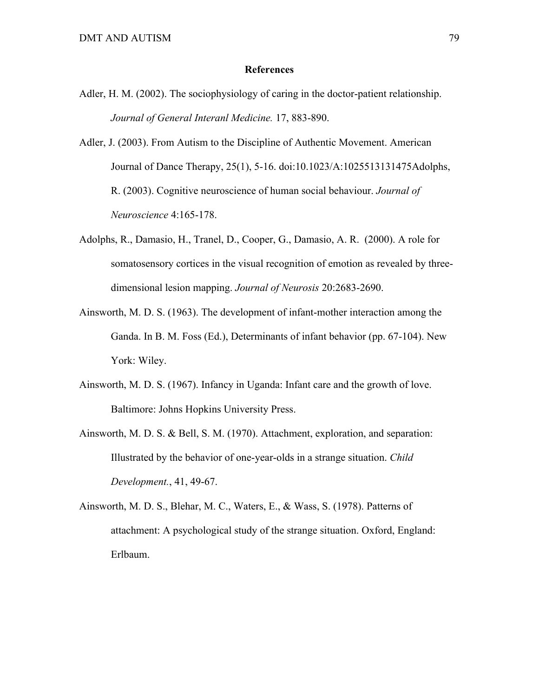# **References**

- Adler, H. M. (2002). The sociophysiology of caring in the doctor-patient relationship. *Journal of General Interanl Medicine.* 17, 883-890.
- Adler, J. (2003). From Autism to the Discipline of Authentic Movement. American Journal of Dance Therapy, 25(1), 5-16. doi:10.1023/A:1025513131475Adolphs, R. (2003). Cognitive neuroscience of human social behaviour. *Journal of Neuroscience* 4:165-178.
- Adolphs, R., Damasio, H., Tranel, D., Cooper, G., Damasio, A. R. (2000). A role for somatosensory cortices in the visual recognition of emotion as revealed by threedimensional lesion mapping. *Journal of Neurosis* 20:2683-2690.
- Ainsworth, M. D. S. (1963). The development of infant-mother interaction among the Ganda. In B. M. Foss (Ed.), Determinants of infant behavior (pp. 67-104). New York: Wiley.
- Ainsworth, M. D. S. (1967). Infancy in Uganda: Infant care and the growth of love. Baltimore: Johns Hopkins University Press.
- Ainsworth, M. D. S. & Bell, S. M. (1970). Attachment, exploration, and separation: Illustrated by the behavior of one-year-olds in a strange situation. *Child Development.*, 41, 49-67.
- Ainsworth, M. D. S., Blehar, M. C., Waters, E., & Wass, S. (1978). Patterns of attachment: A psychological study of the strange situation. Oxford, England: Erlbaum.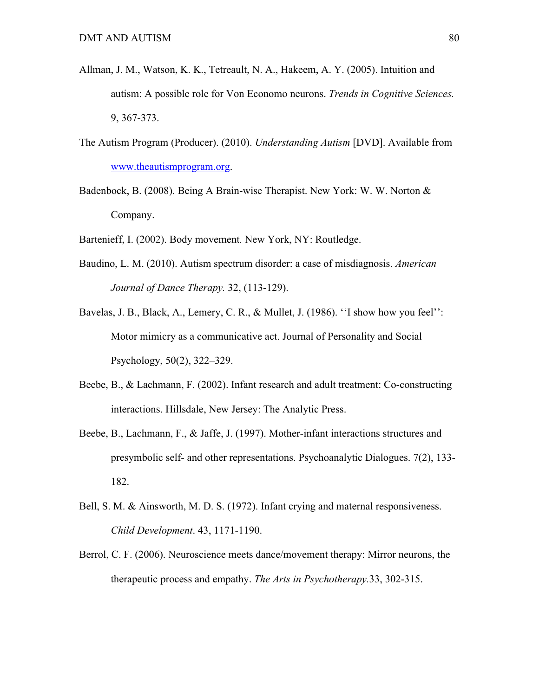- Allman, J. M., Watson, K. K., Tetreault, N. A., Hakeem, A. Y. (2005). Intuition and autism: A possible role for Von Economo neurons. *Trends in Cognitive Sciences.* 9, 367-373.
- The Autism Program (Producer). (2010). *Understanding Autism* [DVD]. Available from www.theautismprogram.org.
- Badenbock, B. (2008). Being A Brain-wise Therapist. New York: W. W. Norton & Company.
- Bartenieff, I. (2002). Body movement*.* New York, NY: Routledge.
- Baudino, L. M. (2010). Autism spectrum disorder: a case of misdiagnosis. *American Journal of Dance Therapy.* 32, (113-129).
- Bavelas, J. B., Black, A., Lemery, C. R., & Mullet, J. (1986). "I show how you feel": Motor mimicry as a communicative act. Journal of Personality and Social Psychology, 50(2), 322–329.
- Beebe, B., & Lachmann, F. (2002). Infant research and adult treatment: Co-constructing interactions. Hillsdale, New Jersey: The Analytic Press.
- Beebe, B., Lachmann, F., & Jaffe, J. (1997). Mother-infant interactions structures and presymbolic self- and other representations. Psychoanalytic Dialogues. 7(2), 133- 182.
- Bell, S. M. & Ainsworth, M. D. S. (1972). Infant crying and maternal responsiveness. *Child Development*. 43, 1171-1190.
- Berrol, C. F. (2006). Neuroscience meets dance/movement therapy: Mirror neurons, the therapeutic process and empathy. *The Arts in Psychotherapy.*33, 302-315.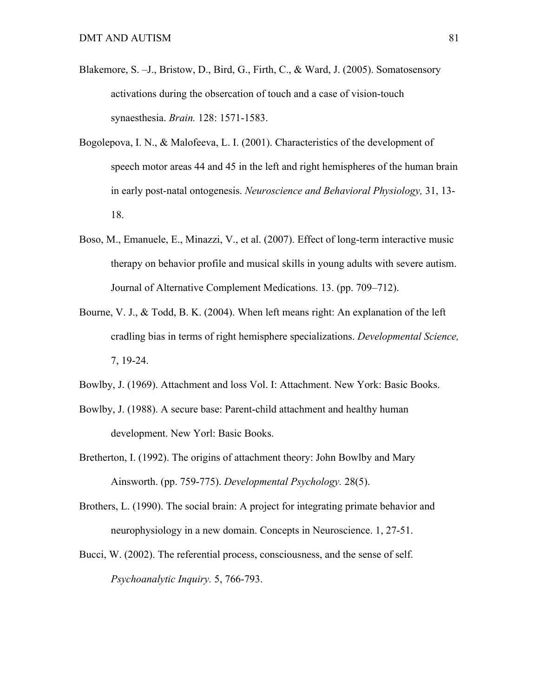- Blakemore, S. –J., Bristow, D., Bird, G., Firth, C., & Ward, J. (2005). Somatosensory activations during the obsercation of touch and a case of vision-touch synaesthesia. *Brain.* 128: 1571-1583.
- Bogolepova, I. N., & Malofeeva, L. I. (2001). Characteristics of the development of speech motor areas 44 and 45 in the left and right hemispheres of the human brain in early post-natal ontogenesis. *Neuroscience and Behavioral Physiology,* 31, 13- 18.
- Boso, M., Emanuele, E., Minazzi, V., et al. (2007). Effect of long-term interactive music therapy on behavior profile and musical skills in young adults with severe autism. Journal of Alternative Complement Medications. 13. (pp. 709–712).
- Bourne, V. J., & Todd, B. K. (2004). When left means right: An explanation of the left cradling bias in terms of right hemisphere specializations. *Developmental Science,*  7, 19-24.
- Bowlby, J. (1969). Attachment and loss Vol. I: Attachment. New York: Basic Books.
- Bowlby, J. (1988). A secure base: Parent-child attachment and healthy human development. New Yorl: Basic Books.
- Bretherton, I. (1992). The origins of attachment theory: John Bowlby and Mary Ainsworth. (pp. 759-775). *Developmental Psychology.* 28(5).
- Brothers, L. (1990). The social brain: A project for integrating primate behavior and neurophysiology in a new domain. Concepts in Neuroscience. 1, 27-51.
- Bucci, W. (2002). The referential process, consciousness, and the sense of self. *Psychoanalytic Inquiry.* 5, 766-793.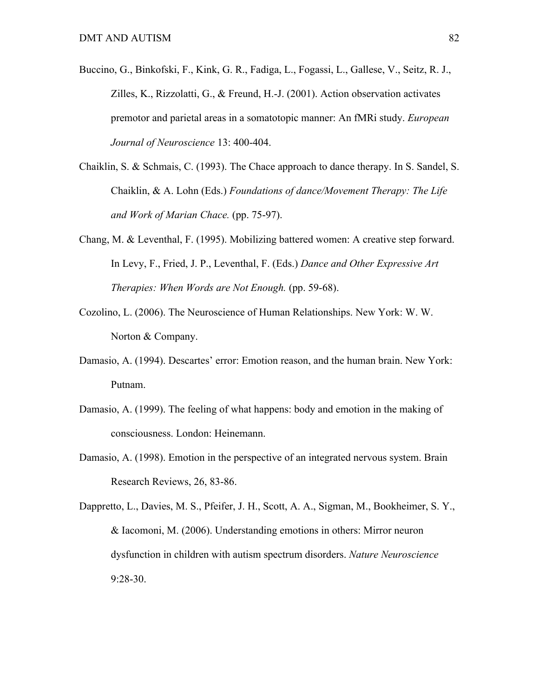- Buccino, G., Binkofski, F., Kink, G. R., Fadiga, L., Fogassi, L., Gallese, V., Seitz, R. J., Zilles, K., Rizzolatti, G., & Freund, H.-J. (2001). Action observation activates premotor and parietal areas in a somatotopic manner: An fMRi study. *European Journal of Neuroscience* 13: 400-404.
- Chaiklin, S. & Schmais, C. (1993). The Chace approach to dance therapy. In S. Sandel, S. Chaiklin, & A. Lohn (Eds.) *Foundations of dance/Movement Therapy: The Life and Work of Marian Chace.* (pp. 75-97).
- Chang, M. & Leventhal, F. (1995). Mobilizing battered women: A creative step forward. In Levy, F., Fried, J. P., Leventhal, F. (Eds.) *Dance and Other Expressive Art Therapies: When Words are Not Enough.* (pp. 59-68).
- Cozolino, L. (2006). The Neuroscience of Human Relationships. New York: W. W. Norton & Company.
- Damasio, A. (1994). Descartes' error: Emotion reason, and the human brain. New York: Putnam.
- Damasio, A. (1999). The feeling of what happens: body and emotion in the making of consciousness. London: Heinemann.
- Damasio, A. (1998). Emotion in the perspective of an integrated nervous system. Brain Research Reviews, 26, 83-86.

Dappretto, L., Davies, M. S., Pfeifer, J. H., Scott, A. A., Sigman, M., Bookheimer, S. Y., & Iacomoni, M. (2006). Understanding emotions in others: Mirror neuron dysfunction in children with autism spectrum disorders. *Nature Neuroscience*  9:28-30.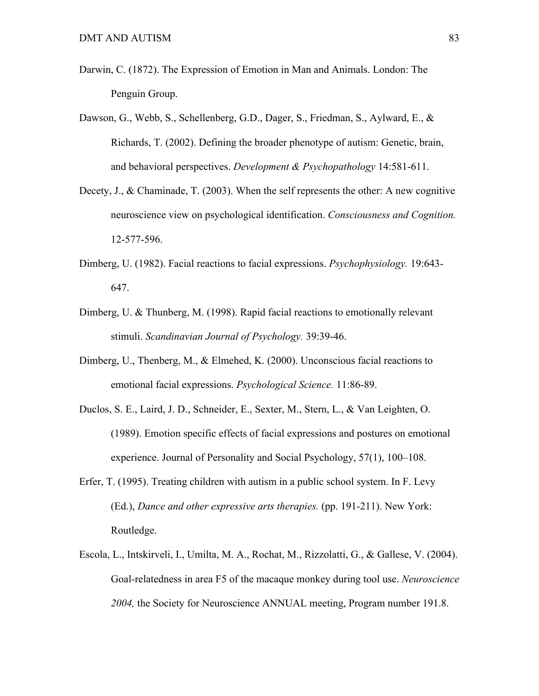- Darwin, C. (1872). The Expression of Emotion in Man and Animals. London: The Penguin Group.
- Dawson, G., Webb, S., Schellenberg, G.D., Dager, S., Friedman, S., Aylward, E., & Richards, T. (2002). Defining the broader phenotype of autism: Genetic, brain, and behavioral perspectives. *Development & Psychopathology* 14:581-611.
- Decety, J., & Chaminade, T. (2003). When the self represents the other: A new cognitive neuroscience view on psychological identification. *Consciousness and Cognition.* 12-577-596.
- Dimberg, U. (1982). Facial reactions to facial expressions. *Psychophysiology.* 19:643- 647.
- Dimberg, U. & Thunberg, M. (1998). Rapid facial reactions to emotionally relevant stimuli. *Scandinavian Journal of Psychology.* 39:39-46.
- Dimberg, U., Thenberg, M., & Elmehed, K. (2000). Unconscious facial reactions to emotional facial expressions. *Psychological Science.* 11:86-89.
- Duclos, S. E., Laird, J. D., Schneider, E., Sexter, M., Stern, L., & Van Leighten, O. (1989). Emotion specific effects of facial expressions and postures on emotional experience. Journal of Personality and Social Psychology, 57(1), 100–108.
- Erfer, T. (1995). Treating children with autism in a public school system. In F. Levy (Ed.), *Dance and other expressive arts therapies.* (pp. 191-211). New York: Routledge.
- Escola, L., Intskirveli, I., Umilta, M. A., Rochat, M., Rizzolatti, G., & Gallese, V. (2004). Goal-relatedness in area F5 of the macaque monkey during tool use. *Neuroscience 2004,* the Society for Neuroscience ANNUAL meeting, Program number 191.8.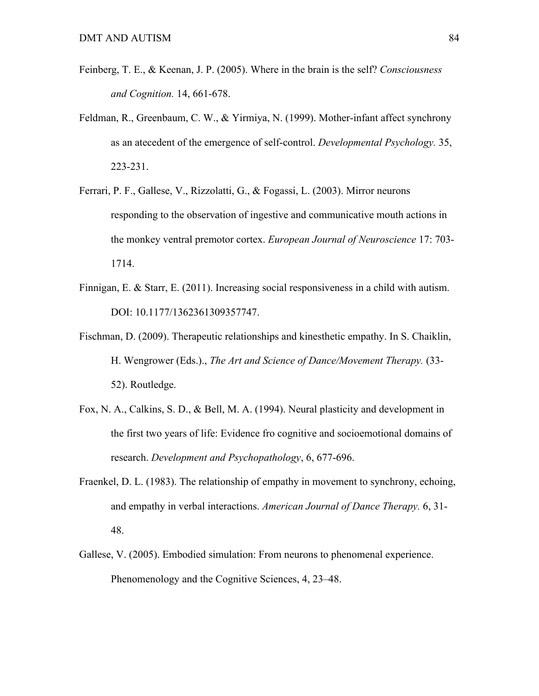- Feinberg, T. E., & Keenan, J. P. (2005). Where in the brain is the self? *Consciousness and Cognition.* 14, 661-678.
- Feldman, R., Greenbaum, C. W., & Yirmiya, N. (1999). Mother-infant affect synchrony as an atecedent of the emergence of self-control. *Developmental Psychology.* 35, 223-231.
- Ferrari, P. F., Gallese, V., Rizzolatti, G., & Fogassi, L. (2003). Mirror neurons responding to the observation of ingestive and communicative mouth actions in the monkey ventral premotor cortex. *European Journal of Neuroscience* 17: 703- 1714.
- Finnigan, E. & Starr, E. (2011). Increasing social responsiveness in a child with autism. DOI: 10.1177/1362361309357747.
- Fischman, D. (2009). Therapeutic relationships and kinesthetic empathy. In S. Chaiklin, H. Wengrower (Eds.)., *The Art and Science of Dance/Movement Therapy.* (33- 52). Routledge.
- Fox, N. A., Calkins, S. D., & Bell, M. A. (1994). Neural plasticity and development in the first two years of life: Evidence fro cognitive and socioemotional domains of research. *Development and Psychopathology*, 6, 677-696.
- Fraenkel, D. L. (1983). The relationship of empathy in movement to synchrony, echoing, and empathy in verbal interactions. *American Journal of Dance Therapy.* 6, 31- 48.
- Gallese, V. (2005). Embodied simulation: From neurons to phenomenal experience. Phenomenology and the Cognitive Sciences, 4, 23–48.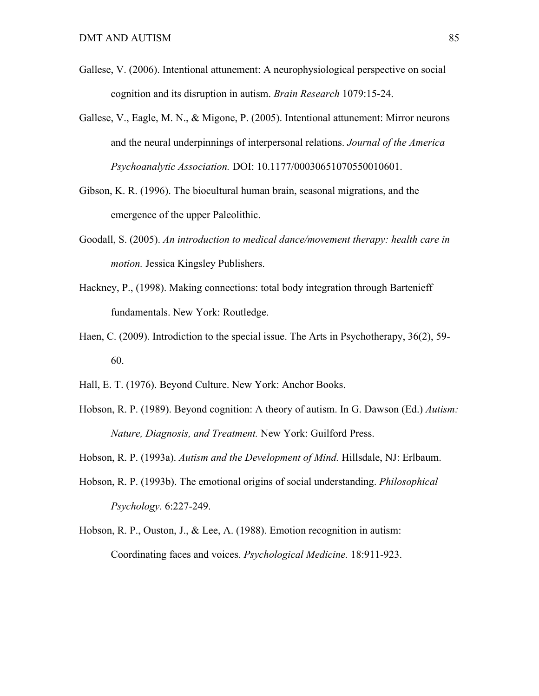- Gallese, V. (2006). Intentional attunement: A neurophysiological perspective on social cognition and its disruption in autism. *Brain Research* 1079:15-24.
- Gallese, V., Eagle, M. N., & Migone, P. (2005). Intentional attunement: Mirror neurons and the neural underpinnings of interpersonal relations. *Journal of the America Psychoanalytic Association.* DOI: 10.1177/00030651070550010601.
- Gibson, K. R. (1996). The biocultural human brain, seasonal migrations, and the emergence of the upper Paleolithic.
- Goodall, S. (2005). *An introduction to medical dance/movement therapy: health care in motion.* Jessica Kingsley Publishers.
- Hackney, P., (1998). Making connections: total body integration through Bartenieff fundamentals. New York: Routledge.
- Haen, C. (2009). Introdiction to the special issue. The Arts in Psychotherapy, 36(2), 59- 60.
- Hall, E. T. (1976). Beyond Culture. New York: Anchor Books.
- Hobson, R. P. (1989). Beyond cognition: A theory of autism. In G. Dawson (Ed.) *Autism: Nature, Diagnosis, and Treatment.* New York: Guilford Press.
- Hobson, R. P. (1993a). *Autism and the Development of Mind.* Hillsdale, NJ: Erlbaum.
- Hobson, R. P. (1993b). The emotional origins of social understanding. *Philosophical Psychology.* 6:227-249.
- Hobson, R. P., Ouston, J., & Lee, A. (1988). Emotion recognition in autism: Coordinating faces and voices. *Psychological Medicine.* 18:911-923.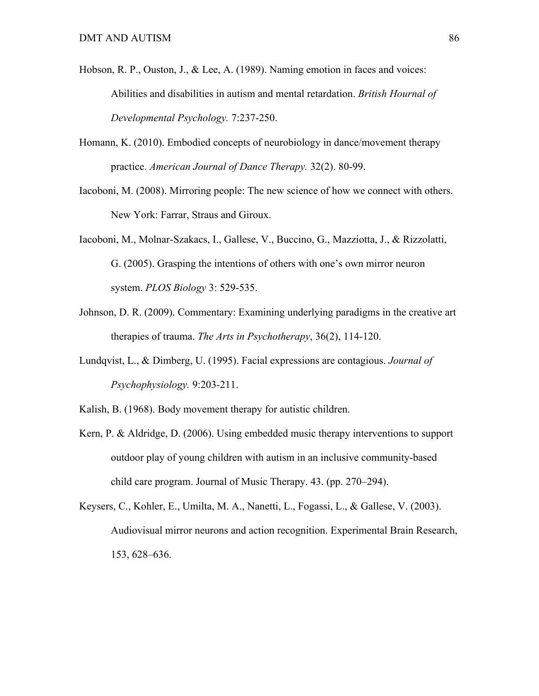- Hobson, R. P., Ouston, J., & Lee, A. (1989). Naming emotion in faces and voices: Abilities and disabilities in autism and mental retardation. *British Hournal of Developmental Psychology.* 7:237-250.
- Homann, K. (2010). Embodied concepts of neurobiology in dance/movement therapy practice. *American Journal of Dance Therapy.* 32(2). 80-99.
- Iacoboni, M. (2008). Mirroring people: The new science of how we connect with others. New York: Farrar, Straus and Giroux.
- Iacoboni, M., Molnar-Szakacs, I., Gallese, V., Buccino, G., Mazziotta, J., & Rizzolatti, G. (2005). Grasping the intentions of others with one's own mirror neuron system. *PLOS Biology* 3: 529-535.
- Johnson, D. R. (2009). Commentary: Examining underlying paradigms in the creative art therapies of trauma. *The Arts in Psychotherapy*, 36(2), 114-120.
- Lundqvist, L., & Dimberg, U. (1995). Facial expressions are contagious. *Journal of Psychophysiology.* 9:203-211.
- Kalish, B. (1968). Body movement therapy for autistic children.
- Kern, P. & Aldridge, D. (2006). Using embedded music therapy interventions to support outdoor play of young children with autism in an inclusive community-based child care program. Journal of Music Therapy. 43. (pp. 270–294).
- Keysers, C., Kohler, E., Umilta, M. A., Nanetti, L., Fogassi, L., & Gallese, V. (2003). Audiovisual mirror neurons and action recognition. Experimental Brain Research, 153, 628–636.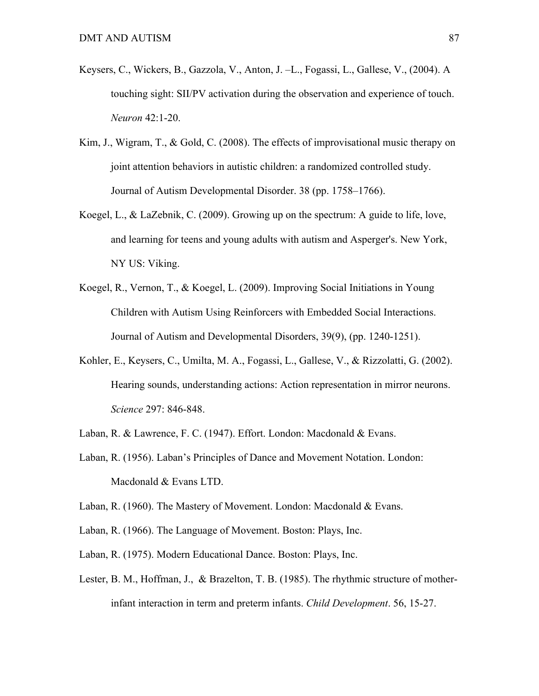- Keysers, C., Wickers, B., Gazzola, V., Anton, J. –L., Fogassi, L., Gallese, V., (2004). A touching sight: SII/PV activation during the observation and experience of touch. *Neuron* 42:1-20.
- Kim, J., Wigram, T., & Gold, C. (2008). The effects of improvisational music therapy on joint attention behaviors in autistic children: a randomized controlled study. Journal of Autism Developmental Disorder. 38 (pp. 1758–1766).
- Koegel, L., & LaZebnik, C. (2009). Growing up on the spectrum: A guide to life, love, and learning for teens and young adults with autism and Asperger's. New York, NY US: Viking.
- Koegel, R., Vernon, T., & Koegel, L. (2009). Improving Social Initiations in Young Children with Autism Using Reinforcers with Embedded Social Interactions. Journal of Autism and Developmental Disorders, 39(9), (pp. 1240-1251).
- Kohler, E., Keysers, C., Umilta, M. A., Fogassi, L., Gallese, V., & Rizzolatti, G. (2002). Hearing sounds, understanding actions: Action representation in mirror neurons. *Science* 297: 846-848.
- Laban, R. & Lawrence, F. C. (1947). Effort. London: Macdonald & Evans.
- Laban, R. (1956). Laban's Principles of Dance and Movement Notation. London: Macdonald & Evans LTD.
- Laban, R. (1960). The Mastery of Movement. London: Macdonald & Evans.
- Laban, R. (1966). The Language of Movement. Boston: Plays, Inc.
- Laban, R. (1975). Modern Educational Dance. Boston: Plays, Inc.
- Lester, B. M., Hoffman, J., & Brazelton, T. B. (1985). The rhythmic structure of motherinfant interaction in term and preterm infants. *Child Development*. 56, 15-27.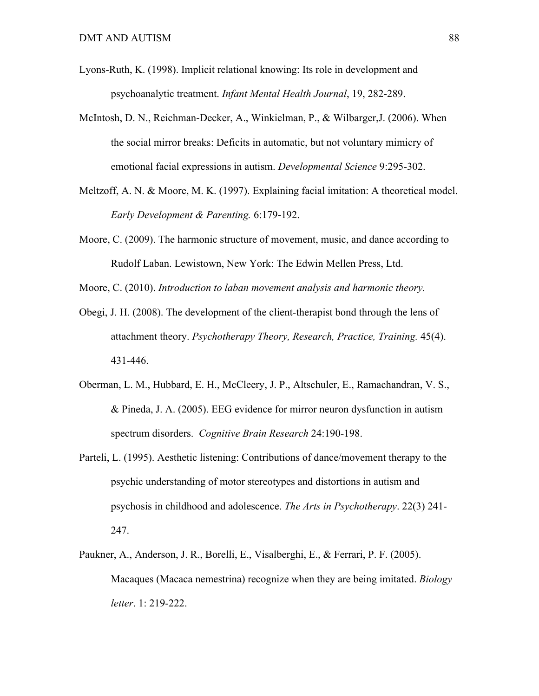- Lyons-Ruth, K. (1998). Implicit relational knowing: Its role in development and psychoanalytic treatment. *Infant Mental Health Journal*, 19, 282-289.
- McIntosh, D. N., Reichman-Decker, A., Winkielman, P., & Wilbarger,J. (2006). When the social mirror breaks: Deficits in automatic, but not voluntary mimicry of emotional facial expressions in autism. *Developmental Science* 9:295-302.
- Meltzoff, A. N. & Moore, M. K. (1997). Explaining facial imitation: A theoretical model. *Early Development & Parenting.* 6:179-192.
- Moore, C. (2009). The harmonic structure of movement, music, and dance according to Rudolf Laban. Lewistown, New York: The Edwin Mellen Press, Ltd.
- Moore, C. (2010). *Introduction to laban movement analysis and harmonic theory.*
- Obegi, J. H. (2008). The development of the client-therapist bond through the lens of attachment theory. *Psychotherapy Theory, Research, Practice, Training.* 45(4). 431-446.
- Oberman, L. M., Hubbard, E. H., McCleery, J. P., Altschuler, E., Ramachandran, V. S., & Pineda, J. A. (2005). EEG evidence for mirror neuron dysfunction in autism spectrum disorders. *Cognitive Brain Research* 24:190-198.
- Parteli, L. (1995). Aesthetic listening: Contributions of dance/movement therapy to the psychic understanding of motor stereotypes and distortions in autism and psychosis in childhood and adolescence. *The Arts in Psychotherapy*. 22(3) 241- 247.
- Paukner, A., Anderson, J. R., Borelli, E., Visalberghi, E., & Ferrari, P. F. (2005). Macaques (Macaca nemestrina) recognize when they are being imitated. *Biology letter*. 1: 219-222.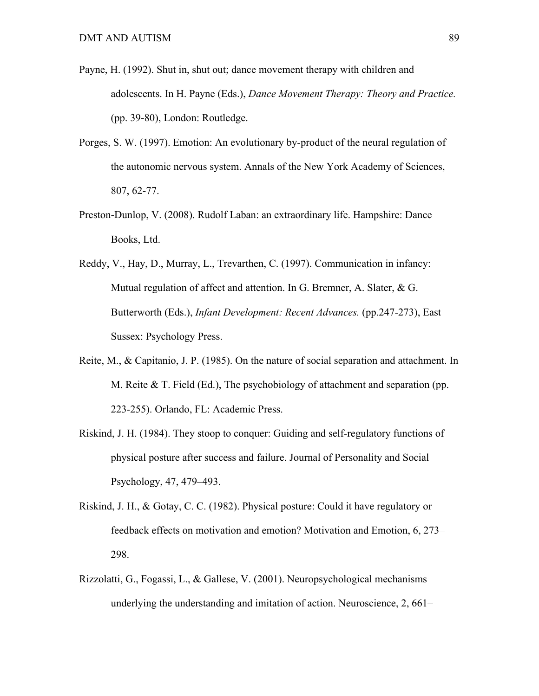- Payne, H. (1992). Shut in, shut out; dance movement therapy with children and adolescents. In H. Payne (Eds.), *Dance Movement Therapy: Theory and Practice.* (pp. 39-80), London: Routledge.
- Porges, S. W. (1997). Emotion: An evolutionary by-product of the neural regulation of the autonomic nervous system. Annals of the New York Academy of Sciences, 807, 62-77.
- Preston-Dunlop, V. (2008). Rudolf Laban: an extraordinary life. Hampshire: Dance Books, Ltd.
- Reddy, V., Hay, D., Murray, L., Trevarthen, C. (1997). Communication in infancy: Mutual regulation of affect and attention. In G. Bremner, A. Slater, & G. Butterworth (Eds.), *Infant Development: Recent Advances.* (pp.247-273), East Sussex: Psychology Press.
- Reite, M., & Capitanio, J. P. (1985). On the nature of social separation and attachment. In M. Reite  $\&$  T. Field (Ed.), The psychobiology of attachment and separation (pp. 223-255). Orlando, FL: Academic Press.
- Riskind, J. H. (1984). They stoop to conquer: Guiding and self-regulatory functions of physical posture after success and failure. Journal of Personality and Social Psychology, 47, 479–493.
- Riskind, J. H., & Gotay, C. C. (1982). Physical posture: Could it have regulatory or feedback effects on motivation and emotion? Motivation and Emotion, 6, 273– 298.
- Rizzolatti, G., Fogassi, L., & Gallese, V. (2001). Neuropsychological mechanisms underlying the understanding and imitation of action. Neuroscience, 2, 661–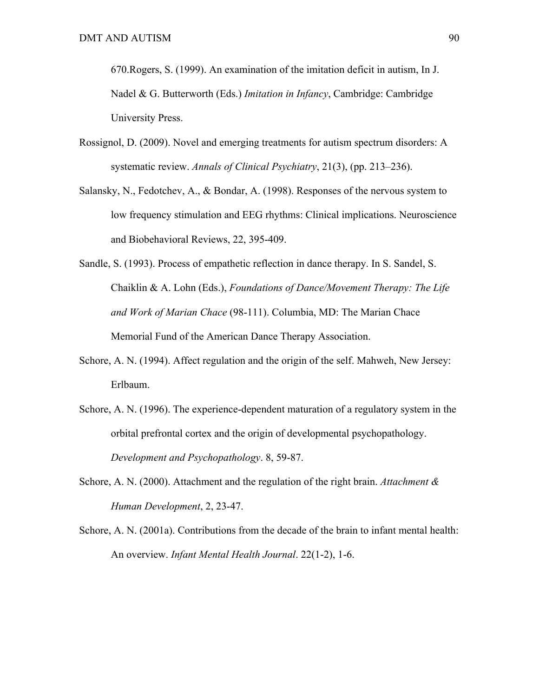670.Rogers, S. (1999). An examination of the imitation deficit in autism, In J. Nadel & G. Butterworth (Eds.) *Imitation in Infancy*, Cambridge: Cambridge University Press.

- Rossignol, D. (2009). Novel and emerging treatments for autism spectrum disorders: A systematic review. *Annals of Clinical Psychiatry*, 21(3), (pp. 213–236).
- Salansky, N., Fedotchev, A., & Bondar, A. (1998). Responses of the nervous system to low frequency stimulation and EEG rhythms: Clinical implications. Neuroscience and Biobehavioral Reviews, 22, 395-409.
- Sandle, S. (1993). Process of empathetic reflection in dance therapy. In S. Sandel, S. Chaiklin & A. Lohn (Eds.), *Foundations of Dance/Movement Therapy: The Life and Work of Marian Chace* (98-111). Columbia, MD: The Marian Chace Memorial Fund of the American Dance Therapy Association.
- Schore, A. N. (1994). Affect regulation and the origin of the self. Mahweh, New Jersey: Erlbaum.
- Schore, A. N. (1996). The experience-dependent maturation of a regulatory system in the orbital prefrontal cortex and the origin of developmental psychopathology. *Development and Psychopathology*. 8, 59-87.
- Schore, A. N. (2000). Attachment and the regulation of the right brain. *Attachment & Human Development*, 2, 23-47.
- Schore, A. N. (2001a). Contributions from the decade of the brain to infant mental health: An overview. *Infant Mental Health Journal*. 22(1-2), 1-6.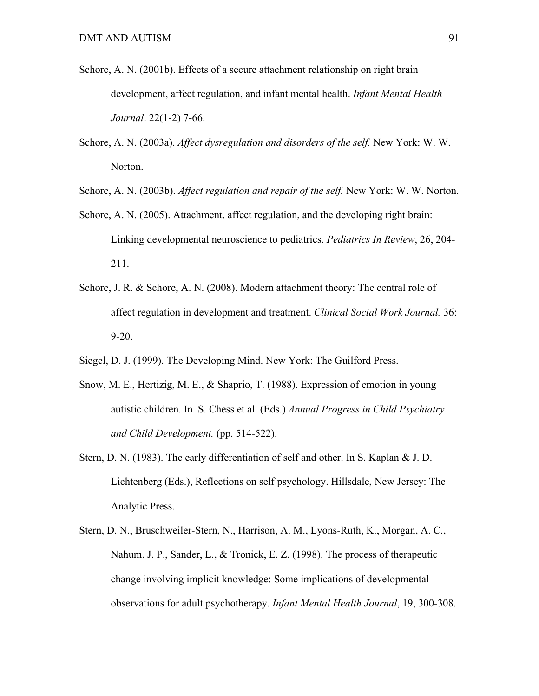- Schore, A. N. (2001b). Effects of a secure attachment relationship on right brain development, affect regulation, and infant mental health. *Infant Mental Health Journal*. 22(1-2) 7-66.
- Schore, A. N. (2003a). *Affect dysregulation and disorders of the self.* New York: W. W. Norton.
- Schore, A. N. (2003b). *Affect regulation and repair of the self.* New York: W. W. Norton.
- Schore, A. N. (2005). Attachment, affect regulation, and the developing right brain: Linking developmental neuroscience to pediatrics. *Pediatrics In Review*, 26, 204- 211.
- Schore, J. R. & Schore, A. N. (2008). Modern attachment theory: The central role of affect regulation in development and treatment. *Clinical Social Work Journal.* 36: 9-20.
- Siegel, D. J. (1999). The Developing Mind. New York: The Guilford Press.
- Snow, M. E., Hertizig, M. E., & Shaprio, T. (1988). Expression of emotion in young autistic children. In S. Chess et al. (Eds.) *Annual Progress in Child Psychiatry and Child Development.* (pp. 514-522).
- Stern, D. N. (1983). The early differentiation of self and other. In S. Kaplan & J. D. Lichtenberg (Eds.), Reflections on self psychology. Hillsdale, New Jersey: The Analytic Press.
- Stern, D. N., Bruschweiler-Stern, N., Harrison, A. M., Lyons-Ruth, K., Morgan, A. C., Nahum. J. P., Sander, L., & Tronick, E. Z. (1998). The process of therapeutic change involving implicit knowledge: Some implications of developmental observations for adult psychotherapy. *Infant Mental Health Journal*, 19, 300-308.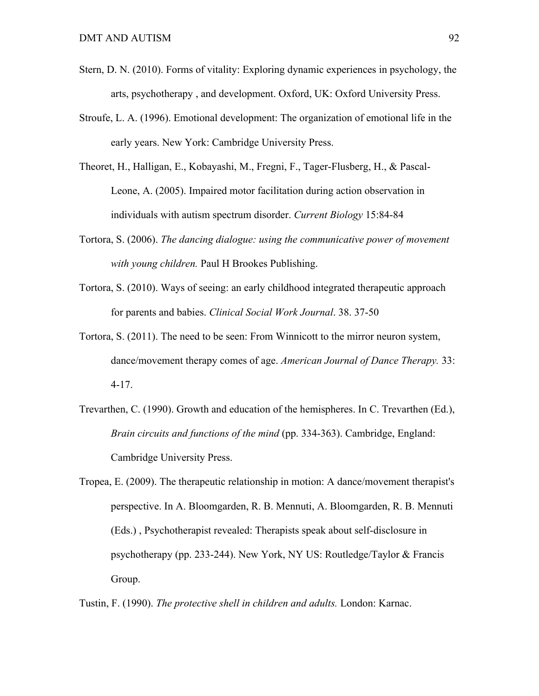- Stern, D. N. (2010). Forms of vitality: Exploring dynamic experiences in psychology, the arts, psychotherapy , and development. Oxford, UK: Oxford University Press.
- Stroufe, L. A. (1996). Emotional development: The organization of emotional life in the early years. New York: Cambridge University Press.
- Theoret, H., Halligan, E., Kobayashi, M., Fregni, F., Tager-Flusberg, H., & Pascal-Leone, A. (2005). Impaired motor facilitation during action observation in individuals with autism spectrum disorder. *Current Biology* 15:84-84
- Tortora, S. (2006). *The dancing dialogue: using the communicative power of movement with young children.* Paul H Brookes Publishing.
- Tortora, S. (2010). Ways of seeing: an early childhood integrated therapeutic approach for parents and babies. *Clinical Social Work Journal*. 38. 37-50
- Tortora, S. (2011). The need to be seen: From Winnicott to the mirror neuron system, dance/movement therapy comes of age. *American Journal of Dance Therapy.* 33: 4-17.
- Trevarthen, C. (1990). Growth and education of the hemispheres. In C. Trevarthen (Ed.), *Brain circuits and functions of the mind* (pp. 334-363). Cambridge, England: Cambridge University Press.
- Tropea, E. (2009). The therapeutic relationship in motion: A dance/movement therapist's perspective. In A. Bloomgarden, R. B. Mennuti, A. Bloomgarden, R. B. Mennuti (Eds.) , Psychotherapist revealed: Therapists speak about self-disclosure in psychotherapy (pp. 233-244). New York, NY US: Routledge/Taylor & Francis Group.

Tustin, F. (1990). *The protective shell in children and adults.* London: Karnac.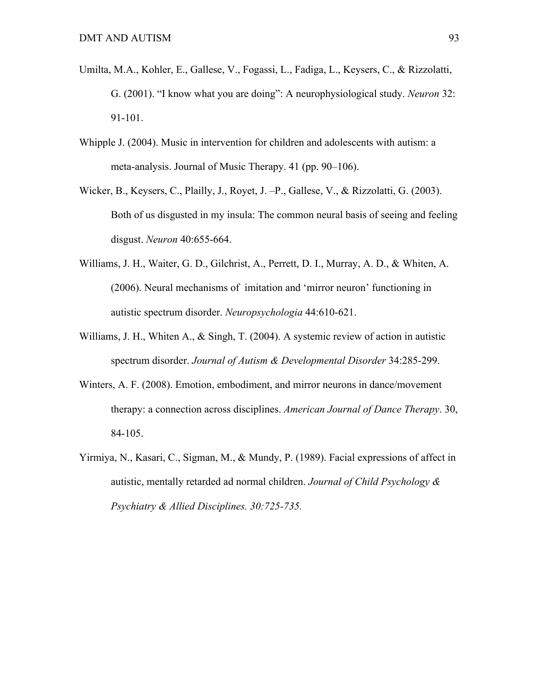- Umilta, M.A., Kohler, E., Gallese, V., Fogassi, L., Fadiga, L., Keysers, C., & Rizzolatti, G. (2001). "I know what you are doing": A neurophysiological study. *Neuron* 32: 91-101.
- Whipple J. (2004). Music in intervention for children and adolescents with autism: a meta-analysis. Journal of Music Therapy. 41 (pp. 90–106).
- Wicker, B., Keysers, C., Plailly, J., Royet, J. –P., Gallese, V., & Rizzolatti, G. (2003). Both of us disgusted in my insula: The common neural basis of seeing and feeling disgust. *Neuron* 40:655-664.
- Williams, J. H., Waiter, G. D., Gilchrist, A., Perrett, D. I., Murray, A. D., & Whiten, A. (2006). Neural mechanisms of imitation and 'mirror neuron' functioning in autistic spectrum disorder. *Neuropsychologia* 44:610-621.
- Williams, J. H., Whiten A., & Singh, T. (2004). A systemic review of action in autistic spectrum disorder. *Journal of Autism & Developmental Disorder* 34:285-299.
- Winters, A. F. (2008). Emotion, embodiment, and mirror neurons in dance/movement therapy: a connection across disciplines. *American Journal of Dance Therapy*. 30, 84-105.
- Yirmiya, N., Kasari, C., Sigman, M., & Mundy, P. (1989). Facial expressions of affect in autistic, mentally retarded ad normal children. *Journal of Child Psychology & Psychiatry & Allied Disciplines. 30:725-735.*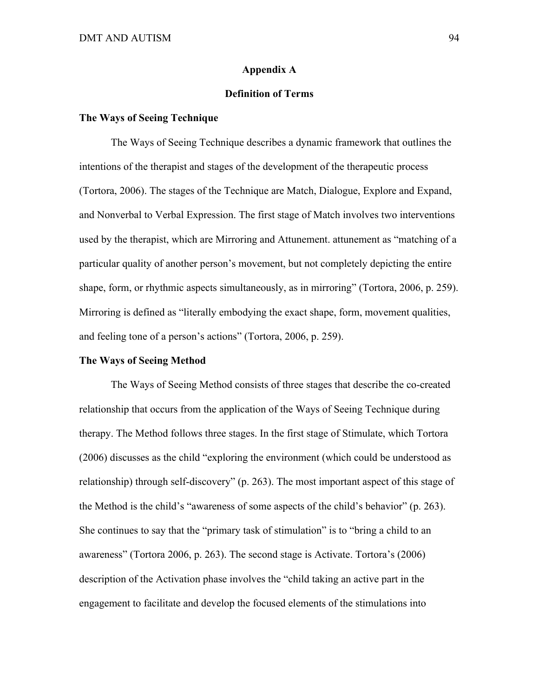#### **Appendix A**

# **Definition of Terms**

# **The Ways of Seeing Technique**

The Ways of Seeing Technique describes a dynamic framework that outlines the intentions of the therapist and stages of the development of the therapeutic process (Tortora, 2006). The stages of the Technique are Match, Dialogue, Explore and Expand, and Nonverbal to Verbal Expression. The first stage of Match involves two interventions used by the therapist, which are Mirroring and Attunement. attunement as "matching of a particular quality of another person's movement, but not completely depicting the entire shape, form, or rhythmic aspects simultaneously, as in mirroring" (Tortora, 2006, p. 259). Mirroring is defined as "literally embodying the exact shape, form, movement qualities, and feeling tone of a person's actions" (Tortora, 2006, p. 259).

# **The Ways of Seeing Method**

The Ways of Seeing Method consists of three stages that describe the co-created relationship that occurs from the application of the Ways of Seeing Technique during therapy. The Method follows three stages. In the first stage of Stimulate, which Tortora (2006) discusses as the child "exploring the environment (which could be understood as relationship) through self-discovery" (p. 263). The most important aspect of this stage of the Method is the child's "awareness of some aspects of the child's behavior" (p. 263). She continues to say that the "primary task of stimulation" is to "bring a child to an awareness" (Tortora 2006, p. 263). The second stage is Activate. Tortora's (2006) description of the Activation phase involves the "child taking an active part in the engagement to facilitate and develop the focused elements of the stimulations into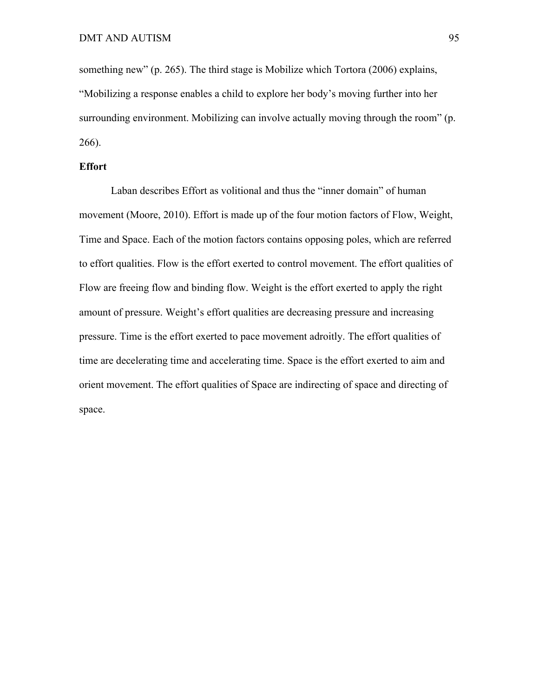something new" (p. 265). The third stage is Mobilize which Tortora (2006) explains, "Mobilizing a response enables a child to explore her body's moving further into her surrounding environment. Mobilizing can involve actually moving through the room" (p. 266).

# **Effort**

Laban describes Effort as volitional and thus the "inner domain" of human movement (Moore, 2010). Effort is made up of the four motion factors of Flow, Weight, Time and Space. Each of the motion factors contains opposing poles, which are referred to effort qualities. Flow is the effort exerted to control movement. The effort qualities of Flow are freeing flow and binding flow. Weight is the effort exerted to apply the right amount of pressure. Weight's effort qualities are decreasing pressure and increasing pressure. Time is the effort exerted to pace movement adroitly. The effort qualities of time are decelerating time and accelerating time. Space is the effort exerted to aim and orient movement. The effort qualities of Space are indirecting of space and directing of space.